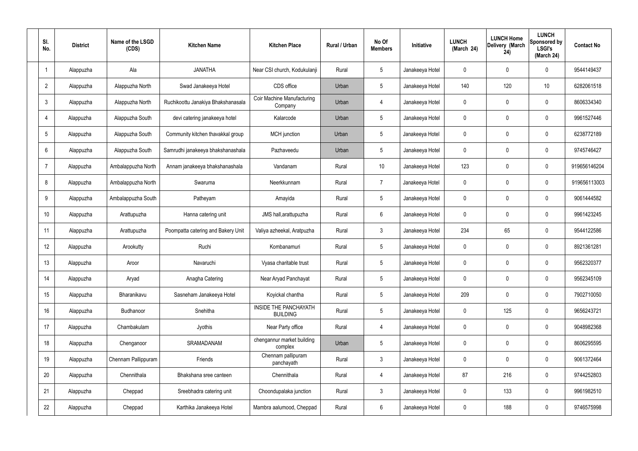| SI.<br>No.      | <b>District</b> | Name of the LSGD<br>(CDS) | <b>Kitchen Name</b>                | <b>Kitchen Place</b>                            | Rural / Urban | No Of<br><b>Members</b> | <b>Initiative</b> | <b>LUNCH</b><br>(March 24) | <b>LUNCH Home</b><br>Delivery (March<br>24) | <b>LUNCH</b><br>Sponsored by<br><b>LSGI's</b><br>(March 24) | <b>Contact No</b> |
|-----------------|-----------------|---------------------------|------------------------------------|-------------------------------------------------|---------------|-------------------------|-------------------|----------------------------|---------------------------------------------|-------------------------------------------------------------|-------------------|
|                 | Alappuzha       | Ala                       | <b>JANATHA</b>                     | Near CSI church, Kodukulanji                    | Rural         | $5\phantom{.0}$         | Janakeeya Hotel   | 0                          | 0                                           | $\mathbf 0$                                                 | 9544149437        |
| $\overline{2}$  | Alappuzha       | Alappuzha North           | Swad Janakeeya Hotel               | CDS office                                      | Urban         | $5\phantom{.0}$         | Janakeeya Hotel   | 140                        | 120                                         | 10                                                          | 6282061518        |
| $\mathbf{3}$    | Alappuzha       | Alappuzha North           | Ruchikoottu Janakiya Bhakshanasala | Coir Machine Manufacturing<br>Company           | Urban         | $\overline{4}$          | Janakeeya Hotel   | $\mathbf 0$                | 0                                           | $\mathbf 0$                                                 | 8606334340        |
| $\overline{4}$  | Alappuzha       | Alappuzha South           | devi catering janakeeya hotel      | Kalarcode                                       | Urban         | $5\phantom{.0}$         | Janakeeya Hotel   | $\mathbf 0$                | 0                                           | $\mathbf 0$                                                 | 9961527446        |
| $5\overline{)}$ | Alappuzha       | Alappuzha South           | Community kitchen thavakkal group  | MCH junction                                    | Urban         | $5\phantom{.0}$         | Janakeeya Hotel   | $\mathbf 0$                | 0                                           | $\mathbf 0$                                                 | 6238772189        |
| 6               | Alappuzha       | Alappuzha South           | Samrudhi janakeeya bhakshanashala  | Pazhaveedu                                      | Urban         | $5\phantom{.0}$         | Janakeeya Hotel   | $\mathbf 0$                | 0                                           | $\mathbf 0$                                                 | 9745746427        |
| $\overline{7}$  | Alappuzha       | Ambalappuzha North        | Annam janakeeya bhakshanashala     | Vandanam                                        | Rural         | 10 <sup>°</sup>         | Janakeeya Hotel   | 123                        | $\mathbf 0$                                 | $\mathbf 0$                                                 | 919656146204      |
| 8               | Alappuzha       | Ambalappuzha North        | Swaruma                            | Neerkkunnam                                     | Rural         | $\overline{7}$          | Janakeeya Hotel   | $\mathbf 0$                | 0                                           | $\mathbf 0$                                                 | 919656113003      |
| 9               | Alappuzha       | Ambalappuzha South        | Patheyam                           | Amayida                                         | Rural         | $5\phantom{.0}$         | Janakeeya Hotel   | $\mathbf 0$                | 0                                           | $\mathbf 0$                                                 | 9061444582        |
| 10              | Alappuzha       | Arattupuzha               | Hanna catering unit                | JMS hall, arattupuzha                           | Rural         | $6\phantom{.}6$         | Janakeeya Hotel   | $\mathbf 0$                | 0                                           | $\mathbf 0$                                                 | 9961423245        |
| 11              | Alappuzha       | Arattupuzha               | Poompatta catering and Bakery Unit | Valiya azheekal, Aratpuzha                      | Rural         | $\mathbf{3}$            | Janakeeya Hotel   | 234                        | 65                                          | $\mathbf 0$                                                 | 9544122586        |
| 12              | Alappuzha       | Arookutty                 | Ruchi                              | Kombanamuri                                     | Rural         | $5\phantom{.0}$         | Janakeeya Hotel   | $\mathbf 0$                | 0                                           | $\mathbf 0$                                                 | 8921361281        |
| 13              | Alappuzha       | Aroor                     | Navaruchi                          | Vyasa charitable trust                          | Rural         | $5\phantom{.0}$         | Janakeeya Hotel   | $\mathbf 0$                | 0                                           | 0                                                           | 9562320377        |
| 14              | Alappuzha       | Aryad                     | Anagha Catering                    | Near Aryad Panchayat                            | Rural         | $5\phantom{.0}$         | Janakeeya Hotel   | $\mathbf 0$                | $\mathbf 0$                                 | $\mathbf 0$                                                 | 9562345109        |
| 15              | Alappuzha       | Bharanikavu               | Sasneham Janakeeya Hotel           | Koyickal chantha                                | Rural         | $5\phantom{.0}$         | Janakeeya Hotel   | 209                        | $\mathbf 0$                                 | $\mathbf 0$                                                 | 7902710050        |
| 16              | Alappuzha       | Budhanoor                 | Snehitha                           | <b>INSIDE THE PANCHAYATH</b><br><b>BUILDING</b> | Rural         | $5\phantom{.0}$         | Janakeeya Hotel   | $\mathbf 0$                | 125                                         | $\mathbf 0$                                                 | 9656243721        |
| 17              | Alappuzha       | Chambakulam               | Jyothis                            | Near Party office                               | Rural         | $\overline{4}$          | Janakeeya Hotel   | $\mathbf 0$                | $\mathbf 0$                                 | $\mathbf 0$                                                 | 9048982368        |
| 18              | Alappuzha       | Chenganoor                | SRAMADANAM                         | chengannur market building<br>complex           | Urban         | $5\phantom{.0}$         | Janakeeya Hotel   | $\mathbf 0$                | $\mathbf 0$                                 | $\mathbf 0$                                                 | 8606295595        |
| 19              | Alappuzha       | Chennam Pallippuram       | Friends                            | Chennam pallipuram<br>panchayath                | Rural         | $\mathbf{3}$            | Janakeeya Hotel   | $\mathbf 0$                | 0                                           | $\mathbf 0$                                                 | 9061372464        |
| 20              | Alappuzha       | Chennithala               | Bhakshana sree canteen             | Chennithala                                     | Rural         | $\overline{4}$          | Janakeeya Hotel   | 87                         | 216                                         | $\mathbf 0$                                                 | 9744252803        |
| 21              | Alappuzha       | Cheppad                   | Sreebhadra catering unit           | Choondupalaka junction                          | Rural         | $\mathbf{3}$            | Janakeeya Hotel   | $\mathbf 0$                | 133                                         | $\mathbf 0$                                                 | 9961982510        |
| 22              | Alappuzha       | Cheppad                   | Karthika Janakeeya Hotel           | Mambra aalumood, Cheppad                        | Rural         | $6\overline{6}$         | Janakeeya Hotel   | 0                          | 188                                         | $\mathbf 0$                                                 | 9746575998        |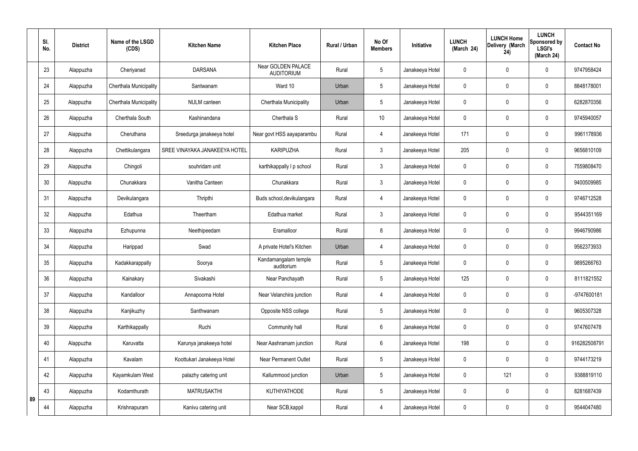|    | SI.<br>No. | <b>District</b> | Name of the LSGD<br>(CDS) | <b>Kitchen Name</b>           | <b>Kitchen Place</b>                    | <b>Rural / Urban</b> | No Of<br><b>Members</b> | Initiative      | <b>LUNCH</b><br>(March 24) | <b>LUNCH Home</b><br>Delivery (March<br>24) | <b>LUNCH</b><br>Sponsored by<br><b>LSGI's</b><br>(March 24) | <b>Contact No</b> |
|----|------------|-----------------|---------------------------|-------------------------------|-----------------------------------------|----------------------|-------------------------|-----------------|----------------------------|---------------------------------------------|-------------------------------------------------------------|-------------------|
|    | 23         | Alappuzha       | Cheriyanad                | <b>DARSANA</b>                | Near GOLDEN PALACE<br><b>AUDITORIUM</b> | Rural                | 5                       | Janakeeya Hotel |                            | $\mathbf 0$                                 | $\mathbf 0$                                                 | 9747958424        |
|    | 24         | Alappuzha       | Cherthala Municipality    | Santwanam                     | Ward 10                                 | Urban                | 5                       | Janakeeya Hotel | 0                          | $\mathbf 0$                                 | $\mathbf 0$                                                 | 8848178001        |
|    | 25         | Alappuzha       | Cherthala Municipality    | NULM canteen                  | Cherthala Municipality                  | Urban                | 5                       | Janakeeya Hotel | 0                          | $\mathbf 0$                                 | $\mathbf 0$                                                 | 6282870356        |
|    | 26         | Alappuzha       | Cherthala South           | Kashinandana                  | Cherthala S                             | Rural                | 10                      | Janakeeya Hotel | 0                          | $\mathbf 0$                                 | $\mathbf 0$                                                 | 9745940057        |
|    | 27         | Alappuzha       | Cheruthana                | Sreedurga janakeeya hotel     | Near govt HSS aayaparambu               | Rural                | $\overline{4}$          | Janakeeya Hotel | 171                        | $\mathbf 0$                                 | $\mathbf 0$                                                 | 9961178936        |
|    | 28         | Alappuzha       | Chettikulangara           | SREE VINAYAKA JANAKEEYA HOTEL | <b>KARIPUZHA</b>                        | Rural                | $\mathfrak{Z}$          | Janakeeya Hotel | 205                        | $\mathbf 0$                                 | $\mathbf 0$                                                 | 9656810109        |
|    | 29         | Alappuzha       | Chingoli                  | souhridam unit                | karthikappally I p school               | Rural                | 3                       | Janakeeya Hotel | 0                          | $\mathbf 0$                                 | $\mathbf 0$                                                 | 7559808470        |
|    | 30         | Alappuzha       | Chunakkara                | Vanitha Canteen               | Chunakkara                              | Rural                | 3                       | Janakeeya Hotel | 0                          | $\mathbf 0$                                 | $\boldsymbol{0}$                                            | 9400509985        |
|    | 31         | Alappuzha       | Devikulangara             | Thripthi                      | Buds school, devikulangara              | Rural                | $\overline{4}$          | Janakeeya Hotel | 0                          | $\mathbf 0$                                 | $\mathbf 0$                                                 | 9746712528        |
|    | 32         | Alappuzha       | Edathua                   | Theertham                     | Edathua market                          | Rural                | 3                       | Janakeeya Hotel | $\mathbf 0$                | $\mathbf 0$                                 | $\mathbf 0$                                                 | 9544351169        |
|    | 33         | Alappuzha       | Ezhupunna                 | Neethipeedam                  | Eramalloor                              | Rural                | 8                       | Janakeeya Hotel | 0                          | $\mathbf 0$                                 | $\mathbf 0$                                                 | 9946790986        |
|    | 34         | Alappuzha       | Harippad                  | Swad                          | A private Hotel's Kitchen               | Urban                | $\overline{4}$          | Janakeeya Hotel | 0                          | $\mathbf 0$                                 | $\boldsymbol{0}$                                            | 9562373933        |
|    | 35         | Alappuzha       | Kadakkarappally           | Soorya                        | Kandamangalam temple<br>auditorium      | Rural                | 5                       | Janakeeya Hotel | 0                          | $\mathbf 0$                                 | $\mathbf 0$                                                 | 9895266763        |
|    | 36         | Alappuzha       | Kainakary                 | Sivakashi                     | Near Panchayath                         | Rural                | 5                       | Janakeeya Hotel | 125                        | $\mathbf 0$                                 | $\pmb{0}$                                                   | 8111821552        |
|    | 37         | Alappuzha       | Kandalloor                | Annapoorna Hotel              | Near Velanchira junction                | Rural                | $\overline{4}$          | Janakeeya Hotel | 0                          | $\mathbf 0$                                 | $\mathsf{0}$                                                | -9747600181       |
|    | 38         | Alappuzha       | Kanjikuzhy                | Santhwanam                    | Opposite NSS college                    | Rural                | 5                       | Janakeeya Hotel | $\mathbf 0$                | $\pmb{0}$                                   | $\pmb{0}$                                                   | 9605307328        |
|    | 39         | Alappuzha       | Karthikappally            | Ruchi                         | Community hall                          | Rural                | $6\phantom{.}6$         | Janakeeya Hotel | 0                          | $\mathbf 0$                                 | $\boldsymbol{0}$                                            | 9747607478        |
|    | 40         | Alappuzha       | Karuvatta                 | Karunya janakeeya hotel       | Near Aashramam junction                 | Rural                | $6\phantom{.}6$         | Janakeeya Hotel | 198                        | $\boldsymbol{0}$                            | $\pmb{0}$                                                   | 916282508791      |
|    | 41         | Alappuzha       | Kavalam                   | Koottukari Janakeeya Hotel    | Near Permanent Outlet                   | Rural                | 5                       | Janakeeya Hotel | 0                          | $\mathbf 0$                                 | $\mathbf 0$                                                 | 9744173219        |
|    | 42         | Alappuzha       | Kayamkulam West           | palazhy catering unit         | Kallummood junction                     | Urban                | 5                       | Janakeeya Hotel | 0                          | 121                                         | $\mathbf 0$                                                 | 9388819110        |
| 89 | 43         | Alappuzha       | Kodamthurath              | <b>MATRUSAKTHI</b>            | <b>KUTHIYATHODE</b>                     | Rural                | 5                       | Janakeeya Hotel | 0                          | $\mathbf 0$                                 | $\mathsf{0}$                                                | 8281687439        |
|    | 44         | Alappuzha       | Krishnapuram              | Kanivu catering unit          | Near SCB, kappil                        | Rural                | $\overline{4}$          | Janakeeya Hotel | 0                          | $\mathbf 0$                                 | $\pmb{0}$                                                   | 9544047480        |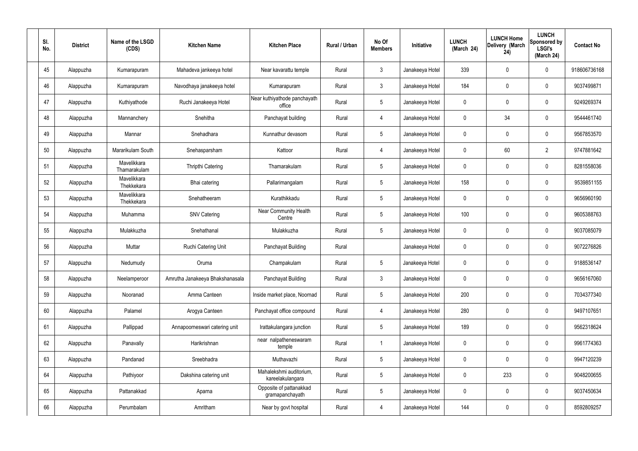| SI.<br>No. | <b>District</b> | Name of the LSGD<br>(CDS)   | <b>Kitchen Name</b>             | <b>Kitchen Place</b>                        | Rural / Urban | No Of<br><b>Members</b> | Initiative      | <b>LUNCH</b><br>(March 24) | <b>LUNCH Home</b><br>Delivery (March<br>24) | <b>LUNCH</b><br>Sponsored by<br><b>LSGI's</b><br>(March 24) | <b>Contact No</b> |
|------------|-----------------|-----------------------------|---------------------------------|---------------------------------------------|---------------|-------------------------|-----------------|----------------------------|---------------------------------------------|-------------------------------------------------------------|-------------------|
| 45         | Alappuzha       | Kumarapuram                 | Mahadeva jankeeya hotel         | Near kavarattu temple                       | Rural         | $\mathfrak{Z}$          | Janakeeya Hotel | 339                        | 0                                           | $\mathbf 0$                                                 | 918606736168      |
| 46         | Alappuzha       | Kumarapuram                 | Navodhaya janakeeya hotel       | Kumarapuram                                 | Rural         | $\mathbf{3}$            | Janakeeya Hotel | 184                        | 0                                           | $\pmb{0}$                                                   | 9037499871        |
| 47         | Alappuzha       | Kuthiyathode                | Ruchi Janakeeya Hotel           | Near kuthiyathode panchayath<br>office      | Rural         | $5\phantom{.0}$         | Janakeeya Hotel | 0                          | 0                                           | $\mathbf 0$                                                 | 9249269374        |
| 48         | Alappuzha       | Mannanchery                 | Snehitha                        | Panchayat building                          | Rural         | $\overline{4}$          | Janakeeya Hotel | $\mathbf 0$                | 34                                          | $\mathbf 0$                                                 | 9544461740        |
| 49         | Alappuzha       | Mannar                      | Snehadhara                      | Kunnathur devasom                           | Rural         | $5\phantom{.0}$         | Janakeeya Hotel | 0                          | 0                                           | $\mathbf 0$                                                 | 9567853570        |
| 50         | Alappuzha       | Mararikulam South           | Snehasparsham                   | Kattoor                                     | Rural         | 4                       | Janakeeya Hotel | $\mathbf 0$                | 60                                          | $\overline{2}$                                              | 9747881642        |
| 51         | Alappuzha       | Mavelikkara<br>Thamarakulam | Thripthi Catering               | Thamarakulam                                | Rural         | $\sqrt{5}$              | Janakeeya Hotel | 0                          | $\boldsymbol{0}$                            | $\mathbf 0$                                                 | 8281558036        |
| 52         | Alappuzha       | Mavelikkara<br>Thekkekara   | Bhai catering                   | Pallarimangalam                             | Rural         | $\sqrt{5}$              | Janakeeya Hotel | 158                        | 0                                           | $\mathbf 0$                                                 | 9539851155        |
| 53         | Alappuzha       | Mavelikkara<br>Thekkekara   | Snehatheeram                    | Kurathikkadu                                | Rural         | $5\phantom{.0}$         | Janakeeya Hotel | 0                          | $\boldsymbol{0}$                            | $\mathbf 0$                                                 | 9656960190        |
| 54         | Alappuzha       | Muhamma                     | <b>SNV Catering</b>             | <b>Near Community Health</b><br>Centre      | Rural         | $5\phantom{.0}$         | Janakeeya Hotel | 100                        | 0                                           | $\boldsymbol{0}$                                            | 9605388763        |
| 55         | Alappuzha       | Mulakkuzha                  | Snehathanal                     | Mulakkuzha                                  | Rural         | $5\phantom{.0}$         | Janakeeya Hotel | 0                          | 0                                           | $\boldsymbol{0}$                                            | 9037085079        |
| 56         | Alappuzha       | Muttar                      | Ruchi Catering Unit             | Panchayat Building                          | Rural         |                         | Janakeeya Hotel | 0                          | 0                                           | $\boldsymbol{0}$                                            | 9072276826        |
| 57         | Alappuzha       | Nedumudy                    | Oruma                           | Champakulam                                 | Rural         | $5\phantom{.0}$         | Janakeeya Hotel | 0                          | 0                                           | 0                                                           | 9188536147        |
| 58         | Alappuzha       | Neelamperoor                | Amrutha Janakeeya Bhakshanasala | Panchayat Building                          | Rural         | $\mathfrak{Z}$          | Janakeeya Hotel | $\mathbf 0$                | $\mathbf 0$                                 | $\mathbf 0$                                                 | 9656167060        |
| 59         | Alappuzha       | Nooranad                    | Amma Canteen                    | Inside market place, Noornad                | Rural         | $5\phantom{.0}$         | Janakeeya Hotel | 200                        | $\mathbf 0$                                 | $\mathbf 0$                                                 | 7034377340        |
| 60         | Alappuzha       | Palamel                     | Arogya Canteen                  | Panchayat office compound                   | Rural         | 4                       | Janakeeya Hotel | 280                        | $\mathbf 0$                                 | $\mathbf 0$                                                 | 9497107651        |
| 61         | Alappuzha       | Pallippad                   | Annapoorneswari catering unit   | Irattakulangara junction                    | Rural         | $5\phantom{.0}$         | Janakeeya Hotel | 189                        | $\mathbf 0$                                 | $\mathbf 0$                                                 | 9562318624        |
| 62         | Alappuzha       | Panavally                   | Harikrishnan                    | near nalpatheneswaram<br>temple             | Rural         | $\overline{1}$          | Janakeeya Hotel | $\mathbf 0$                | $\mathbf 0$                                 | $\mathbf 0$                                                 | 9961774363        |
| 63         | Alappuzha       | Pandanad                    | Sreebhadra                      | Muthavazhi                                  | Rural         | $5\,$                   | Janakeeya Hotel | $\mathbf 0$                | $\mathbf 0$                                 | $\mathbf 0$                                                 | 9947120239        |
| 64         | Alappuzha       | Pathiyoor                   | Dakshina catering unit          | Mahalekshmi auditorium,<br>kareelakulangara | Rural         | $5\phantom{.0}$         | Janakeeya Hotel | $\mathbf 0$                | 233                                         | $\mathbf 0$                                                 | 9048200655        |
| 65         | Alappuzha       | Pattanakkad                 | Aparna                          | Opposite of pattanakkad<br>gramapanchayath  | Rural         | $5\phantom{.0}$         | Janakeeya Hotel | $\mathbf 0$                | 0                                           | $\mathbf 0$                                                 | 9037450634        |
| 66         | Alappuzha       | Perumbalam                  | Amritham                        | Near by govt hospital                       | Rural         | 4                       | Janakeeya Hotel | 144                        | $\pmb{0}$                                   | $\boldsymbol{0}$                                            | 8592809257        |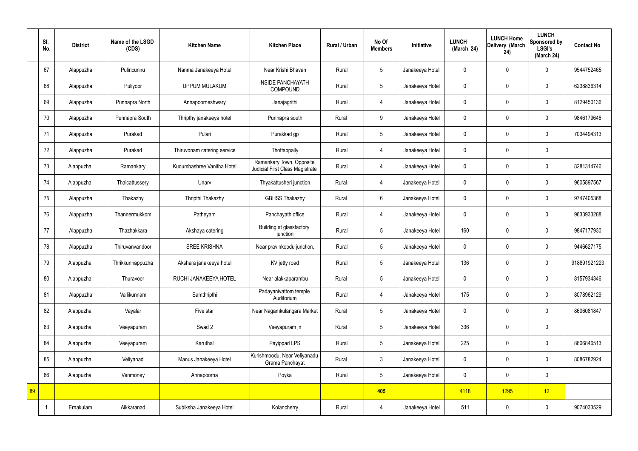|    | SI.<br>No. | <b>District</b> | Name of the LSGD<br>(CDS) | <b>Kitchen Name</b>         | <b>Kitchen Place</b>                                        | Rural / Urban | No Of<br><b>Members</b> | Initiative      | <b>LUNCH</b><br>(March 24) | <b>LUNCH Home</b><br>Delivery (March<br>24) | <b>LUNCH</b><br>Sponsored by<br><b>LSGI's</b><br>(March 24) | <b>Contact No</b> |
|----|------------|-----------------|---------------------------|-----------------------------|-------------------------------------------------------------|---------------|-------------------------|-----------------|----------------------------|---------------------------------------------|-------------------------------------------------------------|-------------------|
|    | 67         | Alappuzha       | Pulincunnu                | Nanma Janakeeya Hotel       | Near Krishi Bhavan                                          | Rural         | 5                       | Janakeeya Hotel | $\mathbf 0$                | $\mathbf 0$                                 | $\mathbf 0$                                                 | 9544752465        |
|    | 68         | Alappuzha       | Puliyoor                  | <b>UPPUM MULAKUM</b>        | <b>INSIDE PANCHAYATH</b><br><b>COMPOUND</b>                 | Rural         | $5\overline{)}$         | Janakeeya Hotel | $\mathbf 0$                | $\mathbf 0$                                 | $\mathbf 0$                                                 | 6238836314        |
|    | 69         | Alappuzha       | Punnapra North            | Annapoorneshwary            | Janajagrithi                                                | Rural         | $\overline{4}$          | Janakeeya Hotel | $\mathbf 0$                | $\mathbf 0$                                 | $\mathbf 0$                                                 | 8129450136        |
|    | 70         | Alappuzha       | Punnapra South            | Thripthy janakeeya hotel    | Punnapra south                                              | Rural         | 9                       | Janakeeya Hotel | $\mathbf 0$                | $\mathbf 0$                                 | $\mathbf 0$                                                 | 9846179646        |
|    | 71         | Alappuzha       | Purakad                   | Pulari                      | Purakkad gp                                                 | Rural         | $5\phantom{.0}$         | Janakeeya Hotel | $\mathbf 0$                | $\mathbf 0$                                 | $\mathbf 0$                                                 | 7034494313        |
|    | 72         | Alappuzha       | Purakad                   | Thiruvonam catering service | Thottappally                                                | Rural         | $\overline{4}$          | Janakeeya Hotel | $\mathbf 0$                | $\mathbf 0$                                 | $\mathbf 0$                                                 |                   |
|    | 73         | Alappuzha       | Ramankary                 | Kudumbashree Vanitha Hotel  | Ramankary Town, Opposite<br>Judicial First Class Magistrate | Rural         | $\overline{4}$          | Janakeeya Hotel | $\mathbf 0$                | $\mathbf 0$                                 | $\mathbf 0$                                                 | 8281314746        |
|    | 74         | Alappuzha       | Thaicattussery            | Unarv                       | Thyakattusheri junction                                     | Rural         | 4                       | Janakeeya Hotel | $\mathbf 0$                | $\mathbf 0$                                 | $\mathbf 0$                                                 | 9605897567        |
|    | 75         | Alappuzha       | Thakazhy                  | Thripthi Thakazhy           | <b>GBHSS Thakazhy</b>                                       | Rural         | $6\overline{6}$         | Janakeeya Hotel | $\mathbf 0$                | $\mathbf 0$                                 | $\mathbf 0$                                                 | 9747405368        |
|    | 76         | Alappuzha       | Thannermukkom             | Patheyam                    | Panchayath office                                           | Rural         | $\overline{4}$          | Janakeeya Hotel | $\mathbf 0$                | $\mathbf 0$                                 | $\mathbf 0$                                                 | 9633933288        |
|    | 77         | Alappuzha       | Thazhakkara               | Akshaya catering            | Building at glassfactory<br>junction                        | Rural         | $5\phantom{.0}$         | Janakeeya Hotel | 160                        | $\mathbf 0$                                 | $\mathbf 0$                                                 | 9847177930        |
|    | 78         | Alappuzha       | Thiruvanvandoor           | <b>SREE KRISHNA</b>         | Near pravinkoodu junction,                                  | Rural         | $5\overline{)}$         | Janakeeya Hotel | $\mathbf 0$                | $\mathbf 0$                                 | $\mathbf 0$                                                 | 9446627175        |
|    | 79         | Alappuzha       | Thrikkunnappuzha          | Akshara janakeeya hotel     | KV jetty road                                               | Rural         | $5\overline{)}$         | Janakeeya Hotel | 136                        | $\mathbf 0$                                 | $\mathbf 0$                                                 | 918891921223      |
|    | 80         | Alappuzha       | Thuravoor                 | RUCHI JANAKEEYA HOTEL       | Near alakkaparambu                                          | Rural         | $5\phantom{.0}$         | Janakeeya Hotel | $\mathbf 0$                | $\mathbf 0$                                 | $\mathbf 0$                                                 | 8157934346        |
|    | 81         | Alappuzha       | Vallikunnam               | Samthripthi                 | Padayanivattom temple<br>Auditorium                         | Rural         | $\overline{4}$          | Janakeeya Hotel | 175                        | $\mathbf 0$                                 | $\mathbf 0$                                                 | 8078962129        |
|    | 82         | Alappuzha       | Vayalar                   | Five star                   | Near Nagamkulangara Market                                  | Rural         | $5\overline{)}$         | Janakeeya Hotel | $\pmb{0}$                  | $\mathbf 0$                                 | $\mathbf 0$                                                 | 8606081847        |
|    | 83         | Alappuzha       | Veeyapuram                | Swad 2                      | Veeyapuram jn                                               | Rural         | $5\phantom{.0}$         | Janakeeya Hotel | 336                        | $\pmb{0}$                                   | $\mathbf 0$                                                 |                   |
|    | 84         | Alappuzha       | Veeyapuram                | Karuthal                    | Payippad LPS                                                | Rural         | $5\phantom{.0}$         | Janakeeya Hotel | 225                        | $\pmb{0}$                                   | $\mathbf 0$                                                 | 8606846513        |
|    | 85         | Alappuzha       | Veliyanad                 | Manus Janakeeya Hotel       | Kurishmoodu, Near Veliyanadu<br>Grama Panchayat             | Rural         | $\mathbf{3}$            | Janakeeya Hotel | $\pmb{0}$                  | $\mathbf 0$                                 | $\mathbf 0$                                                 | 8086782924        |
|    | 86         | Alappuzha       | Venmoney                  | Annapoorna                  | Poyka                                                       | Rural         | $5\overline{)}$         | Janakeeya Hotel | $\pmb{0}$                  | $\mathbf 0$                                 | $\mathbf 0$                                                 |                   |
| 89 |            |                 |                           |                             |                                                             |               | 405                     |                 | 4118                       | 1295                                        | 12                                                          |                   |
|    |            | Ernakulam       | Aikkaranad                | Subiksha Janakeeya Hotel    | Kolancherry                                                 | Rural         | 4                       | Janakeeya Hotel | 511                        | $\pmb{0}$                                   | $\mathbf 0$                                                 | 9074033529        |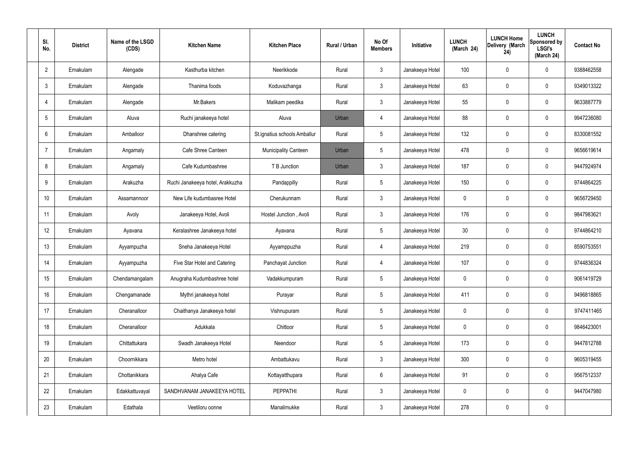| SI.<br>No.      | <b>District</b> | Name of the LSGD<br>(CDS) | <b>Kitchen Name</b>              | <b>Kitchen Place</b>         | Rural / Urban | No Of<br><b>Members</b> | Initiative      | <b>LUNCH</b><br>(March 24) | <b>LUNCH Home</b><br>Delivery (March<br>24) | <b>LUNCH</b><br>Sponsored by<br><b>LSGI's</b><br>(March 24) | <b>Contact No</b> |
|-----------------|-----------------|---------------------------|----------------------------------|------------------------------|---------------|-------------------------|-----------------|----------------------------|---------------------------------------------|-------------------------------------------------------------|-------------------|
| $\overline{2}$  | Ernakulam       | Alengade                  | Kasthurba kitchen                | Neerikkode                   | Rural         | $\mathbf{3}$            | Janakeeya Hotel | 100                        | $\mathbf 0$                                 | 0                                                           | 9388462558        |
| $\mathbf{3}$    | Ernakulam       | Alengade                  | Thanima foods                    | Koduvazhanga                 | Rural         | $\mathbf{3}$            | Janakeeya Hotel | 63                         | $\mathbf 0$                                 | 0                                                           | 9349013322        |
| $\overline{4}$  | Ernakulam       | Alengade                  | Mr.Bakers                        | Malikam peedika              | Rural         | $\mathbf{3}$            | Janakeeya Hotel | 55                         | $\mathbf 0$                                 | 0                                                           | 9633887779        |
| $5\overline{)}$ | Ernakulam       | Aluva                     | Ruchi janakeeya hotel            | Aluva                        | Urban         | $\overline{4}$          | Janakeeya Hotel | 88                         | $\mathbf 0$                                 | 0                                                           | 9947236080        |
| 6               | Ernakulam       | Amballoor                 | Dhanshree catering               | St.ignatius schools Amballur | Rural         | $5\phantom{.0}$         | Janakeeya Hotel | 132                        | $\mathbf 0$                                 | 0                                                           | 8330081552        |
| $\overline{7}$  | Ernakulam       | Angamaly                  | Cafe Shree Canteen               | <b>Municipality Canteen</b>  | Urban         | $5\phantom{.0}$         | Janakeeya Hotel | 478                        | $\mathbf 0$                                 | 0                                                           | 9656619614        |
| 8               | Ernakulam       | Angamaly                  | Cafe Kudumbashree                | T B Junction                 | Urban         | $\mathbf{3}$            | Janakeeya Hotel | 187                        | $\mathbf 0$                                 | 0                                                           | 9447924974        |
| 9               | Ernakulam       | Arakuzha                  | Ruchi Janakeeya hotel, Arakkuzha | Pandappilly                  | Rural         | $5\phantom{.0}$         | Janakeeya Hotel | 150                        | $\mathbf 0$                                 | 0                                                           | 9744864225        |
| 10              | Ernakulam       | Assamannoor               | New Life kudumbasree Hotel       | Cherukunnam                  | Rural         | $\mathbf{3}$            | Janakeeya Hotel | $\mathbf 0$                | $\mathbf 0$                                 | 0                                                           | 9656729450        |
| 11              | Ernakulam       | Avoly                     | Janakeeya Hotel, Avoli           | Hostel Junction, Avoli       | Rural         | $\mathbf{3}$            | Janakeeya Hotel | 176                        | $\mathbf 0$                                 | 0                                                           | 9847983621        |
| 12              | Ernakulam       | Ayavana                   | Keralashree Janakeeya hotel      | Ayavana                      | Rural         | $5\phantom{.0}$         | Janakeeya Hotel | 30                         | 0                                           | 0                                                           | 9744864210        |
| 13              | Ernakulam       | Ayyampuzha                | Sneha Janakeeya Hotel            | Ayyamppuzha                  | Rural         | $\overline{4}$          | Janakeeya Hotel | 219                        | 0                                           | 0                                                           | 8590753551        |
| 14              | Ernakulam       | Ayyampuzha                | Five Star Hotel and Catering     | Panchayat Junction           | Rural         | $\overline{4}$          | Janakeeya Hotel | 107                        | $\mathbf 0$                                 | 0                                                           | 9744836324        |
| 15              | Ernakulam       | Chendamangalam            | Anugraha Kudumbashree hotel      | Vadakkumpuram                | Rural         | $5\phantom{.0}$         | Janakeeya Hotel | $\mathbf 0$                | $\mathbf 0$                                 | 0                                                           | 9061419729        |
| 16              | Ernakulam       | Chengamanade              | Mythri janakeeya hotel           | Purayar                      | Rural         | $5\phantom{.0}$         | Janakeeya Hotel | 411                        | $\pmb{0}$                                   | 0                                                           | 9496818865        |
| 17              | Ernakulam       | Cheranalloor              | Chaithanya Janakeeya hotel       | Vishnupuram                  | Rural         | $5\phantom{.0}$         | Janakeeya Hotel | $\mathbf 0$                | $\mathbf 0$                                 | 0                                                           | 9747411465        |
| 18              | Ernakulam       | Cheranalloor              | Adukkala                         | Chittoor                     | Rural         | $5\phantom{.0}$         | Janakeeya Hotel | $\mathbf 0$                | $\mathbf 0$                                 | 0                                                           | 9846423001        |
| 19              | Ernakulam       | Chittattukara             | Swadh Janakeeya Hotel            | Neendoor                     | Rural         | $5\phantom{.0}$         | Janakeeya Hotel | 173                        | $\pmb{0}$                                   | 0                                                           | 9447812788        |
| 20              | Ernakulam       | Choornikkara              | Metro hotel                      | Ambattukavu                  | Rural         | $\mathbf{3}$            | Janakeeya Hotel | 300                        | $\mathbf 0$                                 | 0                                                           | 9605319455        |
| 21              | Ernakulam       | Chottanikkara             | Ahalya Cafe                      | Kottayatthupara              | Rural         | $6\phantom{.}6$         | Janakeeya Hotel | 91                         | $\mathbf 0$                                 | 0                                                           | 9567512337        |
| 22              | Ernakulam       | Edakkattuvayal            | SANDHVANAM JANAKEEYA HOTEL       | <b>PEPPATHI</b>              | Rural         | $\mathbf{3}$            | Janakeeya Hotel | $\mathbf 0$                | $\mathbf 0$                                 | $\mathbf 0$                                                 | 9447047980        |
| 23              | Ernakulam       | Edathala                  | Veetiloru oonne                  | Manalimukke                  | Rural         | $\mathbf{3}$            | Janakeeya Hotel | 278                        | $\pmb{0}$                                   | 0                                                           |                   |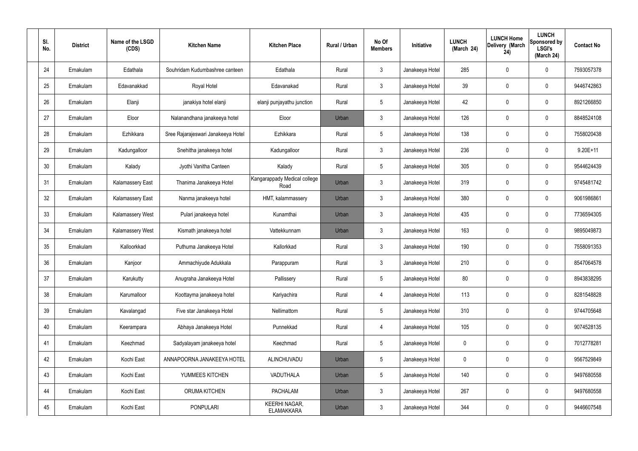| SI.<br>No. | <b>District</b> | Name of the LSGD<br>(CDS) | <b>Kitchen Name</b>                | <b>Kitchen Place</b>                      | Rural / Urban | No Of<br><b>Members</b> | Initiative      | <b>LUNCH</b><br>(March 24) | <b>LUNCH Home</b><br>Delivery (March<br>24) | <b>LUNCH</b><br>Sponsored by<br><b>LSGI's</b><br>(March 24) | <b>Contact No</b> |
|------------|-----------------|---------------------------|------------------------------------|-------------------------------------------|---------------|-------------------------|-----------------|----------------------------|---------------------------------------------|-------------------------------------------------------------|-------------------|
| 24         | Ernakulam       | Edathala                  | Souhridam Kudumbashree canteen     | Edathala                                  | Rural         | $\mathfrak{Z}$          | Janakeeya Hotel | 285                        | $\mathbf 0$                                 | $\mathbf 0$                                                 | 7593057378        |
| 25         | Ernakulam       | Edavanakkad               | Royal Hotel                        | Edavanakad                                | Rural         | $\mathbf{3}$            | Janakeeya Hotel | 39                         | 0                                           | $\mathbf 0$                                                 | 9446742863        |
| 26         | Ernakulam       | Elanji                    | janakiya hotel elanji              | elanji punjayathu junction                | Rural         | $5\phantom{.0}$         | Janakeeya Hotel | 42                         | 0                                           | $\mathbf 0$                                                 | 8921266850        |
| 27         | Ernakulam       | Eloor                     | Nalanandhana janakeeya hotel       | Eloor                                     | Urban         | $\mathfrak{Z}$          | Janakeeya Hotel | 126                        | 0                                           | $\mathbf 0$                                                 | 8848524108        |
| 28         | Ernakulam       | Ezhikkara                 | Sree Rajarajeswari Janakeeya Hotel | Ezhikkara                                 | Rural         | $5\phantom{.0}$         | Janakeeya Hotel | 138                        | 0                                           | $\mathbf 0$                                                 | 7558020438        |
| 29         | Ernakulam       | Kadungalloor              | Snehitha janakeeya hotel           | Kadungalloor                              | Rural         | $\mathbf{3}$            | Janakeeya Hotel | 236                        | 0                                           | $\mathbf 0$                                                 | $9.20E+11$        |
| 30         | Ernakulam       | Kalady                    | Jyothi Vanitha Canteen             | Kalady                                    | Rural         | $5\overline{)}$         | Janakeeya Hotel | 305                        | $\mathbf 0$                                 | $\mathbf 0$                                                 | 9544624439        |
| 31         | Ernakulam       | <b>Kalamassery East</b>   | Thanima Janakeeya Hotel            | Kangarappady Medical college<br>Road      | Urban         | $\mathfrak{Z}$          | Janakeeya Hotel | 319                        | 0                                           | $\mathbf 0$                                                 | 9745481742        |
| 32         | Ernakulam       | <b>Kalamassery East</b>   | Nanma janakeeya hotel              | HMT, kalammassery                         | Urban         | $\mathbf{3}$            | Janakeeya Hotel | 380                        | 0                                           | $\mathbf 0$                                                 | 9061986861        |
| 33         | Ernakulam       | Kalamassery West          | Pulari janakeeya hotel             | Kunamthai                                 | Urban         | $\mathbf{3}$            | Janakeeya Hotel | 435                        | 0                                           | $\mathbf 0$                                                 | 7736594305        |
| 34         | Ernakulam       | Kalamassery West          | Kismath janakeeya hotel            | Vattekkunnam                              | Urban         | $\mathfrak{Z}$          | Janakeeya Hotel | 163                        | 0                                           | $\boldsymbol{0}$                                            | 9895049873        |
| 35         | Ernakulam       | Kalloorkkad               | Puthuma Janakeeya Hotel            | Kallorkkad                                | Rural         | $\mathbf{3}$            | Janakeeya Hotel | 190                        | 0                                           | $\boldsymbol{0}$                                            | 7558091353        |
| 36         | Ernakulam       | Kanjoor                   | Ammachiyude Adukkala               | Parappuram                                | Rural         | $\mathbf{3}$            | Janakeeya Hotel | 210                        | 0                                           | 0                                                           | 8547064578        |
| 37         | Ernakulam       | Karukutty                 | Anugraha Janakeeya Hotel           | Pallissery                                | Rural         | $5\,$                   | Janakeeya Hotel | 80                         | 0                                           | $\mathbf 0$                                                 | 8943838295        |
| 38         | Ernakulam       | Karumalloor               | Koottayma janakeeya hotel          | Kariyachira                               | Rural         | $\overline{4}$          | Janakeeya Hotel | 113                        | $\mathbf 0$                                 | $\mathbf 0$                                                 | 8281548828        |
| 39         | Ernakulam       | Kavalangad                | Five star Janakeeya Hotel          | Nellimattom                               | Rural         | $5\phantom{.0}$         | Janakeeya Hotel | 310                        | $\mathbf 0$                                 | $\mathbf 0$                                                 | 9744705648        |
| 40         | Ernakulam       | Keerampara                | Abhaya Janakeeya Hotel             | Punnekkad                                 | Rural         | $\overline{4}$          | Janakeeya Hotel | 105                        | $\mathbf 0$                                 | $\mathbf 0$                                                 | 9074528135        |
| 41         | Ernakulam       | Keezhmad                  | Sadyalayam janakeeya hotel         | Keezhmad                                  | Rural         | $5\phantom{.0}$         | Janakeeya Hotel | $\mathbf 0$                | $\mathbf 0$                                 | $\mathbf 0$                                                 | 7012778281        |
| 42         | Ernakulam       | Kochi East                | ANNAPOORNA JANAKEEYA HOTEL         | ALINCHUVADU                               | Urban         | $5\phantom{.0}$         | Janakeeya Hotel | $\mathbf 0$                | 0                                           | $\mathbf 0$                                                 | 9567529849        |
| 43         | Ernakulam       | Kochi East                | YUMMEES KITCHEN                    | VADUTHALA                                 | Urban         | $5\phantom{.0}$         | Janakeeya Hotel | 140                        | 0                                           | $\mathbf 0$                                                 | 9497680558        |
| 44         | Ernakulam       | Kochi East                | ORUMA KITCHEN                      | <b>PACHALAM</b>                           | Urban         | $\mathbf{3}$            | Janakeeya Hotel | 267                        | $\mathbf 0$                                 | $\mathbf 0$                                                 | 9497680558        |
| 45         | Ernakulam       | Kochi East                | PONPULARI                          | <b>KEERHI NAGAR,</b><br><b>ELAMAKKARA</b> | Urban         | $\mathfrak{Z}$          | Janakeeya Hotel | 344                        | 0                                           | $\bf{0}$                                                    | 9446607548        |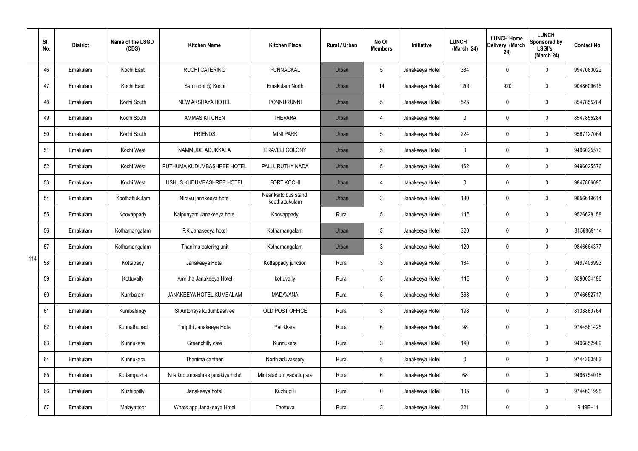|     | SI.<br>No. | <b>District</b> | Name of the LSGD<br>(CDS) | <b>Kitchen Name</b>              | <b>Kitchen Place</b>                   | <b>Rural / Urban</b> | No Of<br><b>Members</b> | Initiative      | <b>LUNCH</b><br>(March 24) | <b>LUNCH Home</b><br>Delivery (March<br>24) | <b>LUNCH</b><br>Sponsored by<br><b>LSGI's</b><br>(March 24) | <b>Contact No</b> |
|-----|------------|-----------------|---------------------------|----------------------------------|----------------------------------------|----------------------|-------------------------|-----------------|----------------------------|---------------------------------------------|-------------------------------------------------------------|-------------------|
|     | 46         | Ernakulam       | Kochi East                | <b>RUCHI CATERING</b>            | PUNNACKAL                              | Urban                | 5                       | Janakeeya Hotel | 334                        | 0                                           | $\mathbf 0$                                                 | 9947080022        |
|     | 47         | Ernakulam       | Kochi East                | Samrudhi @ Kochi                 | Ernakulam North                        | Urban                | 14                      | Janakeeya Hotel | 1200                       | 920                                         | $\boldsymbol{0}$                                            | 9048609615        |
|     | 48         | Ernakulam       | Kochi South               | NEW AKSHAYA HOTEL                | <b>PONNURUNNI</b>                      | Urban                | 5                       | Janakeeya Hotel | 525                        | 0                                           | $\pmb{0}$                                                   | 8547855284        |
|     | 49         | Ernakulam       | Kochi South               | <b>AMMAS KITCHEN</b>             | <b>THEVARA</b>                         | Urban                | 4                       | Janakeeya Hotel | 0                          | 0                                           | $\boldsymbol{0}$                                            | 8547855284        |
|     | 50         | Ernakulam       | Kochi South               | <b>FRIENDS</b>                   | <b>MINI PARK</b>                       | Urban                | 5                       | Janakeeya Hotel | 224                        | 0                                           | $\pmb{0}$                                                   | 9567127064        |
|     | 51         | Ernakulam       | Kochi West                | NAMMUDE ADUKKALA                 | <b>ERAVELI COLONY</b>                  | Urban                | 5                       | Janakeeya Hotel | 0                          | 0                                           | $\pmb{0}$                                                   | 9496025576        |
|     | 52         | Ernakulam       | Kochi West                | PUTHUMA KUDUMBASHREE HOTEL       | PALLURUTHY NADA                        | Urban                | 5                       | Janakeeya Hotel | 162                        | 0                                           | $\pmb{0}$                                                   | 9496025576        |
|     | 53         | Ernakulam       | Kochi West                | USHUS KUDUMBASHREE HOTEL         | <b>FORT KOCHI</b>                      | Urban                | 4                       | Janakeeya Hotel | 0                          | 0                                           | $\pmb{0}$                                                   | 9847866090        |
|     | 54         | Ernakulam       | Koothattukulam            | Niravu janakeeya hotel           | Near ksrtc bus stand<br>koothattukulam | Urban                | $\mathfrak{Z}$          | Janakeeya Hotel | 180                        | 0                                           | $\pmb{0}$                                                   | 9656619614        |
|     | 55         | Ernakulam       | Koovappady                | Kaipunyam Janakeeya hotel        | Koovappady                             | Rural                | 5                       | Janakeeya Hotel | 115                        | 0                                           | $\pmb{0}$                                                   | 9526628158        |
|     | 56         | Ernakulam       | Kothamangalam             | P.K Janakeeya hotel              | Kothamangalam                          | Urban                | $\mathbf{3}$            | Janakeeya Hotel | 320                        | 0                                           | $\pmb{0}$                                                   | 8156869114        |
|     | 57         | Ernakulam       | Kothamangalam             | Thanima catering unit            | Kothamangalam                          | Urban                | $\mathbf{3}$            | Janakeeya Hotel | 120                        | 0                                           | $\pmb{0}$                                                   | 9846664377        |
| 114 | 58         | Ernakulam       | Kottapady                 | Janakeeya Hotel                  | Kottappady junction                    | Rural                | $\mathbf{3}$            | Janakeeya Hotel | 184                        | 0                                           | $\mathbf 0$                                                 | 9497406993        |
|     | 59         | Ernakulam       | Kottuvally                | Amritha Janakeeya Hotel          | kottuvally                             | Rural                | 5                       | Janakeeya Hotel | 116                        | 0                                           | $\mathbf 0$                                                 | 8590034196        |
|     | 60         | Ernakulam       | Kumbalam                  | JANAKEEYA HOTEL KUMBALAM         | <b>MADAVANA</b>                        | Rural                | $5\phantom{.0}$         | Janakeeya Hotel | 368                        | 0                                           | $\pmb{0}$                                                   | 9746652717        |
|     | 61         | Ernakulam       | Kumbalangy                | St Antoneys kudumbashree         | OLD POST OFFICE                        | Rural                | $\mathfrak{Z}$          | Janakeeya Hotel | 198                        | 0                                           | $\pmb{0}$                                                   | 8138860764        |
|     | 62         | Ernakulam       | Kunnathunad               | Thripthi Janakeeya Hotel         | Pallikkara                             | Rural                | $6\phantom{.}6$         | Janakeeya Hotel | 98                         | 0                                           | $\pmb{0}$                                                   | 9744561425        |
|     | 63         | Ernakulam       | Kunnukara                 | Greenchilly cafe                 | Kunnukara                              | Rural                | $\mathbf{3}$            | Janakeeya Hotel | 140                        | 0                                           | $\pmb{0}$                                                   | 9496852989        |
|     | 64         | Ernakulam       | Kunnukara                 | Thanima canteen                  | North aduvassery                       | Rural                | $5\phantom{.0}$         | Janakeeya Hotel | 0                          | 0                                           | $\pmb{0}$                                                   | 9744200583        |
|     | 65         | Ernakulam       | Kuttampuzha               | Nila kudumbashree janakiya hotel | Mini stadium, vadattupara              | Rural                | $6\phantom{.}6$         | Janakeeya Hotel | 68                         | 0                                           | $\mathbf 0$                                                 | 9496754018        |
|     | 66         | Ernakulam       | Kuzhippilly               | Janakeeya hotel                  | Kuzhupilli                             | Rural                | $\mathbf 0$             | Janakeeya Hotel | 105                        | 0                                           | $\mathbf 0$                                                 | 9744631998        |
|     | 67         | Ernakulam       | Malayattoor               | Whats app Janakeeya Hotel        | Thottuva                               | Rural                | $\mathfrak{Z}$          | Janakeeya Hotel | 321                        | 0                                           | $\pmb{0}$                                                   | $9.19E + 11$      |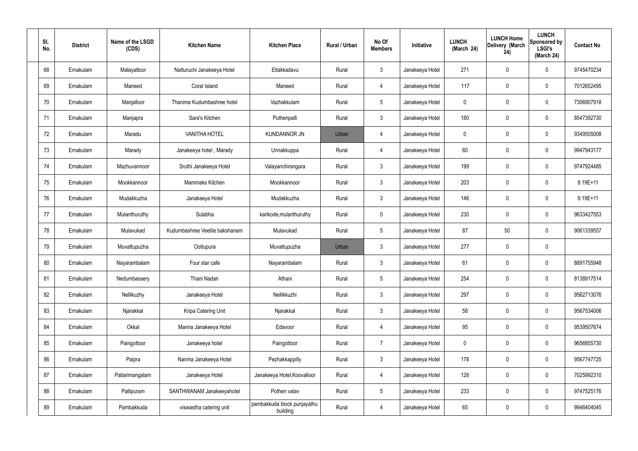| SI.<br>No. | <b>District</b> | Name of the LSGD<br>(CDS) | <b>Kitchen Name</b>            | <b>Kitchen Place</b>                    | Rural / Urban | No Of<br><b>Members</b> | Initiative      | <b>LUNCH</b><br>(March 24) | <b>LUNCH Home</b><br>Delivery (March<br>24) | <b>LUNCH</b><br>Sponsored by<br><b>LSGI's</b><br>(March 24) | <b>Contact No</b> |
|------------|-----------------|---------------------------|--------------------------------|-----------------------------------------|---------------|-------------------------|-----------------|----------------------------|---------------------------------------------|-------------------------------------------------------------|-------------------|
| 68         | Ernakulam       | Malayattoor               | Natturuchi Janakeeya Hotel     | Ettakkadavu                             | Rural         | $\mathbf{3}$            | Janakeeya Hotel | 271                        | 0                                           | $\mathbf 0$                                                 | 9745470234        |
| 69         | Ernakulam       | Maneed                    | Coral Island                   | Maneed                                  | Rural         | $\overline{4}$          | Janakeeya Hotel | 117                        | 0                                           | $\mathbf 0$                                                 | 7012652495        |
| 70         | Ernakulam       | Manjalloor                | Thanima Kudumbashree hotel     | Vazhakkulam                             | Rural         | $5\phantom{.0}$         | Janakeeya Hotel | 0                          | 0                                           | $\mathbf 0$                                                 | 7306907918        |
| 71         | Ernakulam       | Manjapra                  | Sara's Kitchen                 | Puthenpalli                             | Rural         | $\mathbf{3}$            | Janakeeya Hotel | 180                        | 0                                           | $\mathbf 0$                                                 | 8547392730        |
| 72         | Ernakulam       | Maradu                    | <b>VANITHA HOTEL</b>           | <b>KUNDANNOR JN</b>                     | Urban         | $\overline{4}$          | Janakeeya Hotel | 0                          | 0                                           | $\mathbf 0$                                                 | 9349505008        |
| 73         | Ernakulam       | Marady                    | Janakeeya hotel, Marady        | Unnakkuppa                              | Rural         | $\overline{4}$          | Janakeeya Hotel | 60                         | 0                                           | $\boldsymbol{0}$                                            | 9947943177        |
| 74         | Ernakulam       | Mazhuvannoor              | Sruthi Janakeeya Hotel         | Valayanchirangara                       | Rural         | $\mathbf{3}$            | Janakeeya Hotel | 199                        | 0                                           | $\mathbf 0$                                                 | 9747924485        |
| 75         | Ernakulam       | Mookkannoor               | Mammaks Kitchen                | Mookkannoor                             | Rural         | $\mathbf{3}$            | Janakeeya Hotel | 203                        | 0                                           | $\boldsymbol{0}$                                            | 9.19E+11          |
| 76         | Ernakulam       | Mudakkuzha                | Janakeeya Hotel                | Mudakkuzha                              | Rural         | $\mathbf{3}$            | Janakeeya Hotel | 146                        | 0                                           | $\boldsymbol{0}$                                            | $9.19E + 11$      |
| 77         | Ernakulam       | Mulanthuruthy             | Sulabha                        | karikode, mulanthuruthy                 | Rural         | $\mathbf 0$             | Janakeeya Hotel | 230                        | 0                                           | $\mathbf 0$                                                 | 9633427553        |
| 78         | Ernakulam       | Mulavukad                 | Kudumbashree Veetile bakshanam | Mulavukad                               | Rural         | $5\phantom{.0}$         | Janakeeya Hotel | 87                         | 50                                          | $\mathbf 0$                                                 | 9061339557        |
| 79         | Ernakulam       | Muvattupuzha              | Oottupura                      | Muvattupuzha                            | Urban         | $\mathbf{3}$            | Janakeeya Hotel | 277                        | 0                                           | $\pmb{0}$                                                   |                   |
| 80         | Ernakulam       | Nayarambalam              | Four star cafe                 | Nayarambalam                            | Rural         | $\mathbf{3}$            | Janakeeya Hotel | 61                         | $\boldsymbol{0}$                            | 0                                                           | 8891755948        |
| 81         | Ernakulam       | Nedumbassery              | Thani Nadan                    | Athani                                  | Rural         | $\sqrt{5}$              | Janakeeya Hotel | 254                        | 0                                           | $\mathbf 0$                                                 | 8138917514        |
| 82         | Ernakulam       | Nellikuzhy                | Janakeeya Hotel                | Nellikkuzhi                             | Rural         | 3 <sup>1</sup>          | Janakeeya Hotel | 297                        | 0                                           | $\mathbf 0$                                                 | 9562713076        |
| 83         | Ernakulam       | Njarakkal                 | Kripa Catering Unit            | Njarakkal                               | Rural         | $\mathbf{3}$            | Janakeeya Hotel | 58                         | 0                                           | $\mathbf 0$                                                 | 9567534006        |
| 84         | Ernakulam       | Okkal                     | Manna Janakeeya Hotel          | Edavoor                                 | Rural         | $\overline{4}$          | Janakeeya Hotel | 95                         | 0                                           | $\mathbf 0$                                                 | 9539507674        |
| 85         | Ernakulam       | Paingottoor               | Janakeeya hotel                | Paingottoor                             | Rural         | $\overline{7}$          | Janakeeya Hotel | $\pmb{0}$                  | 0                                           | $\mathbf 0$                                                 | 9656855730        |
| 86         | Ernakulam       | Paipra                    | Nanma Janakeeya Hotel          | Pezhakkappilly                          | Rural         | $\mathfrak{Z}$          | Janakeeya Hotel | 178                        | 0                                           | $\mathbf 0$                                                 | 9567747725        |
| 87         | Ernakulam       | Pallarimangalam           | Janakeeya Hotel                | Janakeeya Hotel, Koovalloor             | Rural         | $\overline{4}$          | Janakeeya Hotel | 128                        | 0                                           | $\mathbf 0$                                                 | 7025992310        |
| 88         | Ernakulam       | Pallipuram                | SANTHWANAM Janakeeyahotel      | Pothen valav                            | Rural         | $5\,$                   | Janakeeya Hotel | 233                        | 0                                           | $\mathbf 0$                                                 | 9747525176        |
| 89         | Ernakulam       | Pambakkuda                | viswastha catering unit        | pambakkuda block punjayathu<br>building | Rural         | $\overline{4}$          | Janakeeya Hotel | 65                         | 0                                           | $\mathbf 0$                                                 | 9946404045        |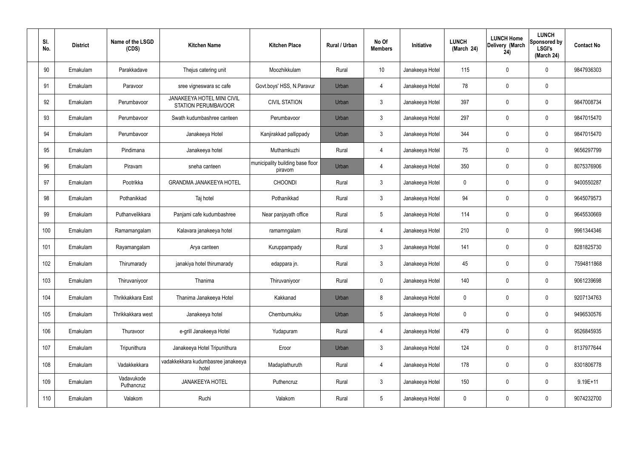| SI.<br>No. | <b>District</b> | Name of the LSGD<br>(CDS) | <b>Kitchen Name</b>                                             | <b>Kitchen Place</b>                        | Rural / Urban | No Of<br><b>Members</b> | Initiative      | <b>LUNCH</b><br>(March 24) | <b>LUNCH Home</b><br>Delivery (March<br>24) | <b>LUNCH</b><br>Sponsored by<br><b>LSGI's</b><br>(March 24) | <b>Contact No</b> |
|------------|-----------------|---------------------------|-----------------------------------------------------------------|---------------------------------------------|---------------|-------------------------|-----------------|----------------------------|---------------------------------------------|-------------------------------------------------------------|-------------------|
| 90         | Ernakulam       | Parakkadave               | Thejus catering unit                                            | Moozhikkulam                                | Rural         | 10                      | Janakeeya Hotel | 115                        | 0                                           | 0                                                           | 9847936303        |
| 91         | Ernakulam       | Paravoor                  | sree vigneswara sc cafe                                         | Govt.boys' HSS, N.Paravur                   | Urban         | 4                       | Janakeeya Hotel | 78                         | $\mathbf 0$                                 | 0                                                           |                   |
| 92         | Ernakulam       | Perumbavoor               | <b>JANAKEEYA HOTEL MINI CIVIL</b><br><b>STATION PERUMBAVOOR</b> | <b>CIVIL STATION</b>                        | Urban         | $\mathbf{3}$            | Janakeeya Hotel | 397                        | $\mathbf 0$                                 | 0                                                           | 9847008734        |
| 93         | Ernakulam       | Perumbavoor               | Swath kudumbashree canteen                                      | Perumbavoor                                 | Urban         | $\mathbf{3}$            | Janakeeya Hotel | 297                        | $\mathbf 0$                                 | 0                                                           | 9847015470        |
| 94         | Ernakulam       | Perumbavoor               | Janakeeya Hotel                                                 | Kanjirakkad pallippady                      | Urban         | $\mathbf{3}$            | Janakeeya Hotel | 344                        | $\mathbf 0$                                 | 0                                                           | 9847015470        |
| 95         | Ernakulam       | Pindimana                 | Janakeeya hotel                                                 | Muthamkuzhi                                 | Rural         | $\overline{4}$          | Janakeeya Hotel | 75                         | $\mathbf 0$                                 | 0                                                           | 9656297799        |
| 96         | Ernakulam       | Piravam                   | sneha canteen                                                   | municipality building base floor<br>piravom | Urban         | $\overline{4}$          | Janakeeya Hotel | 350                        | 0                                           | 0                                                           | 8075376906        |
| 97         | Ernakulam       | Pootrikka                 | <b>GRANDMA JANAKEEYA HOTEL</b>                                  | <b>CHOONDI</b>                              | Rural         | $\mathbf{3}$            | Janakeeya Hotel | $\mathbf 0$                | $\mathbf 0$                                 | 0                                                           | 9400550287        |
| 98         | Ernakulam       | Pothanikkad               | Taj hotel                                                       | Pothanikkad                                 | Rural         | $\mathbf{3}$            | Janakeeya Hotel | 94                         | 0                                           | 0                                                           | 9645079573        |
| 99         | Ernakulam       | Puthanvelikkara           | Panjami cafe kudumbashree                                       | Near panjayath office                       | Rural         | $5\phantom{.0}$         | Janakeeya Hotel | 114                        | $\mathbf 0$                                 | 0                                                           | 9645530669        |
| 100        | Ernakulam       | Ramamangalam              | Kalavara janakeeya hotel                                        | ramamngalam                                 | Rural         | $\overline{4}$          | Janakeeya Hotel | 210                        | $\boldsymbol{0}$                            | 0                                                           | 9961344346        |
| 101        | Ernakulam       | Rayamangalam              | Arya canteen                                                    | Kuruppampady                                | Rural         | $\mathbf{3}$            | Janakeeya Hotel | 141                        | $\mathbf 0$                                 | 0                                                           | 8281825730        |
| 102        | Ernakulam       | Thirumarady               | janakiya hotel thirumarady                                      | edappara jn.                                | Rural         | $\mathbf{3}$            | Janakeeya Hotel | 45                         | $\mathbf 0$                                 | 0                                                           | 7594811868        |
| 103        | Ernakulam       | Thiruvaniyoor             | Thanima                                                         | Thiruvaniyoor                               | Rural         | $\pmb{0}$               | Janakeeya Hotel | 140                        | $\pmb{0}$                                   | 0                                                           | 9061239698        |
| 104        | Ernakulam       | Thrikkakkara East         | Thanima Janakeeya Hotel                                         | Kakkanad                                    | Urban         | 8                       | Janakeeya Hotel | $\mathbf 0$                | $\boldsymbol{0}$                            | 0                                                           | 9207134763        |
| 105        | Ernakulam       | Thrikkakkara west         | Janakeeya hotel                                                 | Chembumukku                                 | Urban         | $5\phantom{.0}$         | Janakeeya Hotel | $\mathbf 0$                | $\pmb{0}$                                   | 0                                                           | 9496530576        |
| 106        | Ernakulam       | Thuravoor                 | e-grill Janakeeya Hotel                                         | Yudapuram                                   | Rural         | $\overline{4}$          | Janakeeya Hotel | 479                        | $\pmb{0}$                                   | 0                                                           | 9526845935        |
| 107        | Ernakulam       | Tripunithura              | Janakeeya Hotel Tripunithura                                    | Eroor                                       | Urban         | $\mathbf{3}$            | Janakeeya Hotel | 124                        | $\pmb{0}$                                   | 0                                                           | 8137977644        |
| 108        | Ernakulam       | Vadakkekkara              | vadakkekkara kudumbasree janakeeya<br>hotel                     | Madaplathuruth                              | Rural         | $\overline{4}$          | Janakeeya Hotel | 178                        | $\mathbf 0$                                 | 0                                                           | 8301806778        |
| 109        | Ernakulam       | Vadavukode<br>Puthancruz  | JANAKEEYA HOTEL                                                 | Puthencruz                                  | Rural         | $\mathbf{3}$            | Janakeeya Hotel | 150                        | $\boldsymbol{0}$                            | 0                                                           | $9.19E + 11$      |
| 110        | Ernakulam       | Valakom                   | Ruchi                                                           | Valakom                                     | Rural         | $\overline{5}$          | Janakeeya Hotel | $\overline{0}$             | $\boldsymbol{0}$                            | 0                                                           | 9074232700        |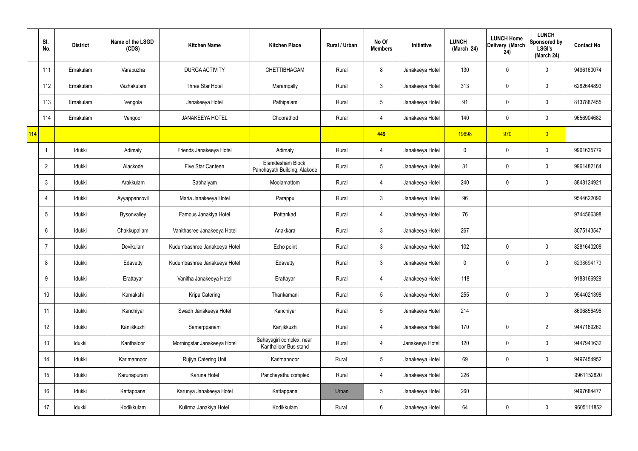|     | SI.<br>No.     | <b>District</b> | Name of the LSGD<br>(CDS) | <b>Kitchen Name</b>          | <b>Kitchen Place</b>                              | Rural / Urban | No Of<br><b>Members</b> | Initiative      | <b>LUNCH</b><br>(March 24) | <b>LUNCH Home</b><br>Delivery (March<br>24) | <b>LUNCH</b><br>Sponsored by<br><b>LSGI's</b><br>(March 24) | <b>Contact No</b> |
|-----|----------------|-----------------|---------------------------|------------------------------|---------------------------------------------------|---------------|-------------------------|-----------------|----------------------------|---------------------------------------------|-------------------------------------------------------------|-------------------|
|     | 111            | Ernakulam       | Varapuzha                 | DURGA ACTIVITY               | CHETTIBHAGAM                                      | Rural         | 8                       | Janakeeya Hotel | 130                        | 0                                           | $\mathbf 0$                                                 | 9496160074        |
|     | 112            | Ernakulam       | Vazhakulam                | Three Star Hotel             | Marampally                                        | Rural         | $\mathbf{3}$            | Janakeeya Hotel | 313                        | $\mathbf 0$                                 | $\mathbf 0$                                                 | 6282644893        |
|     | 113            | Ernakulam       | Vengola                   | Janakeeya Hotel              | Pathipalam                                        | Rural         | $5\phantom{.0}$         | Janakeeya Hotel | 91                         | 0                                           | $\mathbf 0$                                                 | 8137887455        |
|     | 114            | Ernakulam       | Vengoor                   | <b>JANAKEEYA HOTEL</b>       | Choorathod                                        | Rural         | $\overline{4}$          | Janakeeya Hotel | 140                        | $\mathbf 0$                                 | $\mathbf 0$                                                 | 9656904682        |
| 114 |                |                 |                           |                              |                                                   |               | 449                     |                 | 19698                      | 970                                         | $\overline{0}$                                              |                   |
|     |                | Idukki          | Adimaly                   | Friends Janakeeya Hotel      | Adimaly                                           | Rural         | $\overline{4}$          | Janakeeya Hotel | 0                          | 0                                           | $\mathbf 0$                                                 | 9961635779        |
|     | $\overline{2}$ | Idukki          | Alackode                  | Five Star Canteen            | Elamdesham Block<br>Panchayath Building, Alakode  | Rural         | $5\phantom{.0}$         | Janakeeya Hotel | 31                         | 0                                           | $\mathbf 0$                                                 | 9961482164        |
|     | 3              | Idukki          | Arakkulam                 | Sabhalyam                    | Moolamattom                                       | Rural         | $\overline{4}$          | Janakeeya Hotel | 240                        | $\boldsymbol{0}$                            | $\mathbf 0$                                                 | 8848124921        |
|     | 4              | Idukki          | Ayyappancovil             | Maria Janakeeya Hotel        | Parappu                                           | Rural         | $\mathbf{3}$            | Janakeeya Hotel | 96                         |                                             |                                                             | 9544622096        |
|     | 5              | Idukki          | Bysonvalley               | Famous Janakiya Hotel        | Pottankad                                         | Rural         | 4                       | Janakeeya Hotel | 76                         |                                             |                                                             | 9744566398        |
|     | 6              | Idukki          | Chakkupallam              | Vanithasree Janakeeya Hotel  | Anakkara                                          | Rural         | $\mathfrak{Z}$          | Janakeeya Hotel | 267                        |                                             |                                                             | 8075143547        |
|     |                | Idukki          | Devikulam                 | Kudumbashree Janakeeya Hotel | Echo point                                        | Rural         | $\mathbf{3}$            | Janakeeya Hotel | 102                        | $\mathbf 0$                                 | $\mathbf 0$                                                 | 8281640208        |
|     | 8              | Idukki          | Edavetty                  | Kudumbashree Janakeeya Hotel | Edavetty                                          | Rural         | $\mathbf{3}$            | Janakeeya Hotel | 0                          | $\mathbf 0$                                 | $\mathbf 0$                                                 | 6238694173        |
|     | 9              | Idukki          | Erattayar                 | Vanitha Janakeeya Hotel      | Erattayar                                         | Rural         | $\overline{4}$          | Janakeeya Hotel | 118                        |                                             |                                                             | 9188166929        |
|     | 10             | Idukki          | Kamakshi                  | Kripa Catering               | Thankamani                                        | Rural         | $5\phantom{.0}$         | Janakeeya Hotel | 255                        | 0                                           | $\mathbf 0$                                                 | 9544021398        |
|     | 11             | Idukki          | Kanchiyar                 | Swadh Janakeeya Hotel        | Kanchiyar                                         | Rural         | $5\phantom{.0}$         | Janakeeya Hotel | 214                        |                                             |                                                             | 8606856496        |
|     | 12             | Idukki          | Kanjikkuzhi               | Samarppanam                  | Kanjikkuzhi                                       | Rural         | $\overline{4}$          | Janakeeya Hotel | 170                        | 0                                           | $\overline{2}$                                              | 9447169262        |
|     | 13             | Idukki          | Kanthaloor                | Morningstar Janakeeya Hotel  | Sahayagiri complex, near<br>Kanthalloor Bus stand | Rural         | $\overline{4}$          | Janakeeya Hotel | 120                        | 0                                           | $\mathbf 0$                                                 | 9447941632        |
|     | 14             | Idukki          | Karimannoor               | Rujiya Catering Unit         | Karimannoor                                       | Rural         | $5\phantom{.0}$         | Janakeeya Hotel | 69                         | $\mathbf 0$                                 | $\mathbf 0$                                                 | 9497454952        |
|     | 15             | Idukki          | Karunapuram               | Karuna Hotel                 | Panchayathu complex                               | Rural         | $\overline{4}$          | Janakeeya Hotel | 226                        |                                             |                                                             | 9961152820        |
|     | 16             | Idukki          | Kattappana                | Karunya Janakeeya Hotel      | Kattappana                                        | Urban         | $5\phantom{.0}$         | Janakeeya Hotel | 260                        |                                             |                                                             | 9497684477        |
|     | 17             | Idukki          | Kodikkulam                | Kulirma Janakiya Hotel       | Kodikkulam                                        | Rural         | $6\phantom{.0}$         | Janakeeya Hotel | 64                         | $\pmb{0}$                                   | $\pmb{0}$                                                   | 9605111852        |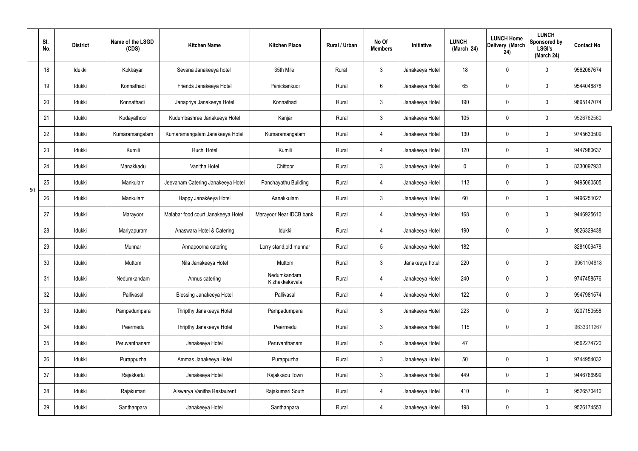|    | SI.<br>No. | <b>District</b> | Name of the LSGD<br>(CDS) | <b>Kitchen Name</b>                | <b>Kitchen Place</b>          | Rural / Urban | No Of<br><b>Members</b> | Initiative      | <b>LUNCH</b><br>(March 24) | <b>LUNCH Home</b><br>Delivery (March<br>24) | <b>LUNCH</b><br>Sponsored by<br><b>LSGI's</b><br>(March 24) | <b>Contact No</b> |
|----|------------|-----------------|---------------------------|------------------------------------|-------------------------------|---------------|-------------------------|-----------------|----------------------------|---------------------------------------------|-------------------------------------------------------------|-------------------|
|    | 18         | Idukki          | Kokkayar                  | Sevana Janakeeya hotel             | 35th Mile                     | Rural         | $\mathbf{3}$            | Janakeeya Hotel | 18                         | $\mathbf 0$                                 | $\mathbf 0$                                                 | 9562067674        |
|    | 19         | Idukki          | Konnathadi                | Friends Janakeeya Hotel            | Panickankudi                  | Rural         | $6\overline{6}$         | Janakeeya Hotel | 65                         | $\mathbf 0$                                 | $\mathbf 0$                                                 | 9544048878        |
|    | 20         | Idukki          | Konnathadi                | Janapriya Janakeeya Hotel          | Konnathadi                    | Rural         | 3                       | Janakeeya Hotel | 190                        | $\mathbf 0$                                 | $\mathbf 0$                                                 | 9895147074        |
|    | 21         | Idukki          | Kudayathoor               | Kudumbashree Janakeeya Hotel       | Kanjar                        | Rural         | $\mathbf{3}$            | Janakeeya Hotel | 105                        | $\mathbf 0$                                 | $\mathbf 0$                                                 | 9526762560        |
|    | 22         | Idukki          | Kumaramangalam            | Kumaramangalam Janakeeya Hotel     | Kumaramangalam                | Rural         | $\overline{4}$          | Janakeeya Hotel | 130                        | $\mathbf 0$                                 | $\mathbf 0$                                                 | 9745633509        |
|    | 23         | Idukki          | Kumili                    | Ruchi Hotel                        | Kumili                        | Rural         | 4                       | Janakeeya Hotel | 120                        | $\mathbf 0$                                 | $\mathbf 0$                                                 | 9447980637        |
|    | 24         | Idukki          | Manakkadu                 | Vanitha Hotel                      | Chittoor                      | Rural         | $\mathbf{3}$            | Janakeeya Hotel | $\mathbf 0$                | $\mathbf 0$                                 | $\mathbf 0$                                                 | 8330097933        |
| 50 | 25         | Idukki          | Mankulam                  | Jeevanam Catering Janakeeya Hotel  | Panchayathu Building          | Rural         | 4                       | Janakeeya Hotel | 113                        | $\mathbf 0$                                 | $\mathbf 0$                                                 | 9495060505        |
|    | 26         | Idukki          | Mankulam                  | Happy Janakéeya Hotel              | Aanakkulam                    | Rural         | $\mathbf{3}$            | Janakeeya Hotel | 60                         | 0                                           | $\mathbf 0$                                                 | 9496251027        |
|    | 27         | Idukki          | Marayoor                  | Malabar food court Janakeeya Hotel | Marayoor Near IDCB bank       | Rural         | 4                       | Janakeeya Hotel | 168                        | $\mathbf 0$                                 | $\mathbf 0$                                                 | 9446925610        |
|    | 28         | Idukki          | Mariyapuram               | Anaswara Hotel & Catering          | Idukki                        | Rural         | $\overline{4}$          | Janakeeya Hotel | 190                        | $\mathbf 0$                                 | $\mathbf 0$                                                 | 9526329438        |
|    | 29         | Idukki          | Munnar                    | Annapoorna catering                | Lorry stand, old munnar       | Rural         | $5\phantom{.0}$         | Janakeeya Hotel | 182                        |                                             |                                                             | 8281009478        |
|    | 30         | Idukki          | Muttom                    | Nila Janakeeya Hotel               | Muttom                        | Rural         | $\mathbf{3}$            | Janakeeya hotel | 220                        | $\mathbf 0$                                 | $\mathbf 0$                                                 | 9961104818        |
|    | 31         | Idukki          | Nedumkandam               | Annus catering                     | Nedumkandam<br>Kizhakkekavala | Rural         | $\overline{4}$          | Janakeeya Hotel | 240                        | $\pmb{0}$                                   | $\mathbf 0$                                                 | 9747458576        |
|    | 32         | Idukki          | Pallivasal                | <b>Blessing Janakeeya Hotel</b>    | Pallivasal                    | Rural         | $\overline{4}$          | Janakeeya Hotel | 122                        | $\pmb{0}$                                   | $\mathbf 0$                                                 | 9947981574        |
|    | 33         | Idukki          | Pampadumpara              | Thripthy Janakeeya Hotel           | Pampadumpara                  | Rural         | $\mathbf{3}$            | Janakeeya Hotel | 223                        | $\pmb{0}$                                   | $\mathbf 0$                                                 | 9207150558        |
|    | 34         | Idukki          | Peermedu                  | Thripthy Janakeeya Hotel           | Peermedu                      | Rural         | $\mathbf{3}$            | Janakeeya Hotel | 115                        | $\pmb{0}$                                   | $\mathbf 0$                                                 | 9633311267        |
|    | 35         | Idukki          | Peruvanthanam             | Janakeeya Hotel                    | Peruvanthanam                 | Rural         | $5\phantom{.0}$         | Janakeeya Hotel | 47                         |                                             |                                                             | 9562274720        |
|    | 36         | Idukki          | Purappuzha                | Ammas Janakeeya Hotel              | Purappuzha                    | Rural         | 3                       | Janakeeya Hotel | 50                         | $\pmb{0}$                                   | $\mathbf 0$                                                 | 9744954032        |
|    | 37         | Idukki          | Rajakkadu                 | Janakeeya Hotel                    | Rajakkadu Town                | Rural         | 3                       | Janakeeya Hotel | 449                        | 0                                           | $\mathbf 0$                                                 | 9446766999        |
|    | 38         | Idukki          | Rajakumari                | Aiswarya Vanitha Restaurent        | Rajakumari South              | Rural         | $\overline{4}$          | Janakeeya Hotel | 410                        | 0                                           | $\mathbf 0$                                                 | 9526570410        |
|    | 39         | Idukki          | Santhanpara               | Janakeeya Hotel                    | Santhanpara                   | Rural         | 4                       | Janakeeya Hotel | 198                        | $\pmb{0}$                                   | $\boldsymbol{0}$                                            | 9526174553        |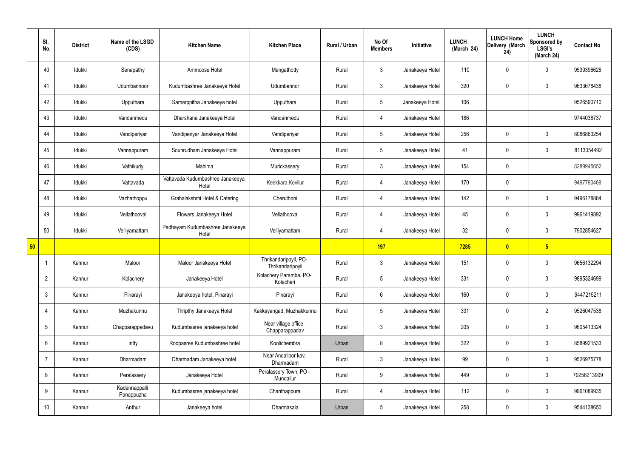|    | SI.<br>No.      | <b>District</b> | Name of the LSGD<br>(CDS)   | <b>Kitchen Name</b>                       | <b>Kitchen Place</b>                      | Rural / Urban | No Of<br><b>Members</b> | Initiative      | <b>LUNCH</b><br>(March 24) | <b>LUNCH Home</b><br>Delivery (March<br>24) | <b>LUNCH</b><br>Sponsored by<br><b>LSGI's</b><br>(March 24) | <b>Contact No</b> |
|----|-----------------|-----------------|-----------------------------|-------------------------------------------|-------------------------------------------|---------------|-------------------------|-----------------|----------------------------|---------------------------------------------|-------------------------------------------------------------|-------------------|
|    | 40              | Idukki          | Senapathy                   | Ammoose Hotel                             | Mangathotty                               | Rural         | $\mathbf{3}$            | Janakeeya Hotel | 110                        | $\mathbf 0$                                 | $\mathbf 0$                                                 | 9539396626        |
|    | 41              | Idukki          | Udumbannoor                 | Kudumbashree Janakeeya Hotel              | Udumbannor                                | Rural         | $\mathbf{3}$            | Janakeeya Hotel | 320                        | $\mathbf 0$                                 | $\mathbf 0$                                                 | 9633678438        |
|    | 42              | Idukki          | Upputhara                   | Samarppitha Janakeeya hotel               | Upputhara                                 | Rural         | 5 <sup>5</sup>          | Janakeeya Hotel | 106                        |                                             |                                                             | 9526590710        |
|    | 43              | Idukki          | Vandanmedu                  | Dharshana Janakeeya Hotel                 | Vandanmedu                                | Rural         | $\overline{4}$          | Janakeeya Hotel | 186                        |                                             |                                                             | 9744038737        |
|    | 44              | Idukki          | Vandiperiyar                | Vandiperiyar Janakeeya Hotel              | Vandiperiyar                              | Rural         | $5\phantom{.0}$         | Janakeeya Hotel | 256                        | $\mathbf 0$                                 | $\mathbf 0$                                                 | 8086863254        |
|    | 45              | Idukki          | Vannappuram                 | Souhrudham Janakeeya Hotel                | Vannappuram                               | Rural         | $5\overline{)}$         | Janakeeya Hotel | 41                         | $\mathbf 0$                                 | $\mathbf 0$                                                 | 8113054492        |
|    | 46              | Idukki          | Vathikudy                   | Mahima                                    | Murickassery                              | Rural         | 3                       | Janakeeya Hotel | 154                        | $\mathbf 0$                                 |                                                             | 8289945652        |
|    | 47              | Idukki          | Vattavada                   | Vattavada Kudumbashree Janakeeya<br>Hotel | Keekkara, Kovilur                         | Rural         | $\overline{4}$          | Janakeeya Hotel | 170                        | $\mathbf 0$                                 |                                                             | 9497790469        |
|    | 48              | Idukki          | Vazhathoppu                 | Grahalakshmi Hotel & Catering             | Cheruthoni                                | Rural         | 4                       | Janakeeya Hotel | 142                        | $\mathbf 0$                                 | $\mathbf{3}$                                                | 9496178884        |
|    | 49              | Idukki          | Vellathooval                | Flowers Janakeeya Hotel                   | Vellathooval                              | Rural         | $\overline{4}$          | Janakeeya Hotel | 45                         | $\mathbf 0$                                 | $\mathbf 0$                                                 | 9961419892        |
|    | 50              | Idukki          | Velliyamattam               | Padhayam Kudumbashree Janakeeya<br>Hotel  | Velliyamattam                             | Rural         | 4                       | Janakeeya Hotel | 32                         | $\mathbf 0$                                 | $\mathbf 0$                                                 | 7902854627        |
| 50 |                 |                 |                             |                                           |                                           |               | 197                     |                 | 7285                       | $\bullet$                                   | $5\overline{)}$                                             |                   |
|    |                 | Kannur          | Maloor                      | Maloor Janakeeya Hotel                    | Thrikandaripoyil, PO-<br>Thrikandaripoyil | Rural         | $\mathbf{3}$            | Janakeeya Hotel | 151                        | $\mathbf 0$                                 | $\mathbf 0$                                                 | 9656132294        |
|    | $\overline{2}$  | Kannur          | Kolachery                   | Janakeeya Hotel                           | Kolachery Paramba, PO-<br>Kolacheri       | Rural         | $5\overline{)}$         | Janakeeya Hotel | 331                        | $\pmb{0}$                                   | $\mathfrak{Z}$                                              | 9895324699        |
|    | 3               | Kannur          | Pinarayi                    | Janakeeya hotel, Pinarayi                 | Pinarayi                                  | Rural         | $6\overline{6}$         | Janakeeya Hotel | 160                        | $\pmb{0}$                                   | $\mathbf 0$                                                 | 9447215211        |
|    | 4               | Kannur          | Muzhakunnu                  | Thripthy Janakeeya Hotel                  | Kakkayangad, Muzhakkunnu                  | Rural         | 5 <sub>5</sub>          | Janakeeya Hotel | 331                        | $\mathbf 0$                                 | $\overline{2}$                                              | 9526047538        |
|    | $5\phantom{.0}$ | Kannur          | Chapparappadavu             | Kudumbasree janakeeya hotel               | Near village office,<br>Chapparappadav    | Rural         | $\mathbf{3}$            | Janakeeya Hotel | 205                        | $\pmb{0}$                                   | $\mathbf 0$                                                 | 9605413324        |
|    | 6               | Kannur          | Iritty                      | Roopasree Kudumbashree hotel              | Koolichembra                              | Urban         | 8                       | Janakeeya Hotel | 322                        | $\mathbf 0$                                 | $\mathbf 0$                                                 | 8589921533        |
|    | 7               | Kannur          | Dharmadam                   | Dharmadam Janakeeya hotel                 | Near Andalloor kav,<br>Dharmadam          | Rural         | $\mathbf{3}$            | Janakeeya Hotel | 99                         | $\mathbf 0$                                 | $\mathbf 0$                                                 | 9526975778        |
|    | 8               | Kannur          | Peralassery                 | Janakeeya Hotel                           | Peralassery Town, PO -<br>Mundallur       | Rural         | $9\phantom{.0}$         | Janakeeya Hotel | 449                        | $\pmb{0}$                                   | $\mathbf 0$                                                 | 70256213909       |
|    | 9               | Kannur          | Kadannappalli<br>Panappuzha | Kudumbasree janakeeya hotel               | Chanthappura                              | Rural         | $\overline{4}$          | Janakeeya Hotel | 112                        | $\mathbf 0$                                 | $\mathbf 0$                                                 | 9961089935        |
|    | 10 <sup>°</sup> | Kannur          | Anthur                      | Janakeeya hotel                           | Dharmasala                                | Urban         | 5 <sub>5</sub>          | Janakeeya Hotel | 258                        | $\pmb{0}$                                   | $\boldsymbol{0}$                                            | 9544138650        |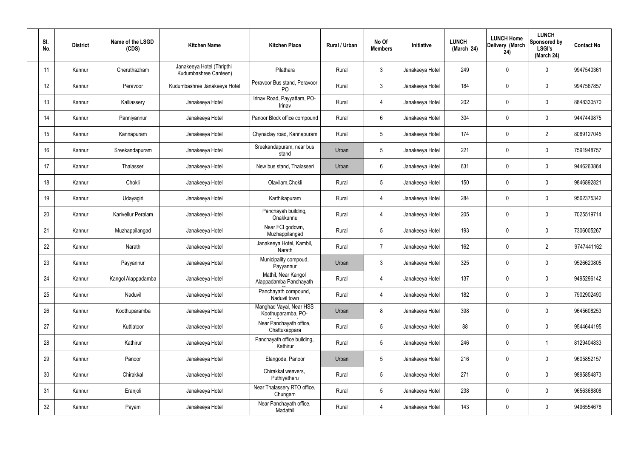| SI.<br>No. | <b>District</b> | Name of the LSGD<br>(CDS) | <b>Kitchen Name</b>                                | <b>Kitchen Place</b>                           | Rural / Urban | No Of<br><b>Members</b> | Initiative      | <b>LUNCH</b><br>(March 24) | <b>LUNCH Home</b><br>Delivery (March<br>24) | <b>LUNCH</b><br>Sponsored by<br><b>LSGI's</b><br>(March 24) | <b>Contact No</b> |
|------------|-----------------|---------------------------|----------------------------------------------------|------------------------------------------------|---------------|-------------------------|-----------------|----------------------------|---------------------------------------------|-------------------------------------------------------------|-------------------|
| 11         | Kannur          | Cheruthazham              | Janakeeya Hotel (Thripthi<br>Kudumbashree Canteen) | Pilathara                                      | Rural         | $\mathbf{3}$            | Janakeeya Hotel | 249                        | 0                                           | $\mathbf 0$                                                 | 9947540361        |
| 12         | Kannur          | Peravoor                  | Kudumbashree Janakeeya Hotel                       | Peravoor Bus stand, Peravoor<br>P <sub>O</sub> | Rural         | $\mathbf{3}$            | Janakeeya Hotel | 184                        | $\mathbf 0$                                 | $\mathbf 0$                                                 | 9947567857        |
| 13         | Kannur          | Kalliassery               | Janakeeya Hotel                                    | Irinav Road, Payyattam, PO-<br>Irinav          | Rural         | $\overline{4}$          | Janakeeya Hotel | 202                        | 0                                           | $\mathbf 0$                                                 | 8848330570        |
| 14         | Kannur          | Panniyannur               | Janakeeya Hotel                                    | Panoor Block office compound                   | Rural         | $6\phantom{.}6$         | Janakeeya Hotel | 304                        | 0                                           | $\mathbf 0$                                                 | 9447449875        |
| 15         | Kannur          | Kannapuram                | Janakeeya Hotel                                    | Chynaclay road, Kannapuram                     | Rural         | $5\phantom{.0}$         | Janakeeya Hotel | 174                        | 0                                           | $\overline{2}$                                              | 8089127045        |
| 16         | Kannur          | Sreekandapuram            | Janakeeya Hotel                                    | Sreekandapuram, near bus<br>stand              | Urban         | 5                       | Janakeeya Hotel | 221                        | 0                                           | $\mathbf 0$                                                 | 7591948757        |
| 17         | Kannur          | Thalasseri                | Janakeeya Hotel                                    | New bus stand, Thalasseri                      | Urban         | $6\phantom{.}6$         | Janakeeya Hotel | 631                        | 0                                           | $\mathbf 0$                                                 | 9446263864        |
| 18         | Kannur          | Chokli                    | Janakeeya Hotel                                    | Olavilam, Chokli                               | Rural         | $5\phantom{.0}$         | Janakeeya Hotel | 150                        | 0                                           | $\mathbf 0$                                                 | 9846892821        |
| 19         | Kannur          | Udayagiri                 | Janakeeya Hotel                                    | Karthikapuram                                  | Rural         | $\overline{4}$          | Janakeeya Hotel | 284                        | 0                                           | $\mathbf 0$                                                 | 9562375342        |
| 20         | Kannur          | <b>Karivellur Peralam</b> | Janakeeya Hotel                                    | Panchayah building,<br>Onakkunnu               | Rural         | $\overline{4}$          | Janakeeya Hotel | 205                        | 0                                           | $\mathbf 0$                                                 | 7025519714        |
| 21         | Kannur          | Muzhappilangad            | Janakeeya Hotel                                    | Near FCI godown,<br>Muzhappilangad             | Rural         | $5\phantom{.0}$         | Janakeeya Hotel | 193                        | 0                                           | $\mathbf 0$                                                 | 7306005267        |
| 22         | Kannur          | Narath                    | Janakeeya Hotel                                    | Janakeeya Hotel, Kambil,<br>Narath             | Rural         | $\overline{7}$          | Janakeeya Hotel | 162                        | 0                                           | $\overline{2}$                                              | 9747441162        |
| 23         | Kannur          | Payyannur                 | Janakeeya Hotel                                    | Municipality compoud,<br>Payyannur             | Urban         | $\mathbf{3}$            | Janakeeya Hotel | 325                        | $\mathbf 0$                                 | 0                                                           | 9526620805        |
| 24         | Kannur          | Kangol Alappadamba        | Janakeeya Hotel                                    | Mathil, Near Kangol<br>Alappadamba Panchayath  | Rural         | $\overline{4}$          | Janakeeya Hotel | 137                        | 0                                           | $\mathbf 0$                                                 | 9495296142        |
| 25         | Kannur          | Naduvil                   | Janakeeya Hotel                                    | Panchayath compound,<br>Naduvil town           | Rural         | $\overline{4}$          | Janakeeya Hotel | 182                        | 0                                           | $\mathbf 0$                                                 | 7902902490        |
| 26         | Kannur          | Koothuparamba             | Janakeeya Hotel                                    | Manghad Vayal, Near HSS<br>Koothuparamba, PO-  | Urban         | 8                       | Janakeeya Hotel | 398                        | 0                                           | $\mathbf 0$                                                 | 9645608253        |
| 27         | Kannur          | Kuttiatoor                | Janakeeya Hotel                                    | Near Panchayath office,<br>Chattukappara       | Rural         | $5\phantom{.0}$         | Janakeeya Hotel | 88                         | 0                                           | $\mathbf 0$                                                 | 9544644195        |
| 28         | Kannur          | Kathirur                  | Janakeeya Hotel                                    | Panchayath office building,<br>Kathirur        | Rural         | $5\phantom{.0}$         | Janakeeya Hotel | 246                        | 0                                           | $\mathbf{1}$                                                | 8129404833        |
| 29         | Kannur          | Panoor                    | Janakeeya Hotel                                    | Elangode, Panoor                               | Urban         | $5\phantom{.0}$         | Janakeeya Hotel | 216                        | 0                                           | $\mathbf 0$                                                 | 9605852157        |
| 30         | Kannur          | Chirakkal                 | Janakeeya Hotel                                    | Chirakkal weavers,<br>Puthiyatheru             | Rural         | $5\phantom{.0}$         | Janakeeya Hotel | 271                        | 0                                           | $\mathbf 0$                                                 | 9895854873        |
| 31         | Kannur          | Eranjoli                  | Janakeeya Hotel                                    | Near Thalassery RTO office,<br>Chungam         | Rural         | $5\phantom{.0}$         | Janakeeya Hotel | 238                        | 0                                           | $\mathbf 0$                                                 | 9656368808        |
| 32         | Kannur          | Payam                     | Janakeeya Hotel                                    | Near Panchayath office,<br>Madathil            | Rural         | $\overline{4}$          | Janakeeya Hotel | 143                        | $\pmb{0}$                                   | $\boldsymbol{0}$                                            | 9496554678        |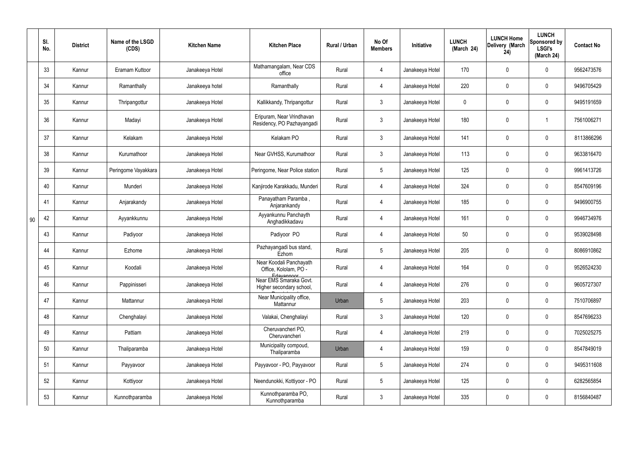|    | SI.<br>No. | <b>District</b> | Name of the LSGD<br>(CDS) | <b>Kitchen Name</b> | <b>Kitchen Place</b>                                           | Rural / Urban | No Of<br><b>Members</b> | Initiative      | <b>LUNCH</b><br>(March 24) | <b>LUNCH Home</b><br>Delivery (March<br>24) | <b>LUNCH</b><br>Sponsored by<br><b>LSGI's</b><br>(March 24) | <b>Contact No</b> |
|----|------------|-----------------|---------------------------|---------------------|----------------------------------------------------------------|---------------|-------------------------|-----------------|----------------------------|---------------------------------------------|-------------------------------------------------------------|-------------------|
|    | 33         | Kannur          | Eramam Kuttoor            | Janakeeya Hotel     | Mathamangalam, Near CDS<br>office                              | Rural         | 4                       | Janakeeya Hotel | 170                        | 0                                           | $\mathbf 0$                                                 | 9562473576        |
|    | 34         | Kannur          | Ramanthally               | Janakeeya hotel     | Ramanthally                                                    | Rural         | 4                       | Janakeeya Hotel | 220                        | $\mathbf 0$                                 | $\overline{0}$                                              | 9496705429        |
|    | 35         | Kannur          | Thripangottur             | Janakeeya Hotel     | Kallikkandy, Thripangottur                                     | Rural         | $\mathbf{3}$            | Janakeeya Hotel | $\mathbf 0$                | 0                                           | $\mathbf 0$                                                 | 9495191659        |
|    | 36         | Kannur          | Madayi                    | Janakeeya Hotel     | Eripuram, Near Vrindhavan<br>Residency, PO Pazhayangadi        | Rural         | $\mathbf{3}$            | Janakeeya Hotel | 180                        | 0                                           |                                                             | 7561006271        |
|    | 37         | Kannur          | Kelakam                   | Janakeeya Hotel     | Kelakam PO                                                     | Rural         | $\mathbf{3}$            | Janakeeya Hotel | 141                        | 0                                           | $\mathbf 0$                                                 | 8113866296        |
|    | 38         | Kannur          | Kurumathoor               | Janakeeya Hotel     | Near GVHSS, Kurumathoor                                        | Rural         | $\mathbf{3}$            | Janakeeya Hotel | 113                        | 0                                           | $\mathbf 0$                                                 | 9633816470        |
|    | 39         | Kannur          | Peringome Vayakkara       | Janakeeya Hotel     | Peringome, Near Police station                                 | Rural         | $5\phantom{.0}$         | Janakeeya Hotel | 125                        | 0                                           | $\mathbf 0$                                                 | 9961413726        |
|    | 40         | Kannur          | Munderi                   | Janakeeya Hotel     | Kanjirode Karakkadu, Munderi                                   | Rural         | $\overline{4}$          | Janakeeya Hotel | 324                        | 0                                           | $\mathbf 0$                                                 | 8547609196        |
|    | 41         | Kannur          | Anjarakandy               | Janakeeya Hotel     | Panayatham Paramba,<br>Anjarankandy                            | Rural         | 4                       | Janakeeya Hotel | 185                        | 0                                           | $\mathbf 0$                                                 | 9496900755        |
| 90 | 42         | Kannur          | Ayyankkunnu               | Janakeeya Hotel     | Ayyankunnu Panchayth<br>Anghadikkadavu                         | Rural         | $\overline{4}$          | Janakeeya Hotel | 161                        | 0                                           | $\mathbf 0$                                                 | 9946734976        |
|    | 43         | Kannur          | Padiyoor                  | Janakeeya Hotel     | Padiyoor PO                                                    | Rural         | 4                       | Janakeeya Hotel | 50                         | 0                                           | $\mathbf 0$                                                 | 9539028498        |
|    | 44         | Kannur          | Ezhome                    | Janakeeya Hotel     | Pazhayangadi bus stand,<br>Ezhom                               | Rural         | $5\phantom{.0}$         | Janakeeya Hotel | 205                        | 0                                           | $\mathbf 0$                                                 | 8086910862        |
|    | 45         | Kannur          | Koodali                   | Janakeeya Hotel     | Near Koodali Panchayath<br>Office, Kololam, PO -<br>Edavannoor | Rural         |                         | Janakeeya Hotel | 164                        | $\mathbf 0$                                 | 0                                                           | 9526524230        |
|    | 46         | Kannur          | Pappinisseri              | Janakeeya Hotel     | Near EMS Smaraka Govt.<br>Higher secondary school,             | Rural         | $\overline{4}$          | Janakeeya Hotel | 276                        | $\pmb{0}$                                   | $\mathbf 0$                                                 | 9605727307        |
|    | 47         | Kannur          | Mattannur                 | Janakeeya Hotel     | Near Municipality office,<br>Mattannur                         | Urban         | $5\phantom{.0}$         | Janakeeya Hotel | 203                        | $\pmb{0}$                                   | $\mathbf 0$                                                 | 7510706897        |
|    | 48         | Kannur          | Chenghalayi               | Janakeeya Hotel     | Valakai, Chenghalayi                                           | Rural         | $\mathbf{3}$            | Janakeeya Hotel | 120                        | $\pmb{0}$                                   | $\mathbf 0$                                                 | 8547696233        |
|    | 49         | Kannur          | Pattiam                   | Janakeeya Hotel     | Cheruvancheri PO,<br>Cheruvancheri                             | Rural         | $\overline{4}$          | Janakeeya Hotel | 219                        | $\pmb{0}$                                   | $\mathbf 0$                                                 | 7025025275        |
|    | 50         | Kannur          | Thaliparamba              | Janakeeya Hotel     | Municipality compoud,<br>Thaliparamba                          | Urban         | 4                       | Janakeeya Hotel | 159                        | $\pmb{0}$                                   | $\mathbf 0$                                                 | 8547849019        |
|    | 51         | Kannur          | Payyavoor                 | Janakeeya Hotel     | Payyavoor - PO, Payyavoor                                      | Rural         | $5\phantom{.0}$         | Janakeeya Hotel | 274                        | $\pmb{0}$                                   | $\mathbf 0$                                                 | 9495311608        |
|    | 52         | Kannur          | Kottiyoor                 | Janakeeya Hotel     | Neendunokki, Kottiyoor - PO                                    | Rural         | $5\overline{)}$         | Janakeeya Hotel | 125                        | 0                                           | $\mathbf 0$                                                 | 6282565854        |
|    | 53         | Kannur          | Kunnothparamba            | Janakeeya Hotel     | Kunnothparamba PO,<br>Kunnothparamba                           | Rural         | 3 <sup>2</sup>          | Janakeeya Hotel | 335                        | 0                                           | $\boldsymbol{0}$                                            | 8156840487        |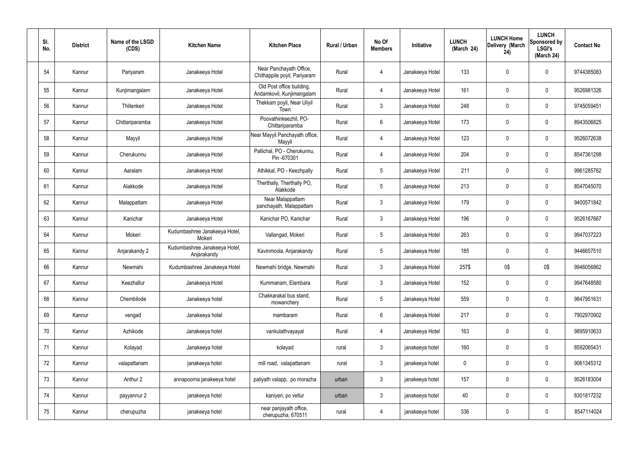| SI.<br>No. | <b>District</b> | Name of the LSGD<br>(CDS) | <b>Kitchen Name</b>                          | <b>Kitchen Place</b>                                    | Rural / Urban | No Of<br><b>Members</b> | Initiative      | <b>LUNCH</b><br>(March 24) | <b>LUNCH Home</b><br>Delivery (March<br>24) | <b>LUNCH</b><br>Sponsored by<br><b>LSGI's</b><br>(March 24) | <b>Contact No</b> |
|------------|-----------------|---------------------------|----------------------------------------------|---------------------------------------------------------|---------------|-------------------------|-----------------|----------------------------|---------------------------------------------|-------------------------------------------------------------|-------------------|
| 54         | Kannur          | Pariyaram                 | Janakeeya Hotel                              | Near Panchayath Office,<br>Chithappile poyil, Pariyaram | Rural         | 4                       | Janakeeya Hotel | 133                        | 0                                           | $\boldsymbol{0}$                                            | 9744385083        |
| 55         | Kannur          | Kunjimangalam             | Janakeeya Hotel                              | Old Post office building,<br>Andamkovil, Kunjimangalam  | Rural         | $\overline{4}$          | Janakeeya Hotel | 161                        | $\mathbf 0$                                 | $\mathbf 0$                                                 | 9526981326        |
| 56         | Kannur          | Thillenkeri               | Janakeeya Hotel                              | Thekkam poyil, Near Uliyil<br>Town                      | Rural         | $\mathbf{3}$            | Janakeeya Hotel | 248                        | 0                                           | $\mathbf 0$                                                 | 9745059451        |
| 57         | Kannur          | Chittariparamba           | Janakeeya Hotel                              | Poovathinkeezhil, PO-<br>Chittariparamba                | Rural         | 6                       | Janakeeya Hotel | 173                        | 0                                           | $\mathbf 0$                                                 | 8943506825        |
| 58         | Kannur          | Mayyil                    | Janakeeya Hotel                              | Near Mayyil Panchayath office,<br>Mayyil                | Rural         | 4                       | Janakeeya Hotel | 123                        | 0                                           | $\mathbf 0$                                                 | 9526072638        |
| 59         | Kannur          | Cherukunnu                | Janakeeya Hotel                              | Pallichal, PO - Cherukunnu,<br>Pin -670301              | Rural         | $\overline{4}$          | Janakeeya Hotel | 204                        | 0                                           | $\mathbf 0$                                                 | 8547361298        |
| 60         | Kannur          | Aaralam                   | Janakeeya Hotel                              | Athikkal, PO - Keezhpally                               | Rural         | $5\overline{)}$         | Janakeeya Hotel | 211                        | 0                                           | $\mathbf 0$                                                 | 9961285762        |
| 61         | Kannur          | Alakkode                  | Janakeeya Hotel                              | Therthally, Therthally PO,<br>Alakkode                  | Rural         | $5\phantom{.0}$         | Janakeeya Hotel | 213                        | 0                                           | $\pmb{0}$                                                   | 8547045070        |
| 62         | Kannur          | Malappattam               | Janakeeya Hotel                              | Near Malappattam<br>panchayath, Malappattam             | Rural         | $\mathbf{3}$            | Janakeeya Hotel | 179                        | 0                                           | $\mathbf 0$                                                 | 9400571842        |
| 63         | Kannur          | Kanichar                  | Janakeeya Hotel                              | Kanichar PO, Kanichar                                   | Rural         | $\mathbf{3}$            | Janakeeya Hotel | 196                        | $\mathbf 0$                                 | $\mathbf 0$                                                 | 9526167667        |
| 64         | Kannur          | Mokeri                    | Kudumbashree Janakeeya Hotel,<br>Mokeri      | Vallangad, Mokeri                                       | Rural         | $5\overline{)}$         | Janakeeya Hotel | 263                        | 0                                           | $\mathbf 0$                                                 | 9947037223        |
| 65         | Kannur          | Anjarakandy 2             | Kudumbashree Janakeeya Hotel,<br>Anjarakandy | Kavinmoola, Anjarakandy                                 | Rural         | $5\overline{)}$         | Janakeeya Hotel | 185                        | 0                                           | $\mathbf 0$                                                 | 9446657510        |
| 66         | Kannur          | Newmahi                   | Kudumbashree Janakeeya Hotel                 | Newmahi bridge, Newmahi                                 | Rural         | 3                       | Janakeeya Hotel | 257\$                      | 0\$                                         | 0\$                                                         | 9946056862        |
| 67         | Kannur          | Keezhallur                | Janakeeya Hotel                              | Kummanam, Elambara                                      | Rural         | 3                       | Janakeeya Hotel | 152                        | $\pmb{0}$                                   | $\mathbf 0$                                                 | 9947648580        |
| 68         | Kannur          | Chembilode                | Janakeeya hotel                              | Chakkarakal bus stand,<br>mowanchery                    | Rural         | $5\overline{)}$         | Janakeeya Hotel | 559                        | 0                                           | $\mathbf 0$                                                 | 9847951631        |
| 69         | Kannur          | vengad                    | Janakeeya hotel                              | mambaram                                                | Rural         | $6\overline{6}$         | Janakeeya Hotel | 217                        | 0                                           | $\mathbf 0$                                                 | 7902970902        |
| 70         | Kannur          | Azhikode                  | Janakeeya hotel                              | vankulathvayayal                                        | Rural         | $\overline{4}$          | Janakeeya Hotel | 163                        | 0                                           | $\mathbf 0$                                                 | 9895910633        |
| 71         | Kannur          | Kolayad                   | Janakeeya hotel                              | kolayad                                                 | rural         | $\mathbf{3}$            | janakeeya hotel | 160                        | 0                                           | $\mathbf 0$                                                 | 8592065431        |
| 72         | Kannur          | valapattanam              | janakeeya hotel                              | mill road, valapattanam                                 | rural         | $\mathbf{3}$            | janakeeya hotel | $\boldsymbol{0}$           | 0                                           | $\mathbf 0$                                                 | 9061345312        |
| 73         | Kannur          | Anthur 2                  | annapoorna janakeeya hotel                   | paliyath valapp, po morazha                             | urban         | $\mathbf{3}$            | janakeeya hotel | 157                        | 0                                           | $\mathbf 0$                                                 | 9526183004        |
| 74         | Kannur          | payyannur 2               | janakeeya hotel                              | kaniyeri, po vellur                                     | urban         | $\mathbf{3}$            | janakeeya hotel | 40                         | 0                                           | $\boldsymbol{0}$                                            | 8301817232        |
| 75         | Kannur          | cherupuzha                | janakeeya hotel                              | near panjayath office,<br>cherupuzha, 670511            | rural         | $\overline{4}$          | janakeeya hotel | 336                        | 0                                           | $\overline{0}$                                              | 8547114024        |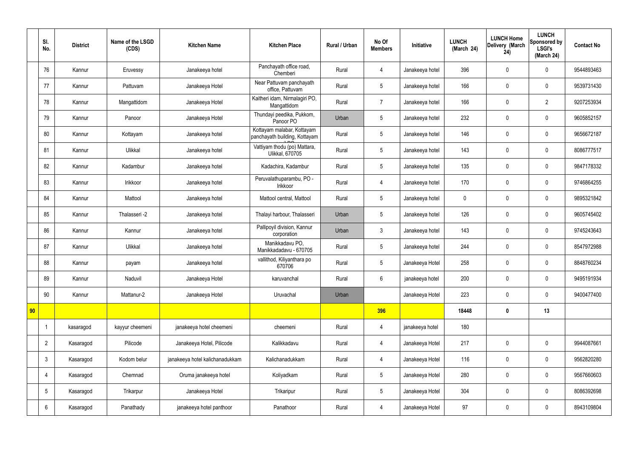|    | SI.<br>No.      | <b>District</b> | Name of the LSGD<br>(CDS) | <b>Kitchen Name</b>             | <b>Kitchen Place</b>                                        | <b>Rural / Urban</b> | No Of<br><b>Members</b> | Initiative      | <b>LUNCH</b><br>(March 24) | <b>LUNCH Home</b><br>Delivery (March<br>24) | <b>LUNCH</b><br>Sponsored by<br><b>LSGI's</b><br>(March 24) | <b>Contact No</b> |
|----|-----------------|-----------------|---------------------------|---------------------------------|-------------------------------------------------------------|----------------------|-------------------------|-----------------|----------------------------|---------------------------------------------|-------------------------------------------------------------|-------------------|
|    | 76              | Kannur          | Eruvessy                  | Janakeeya hotel                 | Panchayath office road,<br>Chemberi                         | Rural                | 4                       | Janakeeya hotel | 396                        | $\mathbf 0$                                 | $\mathbf 0$                                                 | 9544893463        |
|    | 77              | Kannur          | Pattuvam                  | Janakeeya Hotel                 | Near Pattuvam panchayath<br>office, Pattuvam                | Rural                | 5                       | Janakeeya hotel | 166                        | $\mathbf 0$                                 | $\mathbf 0$                                                 | 9539731430        |
|    | 78              | Kannur          | Mangattidom               | Janakeeya Hotel                 | Kaitheri idam, Nirmalagiri PO,<br>Mangattidom               | Rural                | $\overline{7}$          | Janakeeya hotel | 166                        | $\mathbf 0$                                 | $\overline{2}$                                              | 9207253934        |
|    | 79              | Kannur          | Panoor                    | Janakeeya Hotel                 | Thundayi peedika, Pukkom,<br>Panoor PO                      | Urban                | 5                       | Janakeeya hotel | 232                        | $\mathbf 0$                                 | $\mathbf 0$                                                 | 9605852157        |
|    | 80              | Kannur          | Kottayam                  | Janakeeya hotel                 | Kottayam malabar, Kottayam<br>panchayath building, Kottayam | Rural                | 5                       | Janakeeya hotel | 146                        | $\mathbf 0$                                 | $\mathbf 0$                                                 | 9656672187        |
|    | 81              | Kannur          | Ulikkal                   | Janakeeya hotel                 | Vattiyam thodu (po) Mattara,<br><b>Ulikkal, 670705</b>      | Rural                | 5                       | Janakeeya hotel | 143                        | $\mathbf 0$                                 | $\mathbf 0$                                                 | 8086777517        |
|    | 82              | Kannur          | Kadambur                  | Janakeeya hotel                 | Kadachira, Kadambur                                         | Rural                | 5                       | Janakeeya hotel | 135                        | $\mathbf 0$                                 | $\mathbf 0$                                                 | 9847178332        |
|    | 83              | Kannur          | Irikkoor                  | Janakeeya hotel                 | Peruvalathuparambu, PO -<br>Irikkoor                        | Rural                | 4                       | Janakeeya hotel | 170                        | $\mathbf 0$                                 | $\mathbf 0$                                                 | 9746864255        |
|    | 84              | Kannur          | Mattool                   | Janakeeya hotel                 | Mattool central, Mattool                                    | Rural                | 5                       | Janakeeya hotel | $\mathbf 0$                | $\mathbf 0$                                 | $\mathbf 0$                                                 | 9895321842        |
|    | 85              | Kannur          | Thalasseri -2             | Janakeeya hotel                 | Thalayi harbour, Thalasseri                                 | Urban                | 5                       | Janakeeya hotel | 126                        | $\mathbf 0$                                 | $\mathbf 0$                                                 | 9605745402        |
|    | 86              | Kannur          | Kannur                    | Janakeeya hotel                 | Pallipoyil division, Kannur<br>corporation                  | Urban                | $\mathbf{3}$            | Janakeeya hotel | 143                        | $\pmb{0}$                                   | $\mathbf 0$                                                 | 9745243643        |
|    | 87              | Kannur          | Ulikkal                   | Janakeeya hotel                 | Manikkadavu PO,<br>Manikkadadavu - 670705                   | Rural                | 5                       | Janakeeya hotel | 244                        | $\mathbf 0$                                 | $\mathbf 0$                                                 | 8547972988        |
|    | 88              | Kannur          | payam                     | Janakeeya hotel                 | vallithod, Kiliyanthara po<br>670706                        | Rural                | 5                       | Janakeeya Hotel | 258                        | $\mathbf 0$                                 | $\mathbf 0$                                                 | 8848760234        |
|    | 89              | Kannur          | Naduvil                   | Janakeeya Hotel                 | karuvanchal                                                 | Rural                | $6\overline{6}$         | janakeeya hotel | 200                        | $\pmb{0}$                                   | $\mathbf 0$                                                 | 9495191934        |
|    | 90              | Kannur          | Mattanur-2                | Janakeeya Hotel                 | Uruvachal                                                   | Urban                |                         | Janakeeya Hotel | 223                        | $\pmb{0}$                                   | $\mathbf 0$                                                 | 9400477400        |
| 90 |                 |                 |                           |                                 |                                                             |                      | 396                     |                 | 18448                      | $\pmb{0}$                                   | 13                                                          |                   |
|    | -1              | kasaragod       | kayyur cheemeni           | janakeeya hotel cheemeni        | cheemeni                                                    | Rural                | $\overline{4}$          | janakeeya hotel | 180                        |                                             |                                                             |                   |
|    | $\overline{2}$  | Kasaragod       | Pilicode                  | Janakeeya Hotel, Pilicode       | Kalikkadavu                                                 | Rural                | $\overline{4}$          | Janakeeya Hotel | 217                        | $\pmb{0}$                                   | $\mathbf 0$                                                 | 9944087661        |
|    | $\mathbf{3}$    | Kasaragod       | Kodom belur               | janakeeya hotel kalichanadukkam | Kalichanadukkam                                             | Rural                | $\overline{4}$          | Janakeeya Hotel | 116                        | $\pmb{0}$                                   | $\mathbf 0$                                                 | 9562820280        |
|    | 4               | Kasaragod       | Chemnad                   | Oruma janakeeya hotel           | Koliyadkam                                                  | Rural                | $5\phantom{.0}$         | Janakeeya Hotel | 280                        | $\pmb{0}$                                   | $\mathbf 0$                                                 | 9567660603        |
|    | $5\phantom{.0}$ | Kasaragod       | Trikarpur                 | Janakeeya Hotel                 | Trikaripur                                                  | Rural                | $5\phantom{.0}$         | Janakeeya Hotel | 304                        | $\mathbf 0$                                 | $\mathbf 0$                                                 | 8086392698        |
|    | $6\phantom{.}6$ | Kasaragod       | Panathady                 | janakeeya hotel panthoor        | Panathoor                                                   | Rural                | 4                       | Janakeeya Hotel | 97                         | $\pmb{0}$                                   | $\mathbf 0$                                                 | 8943109804        |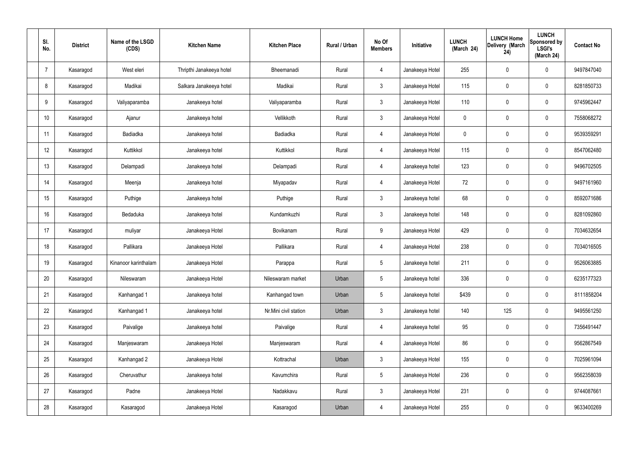| SI.<br>No.     | <b>District</b> | Name of the LSGD<br>(CDS) | <b>Kitchen Name</b>      | <b>Kitchen Place</b>  | Rural / Urban | No Of<br><b>Members</b> | Initiative      | <b>LUNCH</b><br>(March 24) | <b>LUNCH Home</b><br>Delivery (March<br>24) | <b>LUNCH</b><br>Sponsored by<br><b>LSGI's</b><br>(March 24) | <b>Contact No</b> |
|----------------|-----------------|---------------------------|--------------------------|-----------------------|---------------|-------------------------|-----------------|----------------------------|---------------------------------------------|-------------------------------------------------------------|-------------------|
| $\overline{7}$ | Kasaragod       | West eleri                | Thripthi Janakeeya hotel | Bheemanadi            | Rural         | 4                       | Janakeeya Hotel | 255                        | $\pmb{0}$                                   | $\mathbf 0$                                                 | 9497847040        |
| 8              | Kasaragod       | Madikai                   | Salkara Janakeeya hotel  | Madikai               | Rural         | $\mathbf{3}$            | Janakeeya Hotel | 115                        | $\mathbf 0$                                 | $\mathbf 0$                                                 | 8281850733        |
| 9              | Kasaragod       | Valiyaparamba             | Janakeeya hotel          | Valiyaparamba         | Rural         | $\mathbf{3}$            | Janakeeya Hotel | 110                        | $\mathbf 0$                                 | $\mathbf 0$                                                 | 9745962447        |
| 10             | Kasaragod       | Ajanur                    | Janakeeya hotel          | Vellikkoth            | Rural         | $\mathbf{3}$            | Janakeeya Hotel | $\mathbf 0$                | $\mathbf 0$                                 | $\mathbf 0$                                                 | 7558068272        |
| 11             | Kasaragod       | Badiadka                  | Janakeeya hotel          | Badiadka              | Rural         | $\overline{4}$          | Janakeeya Hotel | $\mathbf 0$                | $\pmb{0}$                                   | $\mathbf 0$                                                 | 9539359291        |
| 12             | Kasaragod       | Kuttikkol                 | Janakeeya hotel          | Kuttikkol             | Rural         | $\overline{4}$          | Janakeeya Hotel | 115                        | $\pmb{0}$                                   | $\mathbf 0$                                                 | 8547062480        |
| 13             | Kasaragod       | Delampadi                 | Janakeeya hotel          | Delampadi             | Rural         | $\overline{4}$          | Janakeeya hotel | 123                        | $\pmb{0}$                                   | $\mathbf 0$                                                 | 9496702505        |
| 14             | Kasaragod       | Meenja                    | Janakeeya hotel          | Miyapadav             | Rural         | $\overline{4}$          | Janakeeya Hotel | 72                         | $\mathbf 0$                                 | $\mathbf 0$                                                 | 9497161960        |
| 15             | Kasaragod       | Puthige                   | Janakeeya hotel          | Puthige               | Rural         | $\mathbf{3}$            | Janakeeya hotel | 68                         | $\pmb{0}$                                   | $\mathbf 0$                                                 | 8592071686        |
| 16             | Kasaragod       | Bedaduka                  | Janakeeya hotel          | Kundamkuzhi           | Rural         | $\mathbf{3}$            | Janakeeya hotel | 148                        | $\pmb{0}$                                   | $\mathbf 0$                                                 | 8281092860        |
| 17             | Kasaragod       | muliyar                   | Janakeeya Hotel          | Bovikanam             | Rural         | 9                       | Janakeeya Hotel | 429                        | $\pmb{0}$                                   | $\mathbf 0$                                                 | 7034632654        |
| 18             | Kasaragod       | Pallikara                 | Janakeeya Hotel          | Pallikara             | Rural         | $\overline{4}$          | Janakeeya Hotel | 238                        | $\pmb{0}$                                   | $\mathbf 0$                                                 | 7034016505        |
| 19             | Kasaragod       | Kinanoor karinthalam      | Janakeeya Hotel          | Parappa               | Rural         | $5\phantom{.0}$         | Janakeeya hotel | 211                        | 0                                           | $\mathbf 0$                                                 | 9526063885        |
| 20             | Kasaragod       | Nileswaram                | Janakeeya Hotel          | Nileswaram market     | Urban         | $5\phantom{.0}$         | Janakeeya hotel | 336                        | $\pmb{0}$                                   | $\mathbf 0$                                                 | 6235177323        |
| 21             | Kasaragod       | Kanhangad 1               | Janakeeya hotel          | Kanhangad town        | Urban         | $5\overline{)}$         | Janakeeya hotel | \$439                      | $\pmb{0}$                                   | $\mathbf 0$                                                 | 8111858204        |
| 22             | Kasaragod       | Kanhangad 1               | Janakeeya hotel          | Nr.Mini civil station | Urban         | $\mathbf{3}$            | Janakeeya hotel | 140                        | 125                                         | $\mathbf 0$                                                 | 9495561250        |
| 23             | Kasaragod       | Paivalige                 | Janakeeya hotel          | Paivalige             | Rural         | $\overline{4}$          | Janakeeya hotel | 95                         | $\pmb{0}$                                   | $\mathbf 0$                                                 | 7356491447        |
| 24             | Kasaragod       | Manjeswaram               | Janakeeya Hotel          | Manjeswaram           | Rural         | $\overline{4}$          | Janakeeya Hotel | 86                         | $\pmb{0}$                                   | $\mathbf 0$                                                 | 9562867549        |
| 25             | Kasaragod       | Kanhangad 2               | Janakeeya Hotel          | Kottrachal            | Urban         | $\mathbf{3}$            | Janakeeya Hotel | 155                        | $\pmb{0}$                                   | $\mathbf 0$                                                 | 7025961094        |
| 26             | Kasaragod       | Cheruvathur               | Janakeeya hotel          | Kavumchira            | Rural         | $5\phantom{.0}$         | Janakeeya Hotel | 236                        | $\pmb{0}$                                   | $\mathbf 0$                                                 | 9562358039        |
| 27             | Kasaragod       | Padne                     | Janakeeya Hotel          | Nadakkavu             | Rural         | $\mathfrak{Z}$          | Janakeeya Hotel | 231                        | $\pmb{0}$                                   | $\mathbf 0$                                                 | 9744087661        |
| 28             | Kasaragod       | Kasaragod                 | Janakeeya Hotel          | Kasaragod             | Urban         | 4                       | Janakeeya Hotel | 255                        | $\pmb{0}$                                   | $\boldsymbol{0}$                                            | 9633400269        |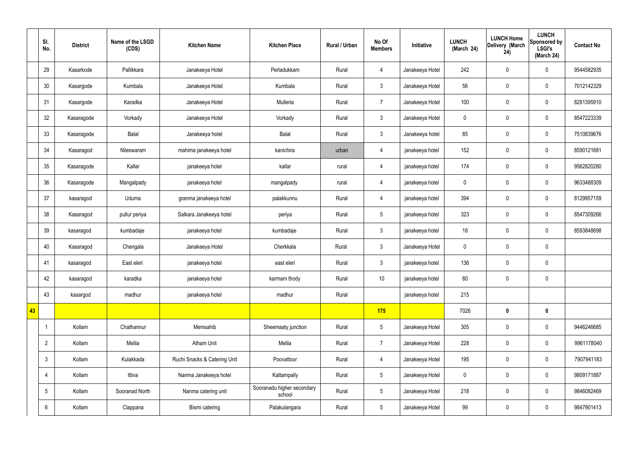|    | SI.<br>No.      | <b>District</b> | Name of the LSGD<br>(CDS) | <b>Kitchen Name</b>          | <b>Kitchen Place</b>                 | Rural / Urban | No Of<br><b>Members</b> | Initiative      | <b>LUNCH</b><br>(March 24) | <b>LUNCH Home</b><br>Delivery (March<br>24) | <b>LUNCH</b><br>Sponsored by<br><b>LSGI's</b><br>(March 24) | <b>Contact No</b> |
|----|-----------------|-----------------|---------------------------|------------------------------|--------------------------------------|---------------|-------------------------|-----------------|----------------------------|---------------------------------------------|-------------------------------------------------------------|-------------------|
|    | 29              | Kasarkode       | Pallikkara                | Janakeeya Hotel              | Perladukkam                          | Rural         | $\overline{4}$          | Janakeeya Hotel | 242                        | $\mathbf 0$                                 | $\mathbf 0$                                                 | 9544582935        |
|    | 30              | Kasargode       | Kumbala                   | Janakeeya Hotel              | Kumbala                              | Rural         | $\mathbf{3}$            | Janakeeya Hotel | 56                         | $\mathbf 0$                                 | $\mathbf 0$                                                 | 7012142329        |
|    | 31              | Kasargode       | Karadka                   | Janakeeya Hotel              | Mulleria                             | Rural         | $\overline{7}$          | Janakeeya Hotel | 100                        | $\mathbf 0$                                 | $\mathbf 0$                                                 | 8281395910        |
|    | 32              | Kasaragode      | Vorkady                   | Janakeeya Hotel              | Vorkady                              | Rural         | $\mathbf{3}$            | Janakeeya Hotel | $\mathbf 0$                | $\pmb{0}$                                   | $\mathbf 0$                                                 | 8547223339        |
|    | 33              | Kasaragode      | Balal                     | Janakeeya hotel              | Balal                                | Rural         | $\mathbf{3}$            | Janakeeya hotel | 85                         | $\mathbf 0$                                 | $\mathbf 0$                                                 | 7510839676        |
|    | 34              | Kasaragod       | Nileswaram                | mahima janakeeya hotel       | kanichira                            | urban         | $\overline{4}$          | janakeeya hotel | 152                        | $\pmb{0}$                                   | $\mathbf 0$                                                 | 8590121681        |
|    | 35              | Kasaragode      | Kallar                    | janakeeya hotel              | kallar                               | rural         | $\overline{4}$          | janakeeya hotel | 174                        | $\mathbf 0$                                 | $\mathbf 0$                                                 | 9562820280        |
|    | 36              | Kasaragode      | Mangalpady                | janakeeya hotel              | mangalpady                           | rural         | $\overline{4}$          | janakeeya hotel | $\mathbf 0$                | $\mathbf 0$                                 | $\mathbf 0$                                                 | 9633488309        |
|    | 37              | kasaragod       | Uduma                     | granma janakeeya hotel       | palakkunnu                           | Rural         | $\overline{4}$          | janakeeya hotel | 394                        | $\mathbf 0$                                 | $\mathbf 0$                                                 | 8129957159        |
|    | 38              | Kasaragod       | pullur periya             | Salkara Janakeeya hotel      | periya                               | Rural         | $5\,$                   | janakeeya hotel | 323                        | $\pmb{0}$                                   | $\mathbf 0$                                                 | 8547309266        |
|    | 39              | kasaragod       | kumbadaje                 | janakeeya hotel              | kumbadaje                            | Rural         | $\mathbf{3}$            | janakeeya hotel | 18                         | $\pmb{0}$                                   | $\mathbf 0$                                                 | 8593848698        |
|    | 40              | Kasaragod       | Chengala                  | Janakeeya Hotel              | Cherkkala                            | Rural         | $\mathbf{3}$            | Janakeeya Hotel | $\mathbf 0$                | $\pmb{0}$                                   | $\mathbf 0$                                                 |                   |
|    | 41              | kasaragod       | East eleri                | janakeeya hotel              | east eleri                           | Rural         | $\mathbf{3}$            | janakeeya hotel | 136                        | $\pmb{0}$                                   | $\mathbf 0$                                                 |                   |
|    | 42              | kasaragod       | karadka                   | janakeeya hotel              | karmam thody                         | Rural         | $10$                    | janakeeya hotel | 80                         | $\pmb{0}$                                   | $\mathbf 0$                                                 |                   |
|    | 43              | kasargod        | madhur                    | janakeeya hotel              | madhur                               | Rural         |                         | janakeeya hotel | 215                        |                                             |                                                             |                   |
| 43 |                 |                 |                           |                              |                                      |               | 175                     |                 | 7026                       | $\pmb{0}$                                   | $\mathbf 0$                                                 |                   |
|    |                 | Kollam          | Chathannur                | Memsahib                     | Sheemaaty junction                   | Rural         | $5\phantom{.0}$         | Janakeeya Hotel | 305                        | $\pmb{0}$                                   | $\mathbf 0$                                                 | 9446246685        |
|    | $\overline{2}$  | Kollam          | Melila                    | Atham Unit                   | Melila                               | Rural         | $\overline{7}$          | Janakeeya Hotel | 228                        | $\pmb{0}$                                   | $\mathbf 0$                                                 | 9961178040        |
|    | $\mathfrak{Z}$  | Kollam          | Kulakkada                 | Ruchi Snacks & Catering Unit | Poovattoor                           | Rural         | $\overline{4}$          | Janakeeya Hotel | 195                        | $\pmb{0}$                                   | $\mathbf 0$                                                 | 7907941183        |
|    | 4               | Kollam          | Ittiva                    | Nanma Janakeeya hotel        | Kattampally                          | Rural         | $5\overline{)}$         | Janakeeya Hotel | $\pmb{0}$                  | $\pmb{0}$                                   | $\mathbf 0$                                                 | 9809171887        |
|    | $5\phantom{.0}$ | Kollam          | Sooranad North            | Nanma catering unit          | Sooranadu higher secondary<br>school | Rural         | $5\phantom{.0}$         | Janakeeya Hotel | 218                        | $\pmb{0}$                                   | $\mathbf 0$                                                 | 9846082469        |
|    | 6               | Kollam          | Clappana                  | Bismi catering               | Palakulangara                        | Rural         | $5\overline{)}$         | Janakeeya Hotel | 99                         | $\pmb{0}$                                   | $\boldsymbol{0}$                                            | 9847901413        |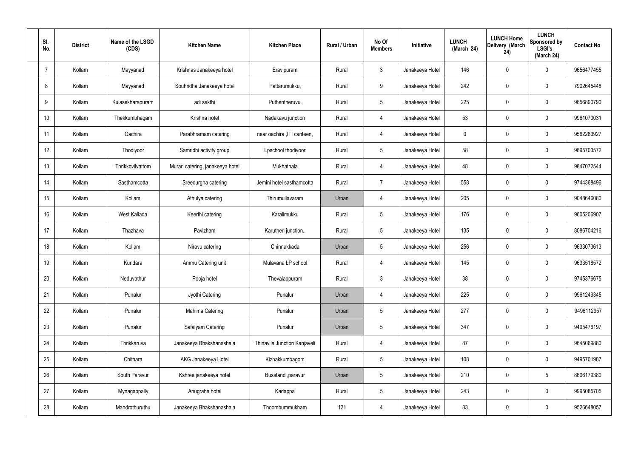| SI.<br>No. | <b>District</b> | Name of the LSGD<br>(CDS) | <b>Kitchen Name</b>              | <b>Kitchen Place</b>         | Rural / Urban | No Of<br><b>Members</b> | Initiative      | <b>LUNCH</b><br>(March 24) | <b>LUNCH Home</b><br>Delivery (March<br>24) | <b>LUNCH</b><br>Sponsored by<br><b>LSGI's</b><br>(March 24) | <b>Contact No</b> |
|------------|-----------------|---------------------------|----------------------------------|------------------------------|---------------|-------------------------|-----------------|----------------------------|---------------------------------------------|-------------------------------------------------------------|-------------------|
| 7          | Kollam          | Mayyanad                  | Krishnas Janakeeya hotel         | Eravipuram                   | Rural         | $\mathbf{3}$            | Janakeeya Hotel | 146                        | 0                                           | $\mathbf 0$                                                 | 9656477455        |
| 8          | Kollam          | Mayyanad                  | Souhridha Janakeeya hotel        | Pattarumukku,                | Rural         | 9                       | Janakeeya Hotel | 242                        | $\mathbf 0$                                 | $\mathbf 0$                                                 | 7902645448        |
| 9          | Kollam          | Kulasekharapuram          | adi sakthi                       | Puthentheruvu.               | Rural         | $5\overline{)}$         | Janakeeya Hotel | 225                        | $\mathbf 0$                                 | $\mathbf 0$                                                 | 9656890790        |
| 10         | Kollam          | Thekkumbhagam             | Krishna hotel                    | Nadakavu junction            | Rural         | $\overline{4}$          | Janakeeya Hotel | 53                         | $\mathbf 0$                                 | $\mathbf 0$                                                 | 9961070031        |
| 11         | Kollam          | Oachira                   | Parabhramam catering             | near oachira , ITI canteen,  | Rural         | $\overline{4}$          | Janakeeya Hotel | 0                          | $\mathbf 0$                                 | $\mathbf 0$                                                 | 9562283927        |
| 12         | Kollam          | Thodiyoor                 | Samridhi activity group          | Lpschool thodiyoor           | Rural         | $5\overline{)}$         | Janakeeya Hotel | 58                         | $\mathbf 0$                                 | $\mathbf 0$                                                 | 9895703572        |
| 13         | Kollam          | Thrikkovilvattom          | Murari catering, janakeeya hotel | Mukhathala                   | Rural         | $\overline{4}$          | Janakeeya Hotel | 48                         | $\mathbf 0$                                 | $\mathbf 0$                                                 | 9847072544        |
| 14         | Kollam          | Sasthamcotta              | Sreedurgha catering              | Jemini hotel sasthamcotta    | Rural         | $\overline{7}$          | Janakeeya Hotel | 558                        | $\mathbf 0$                                 | $\mathbf 0$                                                 | 9744368496        |
| 15         | Kollam          | Kollam                    | Athulya catering                 | Thirumullavaram              | Urban         | 4                       | Janakeeya Hotel | 205                        | $\mathbf 0$                                 | $\mathbf 0$                                                 | 9048646080        |
| 16         | Kollam          | West Kallada              | Keerthi catering                 | Karalimukku                  | Rural         | $5\phantom{.0}$         | Janakeeya Hotel | 176                        | $\mathbf 0$                                 | $\mathbf 0$                                                 | 9605206907        |
| 17         | Kollam          | Thazhava                  | Pavizham                         | Karutheri junction           | Rural         | $5\overline{)}$         | Janakeeya Hotel | 135                        | 0                                           | $\mathbf 0$                                                 | 8086704216        |
| 18         | Kollam          | Kollam                    | Niravu catering                  | Chinnakkada                  | Urban         | $5\phantom{.0}$         | Janakeeya Hotel | 256                        | 0                                           | $\mathbf 0$                                                 | 9633073613        |
| 19         | Kollam          | Kundara                   | Ammu Catering unit               | Mulavana LP school           | Rural         | 4                       | Janakeeya Hotel | 145                        | 0                                           | $\mathbf 0$                                                 | 9633518572        |
| 20         | Kollam          | Neduvathur                | Pooja hotel                      | Thevalappuram                | Rural         | $\mathbf{3}$            | Janakeeya Hotel | 38                         | $\mathbf 0$                                 | $\mathbf 0$                                                 | 9745376675        |
| 21         | Kollam          | Punalur                   | Jyothi Catering                  | Punalur                      | Urban         | $\overline{4}$          | Janakeeya Hotel | 225                        | 0                                           | $\mathbf 0$                                                 | 9961249345        |
| 22         | Kollam          | Punalur                   | Mahima Catering                  | Punalur                      | Urban         | $5\overline{)}$         | Janakeeya Hotel | 277                        | 0                                           | $\mathbf 0$                                                 | 9496112957        |
| 23         | Kollam          | Punalur                   | Safalyam Catering                | Punalur                      | Urban         | $5\phantom{.0}$         | Janakeeya Hotel | 347                        | 0                                           | $\mathbf 0$                                                 | 9495476197        |
| 24         | Kollam          | Thrikkaruva               | Janakeeya Bhakshanashala         | Thinavila Junction Kanjaveli | Rural         | $\overline{4}$          | Janakeeya Hotel | 87                         | 0                                           | $\mathbf 0$                                                 | 9645069880        |
| 25         | Kollam          | Chithara                  | AKG Janakeeya Hotel              | Kizhakkumbagom               | Rural         | $5\overline{)}$         | Janakeeya Hotel | 108                        | 0                                           | $\mathbf 0$                                                 | 9495701987        |
| 26         | Kollam          | South Paravur             | Kshree janakeeya hotel           | Busstand , paravur           | Urban         | $5\phantom{.0}$         | Janakeeya Hotel | 210                        | 0                                           | $5\phantom{.0}$                                             | 8606179380        |
| 27         | Kollam          | Mynagappally              | Anugraha hotel                   | Kadappa                      | Rural         | $5\phantom{.0}$         | Janakeeya Hotel | 243                        | 0                                           | $\mathbf 0$                                                 | 9995085705        |
| 28         | Kollam          | Mandrothuruthu            | Janakeeya Bhakshanashala         | Thoombummukham               | 121           | 4                       | Janakeeya Hotel | 83                         | 0                                           | $\overline{0}$                                              | 9526648057        |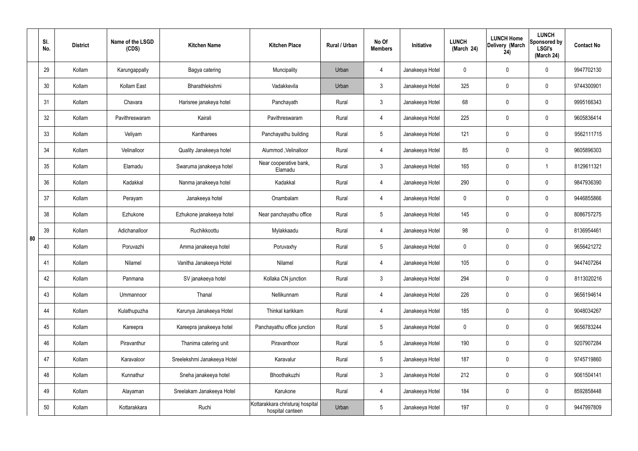|    | SI.<br>No. | <b>District</b> | Name of the LSGD<br>(CDS) | <b>Kitchen Name</b>         | <b>Kitchen Place</b>                                 | Rural / Urban | No Of<br><b>Members</b> | Initiative      | <b>LUNCH</b><br>(March 24) | <b>LUNCH Home</b><br>Delivery (March<br>24) | <b>LUNCH</b><br>Sponsored by<br><b>LSGI's</b><br>(March 24) | <b>Contact No</b> |
|----|------------|-----------------|---------------------------|-----------------------------|------------------------------------------------------|---------------|-------------------------|-----------------|----------------------------|---------------------------------------------|-------------------------------------------------------------|-------------------|
|    | 29         | Kollam          | Karungappally             | Bagya catering              | Muncipality                                          | Urban         | $\overline{4}$          | Janakeeya Hotel | $\mathbf 0$                | 0                                           | $\mathbf 0$                                                 | 9947702130        |
|    | 30         | Kollam          | Kollam East               | Bharathlekshmi              | Vadakkevila                                          | Urban         | $\mathbf{3}$            | Janakeeya Hotel | 325                        | 0                                           | $\mathbf 0$                                                 | 9744300901        |
|    | 31         | Kollam          | Chavara                   | Harisree janakeya hotel     | Panchayath                                           | Rural         | $\mathbf{3}$            | Janakeeya Hotel | 68                         | 0                                           | $\mathbf 0$                                                 | 9995166343        |
|    | 32         | Kollam          | Pavithreswaram            | Kairali                     | Pavithreswaram                                       | Rural         | $\overline{4}$          | Janakeeya Hotel | 225                        | 0                                           | $\mathbf 0$                                                 | 9605836414        |
|    | 33         | Kollam          | Veliyam                   | Kantharees                  | Panchayathu building                                 | Rural         | $5\phantom{.0}$         | Janakeeya Hotel | 121                        | $\mathbf 0$                                 | $\mathbf 0$                                                 | 9562111715        |
|    | 34         | Kollam          | Velinalloor               | Quality Janakeeya hotel     | Alummod, Velinalloor                                 | Rural         | $\overline{4}$          | Janakeeya Hotel | 85                         | 0                                           | $\mathbf 0$                                                 | 9605896303        |
|    | 35         | Kollam          | Elamadu                   | Swaruma janakeeya hotel     | Near cooperative bank,<br>Elamadu                    | Rural         | $\mathbf{3}$            | Janakeeya Hotel | 165                        | $\mathbf 0$                                 | -1                                                          | 8129611321        |
|    | 36         | Kollam          | Kadakkal                  | Nanma janakeeya hotel       | Kadakkal                                             | Rural         | $\overline{4}$          | Janakeeya Hotel | 290                        | 0                                           | $\mathbf 0$                                                 | 9847936390        |
|    | 37         | Kollam          | Perayam                   | Janakeeya hotel             | Onambalam                                            | Rural         | $\overline{4}$          | Janakeeya Hotel | $\mathbf 0$                | 0                                           | $\mathbf 0$                                                 | 9446855866        |
|    | 38         | Kollam          | Ezhukone                  | Ezhukone janakeeya hotel    | Near panchayathu office                              | Rural         | $5\phantom{.0}$         | Janakeeya Hotel | 145                        | 0                                           | $\mathbf 0$                                                 | 8086757275        |
| 80 | 39         | Kollam          | Adichanalloor             | Ruchikkoottu                | Mylakkaadu                                           | Rural         | 4                       | Janakeeya Hotel | 98                         | 0                                           | $\mathbf 0$                                                 | 8136954461        |
|    | 40         | Kollam          | Poruvazhi                 | Amma janakeeya hotel        | Poruvaxhy                                            | Rural         | $5\phantom{.0}$         | Janakeeya Hotel | $\mathbf 0$                | 0                                           | $\mathbf 0$                                                 | 9656421272        |
|    | 41         | Kollam          | Nilamel                   | Vanitha Janakeeya Hotel     | Nilamel                                              | Rural         | 4                       | Janakeeya Hotel | 105                        | 0                                           | $\mathbf 0$                                                 | 9447407264        |
|    | 42         | Kollam          | Panmana                   | SV janakeeya hotel          | Kollaka CN junction                                  | Rural         | $\mathbf{3}$            | Janakeeya Hotel | 294                        | $\mathbf 0$                                 | $\mathbf 0$                                                 | 8113020216        |
|    | 43         | Kollam          | Ummannoor                 | Thanal                      | Nellikunnam                                          | Rural         | $\overline{4}$          | Janakeeya Hotel | 226                        | $\mathbf 0$                                 | $\mathbf 0$                                                 | 9656194614        |
|    | 44         | Kollam          | Kulathupuzha              | Karunya Janakeeya Hotel     | Thinkal karikkam                                     | Rural         | $\overline{4}$          | Janakeeya Hotel | 185                        | 0                                           | $\mathbf 0$                                                 | 9048034267        |
|    | 45         | Kollam          | Kareepra                  | Kareepra janakeeya hotel    | Panchayathu office junction                          | Rural         | $5\phantom{.0}$         | Janakeeya Hotel | $\mathbf 0$                | 0                                           | $\mathbf 0$                                                 | 9656783244        |
|    | 46         | Kollam          | Piravanthur               | Thanima catering unit       | Piravanthoor                                         | Rural         | $5\phantom{.0}$         | Janakeeya Hotel | 190                        | 0                                           | $\mathbf 0$                                                 | 9207907284        |
|    | 47         | Kollam          | Karavaloor                | Sreelekshmi Janakeeya Hotel | Karavalur                                            | Rural         | $5\phantom{.0}$         | Janakeeya Hotel | 187                        | 0                                           | $\mathbf 0$                                                 | 9745719860        |
|    | 48         | Kollam          | Kunnathur                 | Sneha janakeeya hotel       | Bhoothakuzhi                                         | Rural         | $\mathfrak{Z}$          | Janakeeya Hotel | 212                        | 0                                           | $\mathbf 0$                                                 | 9061504141        |
|    | 49         | Kollam          | Alayaman                  | Sreelakam Janakeeya Hotel   | Karukone                                             | Rural         | $\overline{4}$          | Janakeeya Hotel | 184                        | 0                                           | $\mathbf 0$                                                 | 8592858448        |
|    | 50         | Kollam          | Kottarakkara              | Ruchi                       | Kottarakkara christuraj hospital<br>hospital canteen | Urban         | $5\phantom{.0}$         | Janakeeya Hotel | 197                        | 0                                           | $\mathbf 0$                                                 | 9447997809        |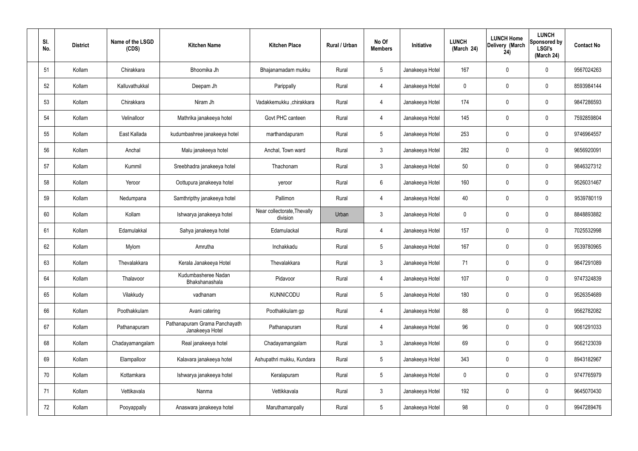| SI.<br>No. | <b>District</b> | Name of the LSGD<br>(CDS) | <b>Kitchen Name</b>                              | <b>Kitchen Place</b>                    | Rural / Urban | No Of<br><b>Members</b> | Initiative      | <b>LUNCH</b><br>(March 24) | <b>LUNCH Home</b><br>Delivery (March<br>24) | <b>LUNCH</b><br>Sponsored by<br><b>LSGI's</b><br>(March 24) | <b>Contact No</b> |
|------------|-----------------|---------------------------|--------------------------------------------------|-----------------------------------------|---------------|-------------------------|-----------------|----------------------------|---------------------------------------------|-------------------------------------------------------------|-------------------|
| 51         | Kollam          | Chirakkara                | Bhoomika Jh                                      | Bhajanamadam mukku                      | Rural         | $5\phantom{.0}$         | Janakeeya Hotel | 167                        | 0                                           | $\mathbf 0$                                                 | 9567024263        |
| 52         | Kollam          | Kalluvathukkal            | Deepam Jh                                        | Parippally                              | Rural         | $\overline{4}$          | Janakeeya Hotel | $\mathbf 0$                | $\mathbf 0$                                 | $\mathbf 0$                                                 | 8593984144        |
| 53         | Kollam          | Chirakkara                | Niram Jh                                         | Vadakkemukku ,chirakkara                | Rural         | $\overline{4}$          | Janakeeya Hotel | 174                        | 0                                           | $\mathbf 0$                                                 | 9847286593        |
| 54         | Kollam          | Velinalloor               | Mathrika janakeeya hotel                         | Govt PHC canteen                        | Rural         | $\overline{4}$          | Janakeeya Hotel | 145                        | $\mathbf 0$                                 | $\mathbf 0$                                                 | 7592859804        |
| 55         | Kollam          | East Kallada              | kudumbashree janakeeya hotel                     | marthandapuram                          | Rural         | $5\phantom{.0}$         | Janakeeya Hotel | 253                        | $\mathbf 0$                                 | $\mathbf 0$                                                 | 9746964557        |
| 56         | Kollam          | Anchal                    | Malu janakeeya hotel                             | Anchal, Town ward                       | Rural         | $\mathbf{3}$            | Janakeeya Hotel | 282                        | 0                                           | $\mathbf 0$                                                 | 9656920091        |
| 57         | Kollam          | Kummil                    | Sreebhadra janakeeya hotel                       | Thachonam                               | Rural         | $\mathbf{3}$            | Janakeeya Hotel | 50                         | $\mathbf 0$                                 | $\mathbf 0$                                                 | 9846327312        |
| 58         | Kollam          | Yeroor                    | Oottupura janakeeya hotel                        | yeroor                                  | Rural         | $6\phantom{.}6$         | Janakeeya Hotel | 160                        | 0                                           | $\mathbf 0$                                                 | 9526031467        |
| 59         | Kollam          | Nedumpana                 | Samthripthy janakeeya hotel                      | Pallimon                                | Rural         | $\overline{4}$          | Janakeeya Hotel | 40                         | $\mathbf 0$                                 | $\mathbf 0$                                                 | 9539780119        |
| 60         | Kollam          | Kollam                    | Ishwarya janakeeya hotel                         | Near collectorate, Thevally<br>division | Urban         | $\mathbf{3}$            | Janakeeya Hotel | $\mathbf 0$                | 0                                           | $\mathbf 0$                                                 | 8848893882        |
| 61         | Kollam          | Edamulakkal               | Sahya janakeeya hotel                            | Edamulackal                             | Rural         | 4                       | Janakeeya Hotel | 157                        | 0                                           | $\mathbf 0$                                                 | 7025532998        |
| 62         | Kollam          | Mylom                     | Amrutha                                          | Inchakkadu                              | Rural         | $5\phantom{.0}$         | Janakeeya Hotel | 167                        | 0                                           | $\mathbf 0$                                                 | 9539780965        |
| 63         | Kollam          | Thevalakkara              | Kerala Janakeeya Hotel                           | Thevalakkara                            | Rural         | $\mathbf{3}$            | Janakeeya Hotel | 71                         | 0                                           | $\mathbf 0$                                                 | 9847291089        |
| 64         | Kollam          | Thalavoor                 | Kudumbasheree Nadan<br>Bhakshanashala            | Pidavoor                                | Rural         | $\overline{4}$          | Janakeeya Hotel | 107                        | $\mathbf 0$                                 | $\mathbf 0$                                                 | 9747324839        |
| 65         | Kollam          | Vilakkudy                 | vadhanam                                         | <b>KUNNICODU</b>                        | Rural         | $5\phantom{.0}$         | Janakeeya Hotel | 180                        | $\mathbf 0$                                 | $\mathbf 0$                                                 | 9526354689        |
| 66         | Kollam          | Poothakkulam              | Avani catering                                   | Poothakkulam gp                         | Rural         | $\overline{4}$          | Janakeeya Hotel | 88                         | $\mathbf 0$                                 | $\mathbf 0$                                                 | 9562782082        |
| 67         | Kollam          | Pathanapuram              | Pathanapuram Grama Panchayath<br>Janakeeya Hotel | Pathanapuram                            | Rural         | $\overline{4}$          | Janakeeya Hotel | 96                         | $\mathbf 0$                                 | $\mathbf 0$                                                 | 9061291033        |
| 68         | Kollam          | Chadayamangalam           | Real janakeeya hotel                             | Chadayamangalam                         | Rural         | $\mathfrak{Z}$          | Janakeeya Hotel | 69                         | 0                                           | $\mathbf 0$                                                 | 9562123039        |
| 69         | Kollam          | Elampalloor               | Kalavara janakeeya hotel                         | Ashupathri mukku, Kundara               | Rural         | $5\phantom{.0}$         | Janakeeya Hotel | 343                        | 0                                           | $\mathbf 0$                                                 | 8943182967        |
| 70         | Kollam          | Kottamkara                | Ishwarya janakeeya hotel                         | Keralapuram                             | Rural         | $5\phantom{.0}$         | Janakeeya Hotel | $\mathbf 0$                | 0                                           | $\mathbf 0$                                                 | 9747765979        |
| 71         | Kollam          | Vettikavala               | Nanma                                            | Vettikkavala                            | Rural         | $\mathfrak{Z}$          | Janakeeya Hotel | 192                        | 0                                           | $\mathbf 0$                                                 | 9645070430        |
| 72         | Kollam          | Pooyappally               | Anaswara janakeeya hotel                         | Maruthamanpally                         | Rural         | $5\,$                   | Janakeeya Hotel | 98                         | 0                                           | $\mathbf 0$                                                 | 9947289476        |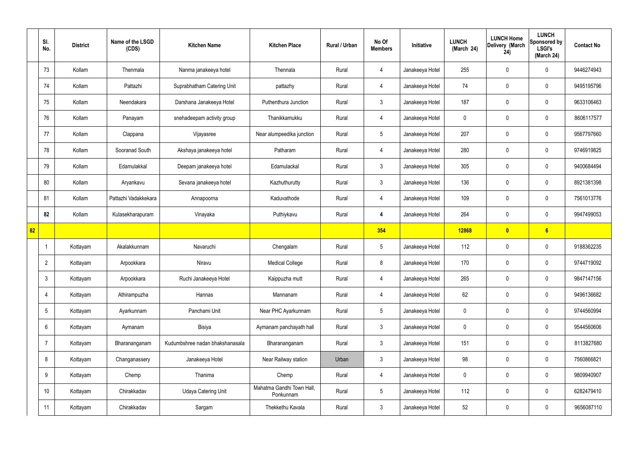|    | SI.<br>No.      | <b>District</b> | Name of the LSGD<br>(CDS) | <b>Kitchen Name</b>             | <b>Kitchen Place</b>                   | Rural / Urban | No Of<br><b>Members</b> | Initiative      | <b>LUNCH</b><br>(March 24) | <b>LUNCH Home</b><br>Delivery (March<br>24) | <b>LUNCH</b><br>Sponsored by<br><b>LSGI's</b><br>(March 24) | <b>Contact No</b> |
|----|-----------------|-----------------|---------------------------|---------------------------------|----------------------------------------|---------------|-------------------------|-----------------|----------------------------|---------------------------------------------|-------------------------------------------------------------|-------------------|
|    | 73              | Kollam          | Thenmala                  | Nanma janakeeya hotel           | Thennala                               | Rural         | 4                       | Janakeeya Hotel | 255                        | $\mathbf 0$                                 | $\mathbf 0$                                                 | 9446274943        |
|    | 74              | Kollam          | Pattazhi                  | Suprabhatham Catering Unit      | pattazhy                               | Rural         | $\overline{4}$          | Janakeeya Hotel | 74                         | $\mathbf 0$                                 | $\mathbf 0$                                                 | 9495195796        |
|    | 75              | Kollam          | Neendakara                | Darshana Janakeeya Hotel        | Puthenthura Junction                   | Rural         | $\mathbf{3}$            | Janakeeya Hotel | 187                        | $\mathbf 0$                                 | $\mathbf 0$                                                 | 9633106463        |
|    | 76              | Kollam          | Panayam                   | snehadeepam activity group      | Thanikkamukku                          | Rural         | $\overline{4}$          | Janakeeya Hotel | $\mathbf 0$                | $\mathbf 0$                                 | $\mathbf 0$                                                 | 8606117577        |
|    | 77              | Kollam          | Clappana                  | Vijayasree                      | Near alumpeedika junction              | Rural         | $5\overline{)}$         | Janakeeya Hotel | 207                        | $\mathbf 0$                                 | $\mathbf 0$                                                 | 9567797660        |
|    | 78              | Kollam          | Sooranad South            | Akshaya janakeeya hotel         | Patharam                               | Rural         | $\overline{4}$          | Janakeeya Hotel | 280                        | $\mathbf 0$                                 | $\mathbf 0$                                                 | 9746919825        |
|    | 79              | Kollam          | Edamulakkal               | Deepam janakeeya hotel          | Edamulackal                            | Rural         | $\mathbf{3}$            | Janakeeya Hotel | 305                        | $\mathbf 0$                                 | $\mathbf 0$                                                 | 9400684494        |
|    | 80              | Kollam          | Aryankavu                 | Sevana janakeeya hotel          | Kazhuthurutty                          | Rural         | $\mathbf{3}$            | Janakeeya Hotel | 136                        | $\mathbf 0$                                 | $\mathbf 0$                                                 | 8921381398        |
|    | 81              | Kollam          | Pattazhi Vadakkekara      | Annapoorna                      | Kaduvathode                            | Rural         | 4                       | Janakeeya Hotel | 109                        | $\mathbf 0$                                 | $\mathbf 0$                                                 | 7561013776        |
|    | 82              | Kollam          | Kulasekharapuram          | Vinayaka                        | Puthiykavu                             | Rural         | $\overline{4}$          | Janakeeya Hotel | 264                        | $\mathbf 0$                                 | $\mathbf 0$                                                 | 9947499053        |
| 82 |                 |                 |                           |                                 |                                        |               | 354                     |                 | 12868                      | $\boldsymbol{0}$                            | 6                                                           |                   |
|    | -1              | Kottayam        | Akalakkunnam              | Navaruchi                       | Chengalam                              | Rural         | $5\phantom{.0}$         | Janakeeya Hotel | 112                        | $\mathbf 0$                                 | $\mathbf 0$                                                 | 9188362235        |
|    | $\overline{2}$  | Kottayam        | Arpookkara                | Niravu                          | <b>Medical College</b>                 | Rural         | 8                       | Janakeeya Hotel | 170                        | $\mathbf 0$                                 | $\mathbf 0$                                                 | 9744719092        |
|    | $\mathbf{3}$    | Kottayam        | Arpookkara                | Ruchi Janakeeya Hotel           | Kaippuzha mutt                         | Rural         | $\overline{4}$          | Janakeeya Hotel | 265                        | $\pmb{0}$                                   | $\mathbf 0$                                                 | 9847147156        |
|    | $\overline{4}$  | Kottayam        | Athirampuzha              | Hannas                          | Mannanam                               | Rural         | $\overline{4}$          | Janakeeya Hotel | 62                         | $\pmb{0}$                                   | $\mathbf 0$                                                 | 9496136682        |
|    | $5\phantom{.0}$ | Kottayam        | Ayarkunnam                | Panchami Unit                   | Near PHC Ayarkunnam                    | Rural         | $5\overline{)}$         | Janakeeya Hotel | $\mathbf 0$                | $\mathbf 0$                                 | $\mathbf 0$                                                 | 9744560994        |
|    | 6               | Kottayam        | Aymanam                   | Bisiya                          | Aymanam panchayath hall                | Rural         | $\mathbf{3}$            | Janakeeya Hotel | $\mathbf 0$                | 0                                           | $\mathbf 0$                                                 | 9544560606        |
|    | $\overline{7}$  | Kottayam        | Bharananganam             | Kudumbshree nadan bhakshanasala | Bharananganam                          | Rural         | $\mathbf{3}$            | Janakeeya Hotel | 151                        | 0                                           | $\mathbf 0$                                                 | 8113827680        |
|    | 8               | Kottayam        | Changanassery             | Janakeeya Hotel                 | Near Railway station                   | Urban         | $\mathbf{3}$            | Janakeeya Hotel | 98                         | 0                                           | $\mathbf 0$                                                 | 7560866821        |
|    | 9               | Kottayam        | Chemp                     | Thanima                         | Chemp                                  | Rural         | $\overline{4}$          | Janakeeya Hotel | $\mathbf 0$                | 0                                           | $\mathbf 0$                                                 | 9809940907        |
|    | 10              | Kottayam        | Chirakkadav               | <b>Udaya Catering Unit</b>      | Mahatma Gandhi Town Hall,<br>Ponkunnam | Rural         | $5\phantom{.0}$         | Janakeeya Hotel | 112                        | 0                                           | $\mathbf 0$                                                 | 6282479410        |
|    | 11              | Kottayam        | Chirakkadav               | Sargam                          | Thekkethu Kavala                       | Rural         | $\mathbf{3}$            | Janakeeya Hotel | 52                         | 0                                           | $\boldsymbol{0}$                                            | 9656087110        |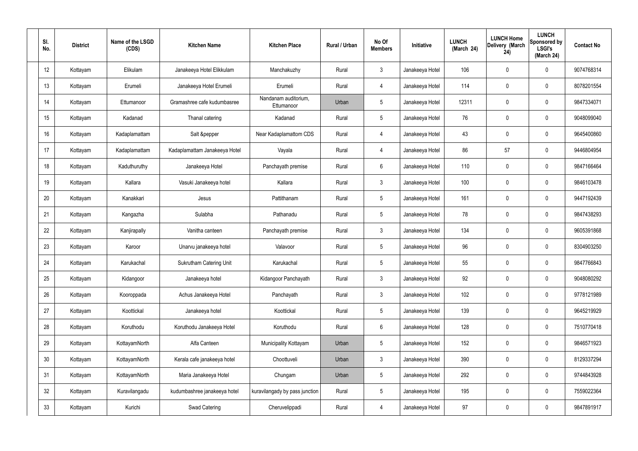| SI.<br>No.      | <b>District</b> | Name of the LSGD<br>(CDS) | <b>Kitchen Name</b>            | <b>Kitchen Place</b>               | Rural / Urban | No Of<br><b>Members</b> | Initiative      | <b>LUNCH</b><br>(March 24) | <b>LUNCH Home</b><br>Delivery (March<br>24) | <b>LUNCH</b><br>Sponsored by<br><b>LSGI's</b><br>(March 24) | <b>Contact No</b> |
|-----------------|-----------------|---------------------------|--------------------------------|------------------------------------|---------------|-------------------------|-----------------|----------------------------|---------------------------------------------|-------------------------------------------------------------|-------------------|
| 12              | Kottayam        | Elikulam                  | Janakeeya Hotel Elikkulam      | Manchakuzhy                        | Rural         | $\mathbf{3}$            | Janakeeya Hotel | 106                        | $\mathbf 0$                                 | 0                                                           | 9074768314        |
| 13              | Kottayam        | Erumeli                   | Janakeeya Hotel Erumeli        | Erumeli                            | Rural         | $\overline{4}$          | Janakeeya Hotel | 114                        | $\mathbf 0$                                 | 0                                                           | 8078201554        |
| 14              | Kottayam        | Ettumanoor                | Gramashree cafe kudumbasree    | Nandanam auditorium,<br>Ettumanoor | Urban         | $5\phantom{.0}$         | Janakeeya Hotel | 12311                      | $\mathbf 0$                                 | 0                                                           | 9847334071        |
| 15              | Kottayam        | Kadanad                   | Thanal catering                | Kadanad                            | Rural         | $5\phantom{.0}$         | Janakeeya Hotel | 76                         | $\mathbf 0$                                 | 0                                                           | 9048099040        |
| 16              | Kottayam        | Kadaplamattam             | Salt &pepper                   | Near Kadaplamattom CDS             | Rural         | $\overline{4}$          | Janakeeya Hotel | 43                         | $\mathbf 0$                                 | 0                                                           | 9645400860        |
| 17              | Kottayam        | Kadaplamattam             | Kadaplamattam Janakeeya Hotel  | Vayala                             | Rural         | $\overline{4}$          | Janakeeya Hotel | 86                         | 57                                          | 0                                                           | 9446804954        |
| 18              | Kottayam        | Kaduthuruthy              | Janakeeya Hotel                | Panchayath premise                 | Rural         | 6                       | Janakeeya Hotel | 110                        | $\mathbf 0$                                 | 0                                                           | 9847166464        |
| 19              | Kottayam        | Kallara                   | Vasuki Janakeeya hotel         | Kallara                            | Rural         | $\mathbf{3}$            | Janakeeya Hotel | 100                        | $\mathbf 0$                                 | 0                                                           | 9846103478        |
| 20              | Kottayam        | Kanakkari                 | Jesus                          | Pattithanam                        | Rural         | $5\phantom{.0}$         | Janakeeya Hotel | 161                        | $\mathbf 0$                                 | 0                                                           | 9447192439        |
| 21              | Kottayam        | Kangazha                  | Sulabha                        | Pathanadu                          | Rural         | $5\phantom{.0}$         | Janakeeya Hotel | 78                         | $\mathbf 0$                                 | 0                                                           | 9847438293        |
| 22              | Kottayam        | Kanjirapally              | Vanitha canteen                | Panchayath premise                 | Rural         | $\mathbf{3}$            | Janakeeya Hotel | 134                        | 0                                           | 0                                                           | 9605391868        |
| 23              | Kottayam        | Karoor                    | Unarvu janakeeya hotel         | Valavoor                           | Rural         | $5\phantom{.0}$         | Janakeeya Hotel | 96                         | 0                                           | 0                                                           | 8304903250        |
| 24              | Kottayam        | Karukachal                | <b>Sukrutham Catering Unit</b> | Karukachal                         | Rural         | 5                       | Janakeeya Hotel | 55                         | $\mathbf 0$                                 | 0                                                           | 9847766843        |
| 25              | Kottayam        | Kidangoor                 | Janakeeya hotel                | Kidangoor Panchayath               | Rural         | $\mathbf{3}$            | Janakeeya Hotel | 92                         | $\mathbf 0$                                 | 0                                                           | 9048080292        |
| 26              | Kottayam        | Kooroppada                | Achus Janakeeya Hotel          | Panchayath                         | Rural         | $\mathbf{3}$            | Janakeeya Hotel | 102                        | $\pmb{0}$                                   | 0                                                           | 9778121989        |
| 27              | Kottayam        | Koottickal                | Janakeeya hotel                | Koottickal                         | Rural         | $5\phantom{.0}$         | Janakeeya Hotel | 139                        | $\mathbf 0$                                 | 0                                                           | 9645219929        |
| 28              | Kottayam        | Koruthodu                 | Koruthodu Janakeeya Hotel      | Koruthodu                          | Rural         | $6\overline{6}$         | Janakeeya Hotel | 128                        | $\pmb{0}$                                   | 0                                                           | 7510770418        |
| 29              | Kottayam        | KottayamNorth             | Alfa Canteen                   | Municipality Kottayam              | Urban         | $5\phantom{.0}$         | Janakeeya Hotel | 152                        | $\mathbf 0$                                 | 0                                                           | 9846571923        |
| 30 <sub>2</sub> | Kottayam        | KottayamNorth             | Kerala cafe janakeeya hotel    | Choottuveli                        | Urban         | $\mathbf{3}$            | Janakeeya Hotel | 390                        | $\pmb{0}$                                   | 0                                                           | 8129337294        |
| 31              | Kottayam        | KottayamNorth             | Maria Janakeeya Hotel          | Chungam                            | Urban         | $5\phantom{.0}$         | Janakeeya Hotel | 292                        | $\mathbf 0$                                 | 0                                                           | 9744843928        |
| 32              | Kottayam        | Kuravilangadu             | kudumbashree janakeeya hotel   | kuravilangady by pass junction     | Rural         | $5\phantom{.0}$         | Janakeeya Hotel | 195                        | $\mathbf 0$                                 | 0                                                           | 7559022364        |
| 33              | Kottayam        | Kurichi                   | Swad Catering                  | Cheruvelippadi                     | Rural         | $\overline{4}$          | Janakeeya Hotel | 97                         | $\pmb{0}$                                   | 0                                                           | 9847891917        |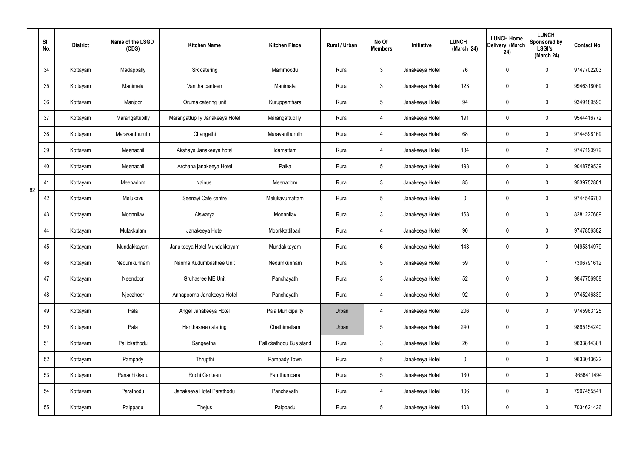|    | SI.<br>No. | <b>District</b> | Name of the LSGD<br>(CDS) | <b>Kitchen Name</b>             | <b>Kitchen Place</b>    | Rural / Urban | No Of<br><b>Members</b> | Initiative      | <b>LUNCH</b><br>(March 24) | <b>LUNCH Home</b><br>Delivery (March<br>24) | <b>LUNCH</b><br>Sponsored by<br><b>LSGI's</b><br>(March 24) | <b>Contact No</b> |
|----|------------|-----------------|---------------------------|---------------------------------|-------------------------|---------------|-------------------------|-----------------|----------------------------|---------------------------------------------|-------------------------------------------------------------|-------------------|
|    | 34         | Kottayam        | Madappally                | SR catering                     | Mammoodu                | Rural         | $\mathbf{3}$            | Janakeeya Hotel | 76                         | 0                                           | $\mathbf 0$                                                 | 9747702203        |
|    | 35         | Kottayam        | Manimala                  | Vanitha canteen                 | Manimala                | Rural         | $\mathbf{3}$            | Janakeeya Hotel | 123                        | $\mathbf 0$                                 | $\mathbf 0$                                                 | 9946318069        |
|    | 36         | Kottayam        | Manjoor                   | Oruma catering unit             | Kuruppanthara           | Rural         | $5\phantom{.0}$         | Janakeeya Hotel | 94                         | 0                                           | $\mathbf 0$                                                 | 9349189590        |
|    | 37         | Kottayam        | Marangattupilly           | Marangattupilly Janakeeya Hotel | Marangattupilly         | Rural         | $\overline{4}$          | Janakeeya Hotel | 191                        | 0                                           | $\mathbf 0$                                                 | 9544416772        |
|    | 38         | Kottayam        | Maravanthuruth            | Changathi                       | Maravanthuruth          | Rural         | $\overline{4}$          | Janakeeya Hotel | 68                         | $\mathbf 0$                                 | $\mathbf 0$                                                 | 9744598169        |
|    | 39         | Kottayam        | Meenachil                 | Akshaya Janakeeya hotel         | Idamattam               | Rural         | $\overline{4}$          | Janakeeya Hotel | 134                        | 0                                           | $\overline{2}$                                              | 9747190979        |
|    | 40         | Kottayam        | Meenachil                 | Archana janakeeya Hotel         | Paika                   | Rural         | $5\phantom{.0}$         | Janakeeya Hotel | 193                        | $\mathbf 0$                                 | $\mathbf 0$                                                 | 9048759539        |
| 82 | 41         | Kottayam        | Meenadom                  | <b>Nainus</b>                   | Meenadom                | Rural         | $\mathbf{3}$            | Janakeeya Hotel | 85                         | 0                                           | $\mathbf 0$                                                 | 9539752801        |
|    | 42         | Kottayam        | Melukavu                  | Seenayi Cafe centre             | Melukavumattam          | Rural         | $5\phantom{.0}$         | Janakeeya Hotel | $\mathbf 0$                | 0                                           | $\mathbf 0$                                                 | 9744546703        |
|    | 43         | Kottayam        | Moonnilav                 | Aiswarya                        | Moonnilav               | Rural         | $\mathbf{3}$            | Janakeeya Hotel | 163                        | 0                                           | $\mathbf 0$                                                 | 8281227689        |
|    | 44         | Kottayam        | Mulakkulam                | Janakeeya Hotel                 | Moorkkattilpadi         | Rural         | 4                       | Janakeeya Hotel | 90                         | 0                                           | $\mathbf 0$                                                 | 9747856382        |
|    | 45         | Kottayam        | Mundakkayam               | Janakeeya Hotel Mundakkayam     | Mundakkayam             | Rural         | $6\phantom{.}6$         | Janakeeya Hotel | 143                        | $\mathbf 0$                                 | $\mathbf 0$                                                 | 9495314979        |
|    | 46         | Kottayam        | Nedumkunnam               | Nanma Kudumbashree Unit         | Nedumkunnam             | Rural         | $5\phantom{.0}$         | Janakeeya Hotel | 59                         | 0                                           |                                                             | 7306791612        |
|    | 47         | Kottayam        | Neendoor                  | Gruhasree ME Unit               | Panchayath              | Rural         | $\mathbf{3}$            | Janakeeya Hotel | 52                         | $\mathbf 0$                                 | $\mathbf 0$                                                 | 9847756958        |
|    | 48         | Kottayam        | Njeezhoor                 | Annapoorna Janakeeya Hotel      | Panchayath              | Rural         | $\overline{4}$          | Janakeeya Hotel | 92                         | $\mathbf 0$                                 | $\mathbf 0$                                                 | 9745246839        |
|    | 49         | Kottayam        | Pala                      | Angel Janakeeya Hotel           | Pala Municipality       | Urban         | $\overline{4}$          | Janakeeya Hotel | 206                        | 0                                           | $\mathbf 0$                                                 | 9745963125        |
|    | 50         | Kottayam        | Pala                      | Harithasree catering            | Chethimattam            | Urban         | $5\phantom{.0}$         | Janakeeya Hotel | 240                        | 0                                           | $\mathbf 0$                                                 | 9895154240        |
|    | 51         | Kottayam        | Pallickathodu             | Sangeetha                       | Pallickathodu Bus stand | Rural         | $\mathbf{3}$            | Janakeeya Hotel | 26                         | 0                                           | $\mathbf 0$                                                 | 9633814381        |
|    | 52         | Kottayam        | Pampady                   | Thrupthi                        | Pampady Town            | Rural         | $5\overline{)}$         | Janakeeya Hotel | $\pmb{0}$                  | 0                                           | $\mathbf 0$                                                 | 9633013622        |
|    | 53         | Kottayam        | Panachikkadu              | Ruchi Canteen                   | Paruthumpara            | Rural         | $5\phantom{.0}$         | Janakeeya Hotel | 130                        | 0                                           | $\mathbf 0$                                                 | 9656411494        |
|    | 54         | Kottayam        | Parathodu                 | Janakeeya Hotel Parathodu       | Panchayath              | Rural         | $\overline{4}$          | Janakeeya Hotel | 106                        | 0                                           | $\mathbf 0$                                                 | 7907455541        |
|    | 55         | Kottayam        | Paippadu                  | Thejus                          | Paippadu                | Rural         | $5\,$                   | Janakeeya Hotel | 103                        | 0                                           | $\mathbf 0$                                                 | 7034621426        |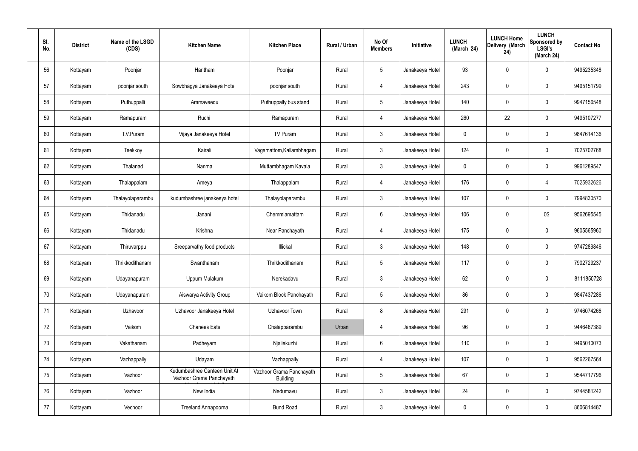| SI.<br>No. | <b>District</b> | Name of the LSGD<br>(CDS) | <b>Kitchen Name</b>                                      | <b>Kitchen Place</b>                        | Rural / Urban | No Of<br><b>Members</b> | Initiative      | <b>LUNCH</b><br>(March 24) | <b>LUNCH Home</b><br>Delivery (March<br>24) | <b>LUNCH</b><br>Sponsored by<br><b>LSGI's</b><br>(March 24) | <b>Contact No</b> |
|------------|-----------------|---------------------------|----------------------------------------------------------|---------------------------------------------|---------------|-------------------------|-----------------|----------------------------|---------------------------------------------|-------------------------------------------------------------|-------------------|
| 56         | Kottayam        | Poonjar                   | Haritham                                                 | Poonjar                                     | Rural         | $5\phantom{.0}$         | Janakeeya Hotel | 93                         | $\mathbf 0$                                 | 0                                                           | 9495235348        |
| 57         | Kottayam        | poonjar south             | Sowbhagya Janakeeya Hotel                                | poonjar south                               | Rural         | $\overline{4}$          | Janakeeya Hotel | 243                        | $\mathbf 0$                                 | 0                                                           | 9495151799        |
| 58         | Kottayam        | Puthuppalli               | Ammaveedu                                                | Puthuppally bus stand                       | Rural         | $5\overline{)}$         | Janakeeya Hotel | 140                        | $\mathbf 0$                                 | 0                                                           | 9947156548        |
| 59         | Kottayam        | Ramapuram                 | Ruchi                                                    | Ramapuram                                   | Rural         | $\overline{4}$          | Janakeeya Hotel | 260                        | 22                                          | 0                                                           | 9495107277        |
| 60         | Kottayam        | T.V.Puram                 | Vijaya Janakeeya Hotel                                   | TV Puram                                    | Rural         | $\mathbf{3}$            | Janakeeya Hotel | 0                          | $\mathbf 0$                                 | 0                                                           | 9847614136        |
| 61         | Kottayam        | Teekkoy                   | Kairali                                                  | Vagamattom, Kallambhagam                    | Rural         | $\mathbf{3}$            | Janakeeya Hotel | 124                        | $\mathbf 0$                                 | 0                                                           | 7025702768        |
| 62         | Kottayam        | Thalanad                  | Nanma                                                    | Muttambhagam Kavala                         | Rural         | $\mathbf{3}$            | Janakeeya Hotel | 0                          | 0                                           | 0                                                           | 9961289547        |
| 63         | Kottayam        | Thalappalam               | Ameya                                                    | Thalappalam                                 | Rural         | $\overline{4}$          | Janakeeya Hotel | 176                        | $\mathbf 0$                                 | 4                                                           | 7025932626        |
| 64         | Kottayam        | Thalayolaparambu          | kudumbashree janakeeya hotel                             | Thalayolaparambu                            | Rural         | $\mathbf{3}$            | Janakeeya Hotel | 107                        | 0                                           | 0                                                           | 7994830570        |
| 65         | Kottayam        | Thidanadu                 | Janani                                                   | Chemmlamattam                               | Rural         | $6\overline{6}$         | Janakeeya Hotel | 106                        | 0                                           | 0\$                                                         | 9562695545        |
| 66         | Kottayam        | Thidanadu                 | Krishna                                                  | Near Panchayath                             | Rural         | $\overline{4}$          | Janakeeya Hotel | 175                        | 0                                           | 0                                                           | 9605565960        |
| 67         | Kottayam        | Thiruvarppu               | Sreeparvathy food products                               | Illickal                                    | Rural         | $\mathbf{3}$            | Janakeeya Hotel | 148                        | 0                                           | 0                                                           | 9747289846        |
| 68         | Kottayam        | Thrikkodithanam           | Swanthanam                                               | Thrikkodithanam                             | Rural         | 5                       | Janakeeya Hotel | 117                        | 0                                           | 0                                                           | 7902729237        |
| 69         | Kottayam        | Udayanapuram              | Uppum Mulakum                                            | Nerekadavu                                  | Rural         | $\mathbf{3}$            | Janakeeya Hotel | 62                         | $\mathbf 0$                                 | 0                                                           | 8111850728        |
| 70         | Kottayam        | Udayanapuram              | Aiswarya Activity Group                                  | Vaikom Block Panchayath                     | Rural         | $5\phantom{.0}$         | Janakeeya Hotel | 86                         | $\pmb{0}$                                   | $\mathbf 0$                                                 | 9847437286        |
| 71         | Kottayam        | Uzhavoor                  | Uzhavoor Janakeeya Hotel                                 | Uzhavoor Town                               | Rural         | 8                       | Janakeeya Hotel | 291                        | $\mathbf 0$                                 | 0                                                           | 9746074266        |
| 72         | Kottayam        | Vaikom                    | <b>Chanees Eats</b>                                      | Chalapparambu                               | Urban         | $\overline{4}$          | Janakeeya Hotel | 96                         | $\mathbf 0$                                 | 0                                                           | 9446467389        |
| 73         | Kottayam        | Vakathanam                | Padheyam                                                 | Njaliakuzhi                                 | Rural         | $6\phantom{.}6$         | Janakeeya Hotel | 110                        | $\mathbf 0$                                 | 0                                                           | 9495010073        |
| 74         | Kottayam        | Vazhappally               | Udayam                                                   | Vazhappally                                 | Rural         | $\overline{4}$          | Janakeeya Hotel | 107                        | $\pmb{0}$                                   | $\mathbf 0$                                                 | 9562267564        |
| 75         | Kottayam        | Vazhoor                   | Kudumbashree Canteen Unit At<br>Vazhoor Grama Panchayath | Vazhoor Grama Panchayath<br><b>Building</b> | Rural         | $5\phantom{.0}$         | Janakeeya Hotel | 67                         | $\mathbf 0$                                 | 0                                                           | 9544717796        |
| 76         | Kottayam        | Vazhoor                   | New India                                                | Nedumavu                                    | Rural         | $\mathbf{3}$            | Janakeeya Hotel | 24                         | $\mathbf 0$                                 | 0                                                           | 9744581242        |
| 77         | Kottayam        | Vechoor                   | Treeland Annapoorna                                      | <b>Bund Road</b>                            | Rural         | $\mathbf{3}$            | Janakeeya Hotel | $\pmb{0}$                  | $\boldsymbol{0}$                            | 0                                                           | 8606814487        |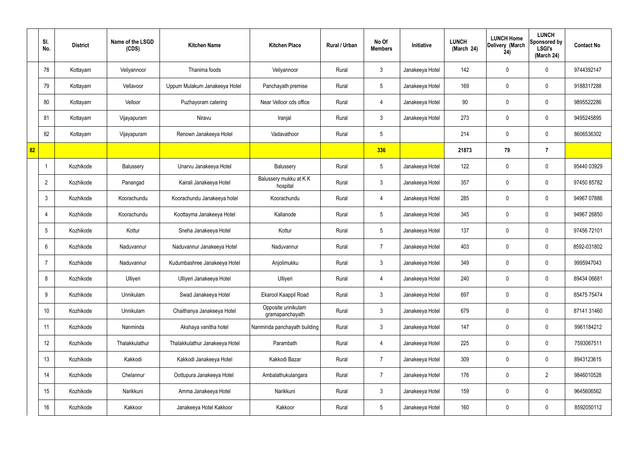|    | SI.<br>No.      | <b>District</b> | Name of the LSGD<br>(CDS) | <b>Kitchen Name</b>            | <b>Kitchen Place</b>                  | Rural / Urban | No Of<br><b>Members</b> | <b>Initiative</b> | <b>LUNCH</b><br>(March 24) | <b>LUNCH Home</b><br>Delivery (March<br>24) | <b>LUNCH</b><br>Sponsored by<br><b>LSGI's</b><br>(March 24) | <b>Contact No</b> |
|----|-----------------|-----------------|---------------------------|--------------------------------|---------------------------------------|---------------|-------------------------|-------------------|----------------------------|---------------------------------------------|-------------------------------------------------------------|-------------------|
|    | 78              | Kottayam        | Veliyannoor               | Thanima foods                  | Veliyannoor                           | Rural         | $\mathbf{3}$            | Janakeeya Hotel   | 142                        | $\mathbf 0$                                 | $\mathbf 0$                                                 | 9744392147        |
|    | 79              | Kottayam        | Vellavoor                 | Uppum Mulakum Janakeeya Hotel  | Panchayath premise                    | Rural         | $5\phantom{.0}$         | Janakeeya Hotel   | 169                        | $\mathbf 0$                                 | $\mathbf 0$                                                 | 9188317288        |
|    | 80              | Kottayam        | Velloor                   | Puzhayoram catering            | Near Velloor cds office               | Rural         | $\overline{4}$          | Janakeeya Hotel   | 90                         | $\mathbf 0$                                 | $\mathbf 0$                                                 | 9895522286        |
|    | 81              | Kottayam        | Vijayapuram               | Niravu                         | Iranjal                               | Rural         | $\mathbf{3}$            | Janakeeya Hotel   | 273                        | $\mathbf 0$                                 | $\mathbf 0$                                                 | 9495245895        |
|    | 82              | Kottayam        | Vijayapuram               | Renown Janakeeya Hotel         | Vadavathoor                           | Rural         | $5\phantom{.0}$         |                   | 214                        | $\mathbf 0$                                 | $\mathbf 0$                                                 | 8606536302        |
| 82 |                 |                 |                           |                                |                                       |               | 336                     |                   | 21873                      | 79                                          | $\overline{7}$                                              |                   |
|    | -1              | Kozhikode       | Balussery                 | Unarvu Janakeeya Hotel         | Balussery                             | Rural         | $5\phantom{.0}$         | Janakeeya Hotel   | 122                        | $\mathbf 0$                                 | $\mathbf 0$                                                 | 95440 03929       |
|    | $\overline{2}$  | Kozhikode       | Panangad                  | Kairali Janakeeya Hotel        | Balussery mukku at KK<br>hospital     | Rural         | $\mathbf{3}$            | Janakeeya Hotel   | 357                        | 0                                           | $\mathbf 0$                                                 | 97450 85782       |
|    | $\mathbf{3}$    | Kozhikode       | Koorachundu               | Koorachundu Janakeeya hotel    | Koorachundu                           | Rural         | $\overline{4}$          | Janakeeya Hotel   | 285                        | $\mathbf 0$                                 | $\mathbf 0$                                                 | 94967 07886       |
|    | $\overline{4}$  | Kozhikode       | Koorachundu               | Koottayma Janakeeya Hotel      | Kallanode                             | Rural         | $5\phantom{.0}$         | Janakeeya Hotel   | 345                        | 0                                           | $\mathbf 0$                                                 | 94967 26850       |
|    | $5\overline{)}$ | Kozhikode       | Kottur                    | Sneha Janakeeya Hotel          | Kottur                                | Rural         | $5\phantom{.0}$         | Janakeeya Hotel   | 137                        | 0                                           | $\mathbf 0$                                                 | 97456 72101       |
|    | 6               | Kozhikode       | Naduvannur                | Naduvannur Janakeeya Hotel     | Naduvannur                            | Rural         | $\overline{7}$          | Janakeeya Hotel   | 403                        | 0                                           | $\mathbf 0$                                                 | 8592-031802       |
|    | $\overline{7}$  | Kozhikode       | Naduvannur                | Kudumbashree Janakeeya Hotel   | Anjolimukku                           | Rural         | $\mathbf{3}$            | Janakeeya Hotel   | 349                        | 0                                           | $\mathbf 0$                                                 | 9995947043        |
|    | 8               | Kozhikode       | Ulliyeri                  | Ulliyeri Janakeeya Hotel       | Ulliyeri                              | Rural         | $\overline{4}$          | Janakeeya Hotel   | 240                        | $\mathbf 0$                                 | $\mathbf 0$                                                 | 89434 06681       |
|    | 9               | Kozhikode       | Unnikulam                 | Swad Janakeeya Hotel           | Ekarool Kaappil Road                  | Rural         | $\mathbf{3}$            | Janakeeya Hotel   | 697                        | $\mathbf 0$                                 | $\mathbf 0$                                                 | 85475 75474       |
|    | 10 <sup>°</sup> | Kozhikode       | Unnikulam                 | Chaithanya Janakeeya Hotel     | Opposite unnikulam<br>gramapanchayath | Rural         | $\mathfrak{Z}$          | Janakeeya Hotel   | 679                        | 0                                           | $\mathbf 0$                                                 | 87141 31460       |
|    | 11              | Kozhikode       | Nanminda                  | Akshaya vanitha hotel          | Nanminda panchayath building          | Rural         | $\mathfrak{Z}$          | Janakeeya Hotel   | 147                        | 0                                           | $\mathbf 0$                                                 | 9961184212        |
|    | 12              | Kozhikode       | Thalakkulathur            | Thalakkulathur Janakeeya Hotel | Parambath                             | Rural         | $\overline{4}$          | Janakeeya Hotel   | 225                        | 0                                           | $\mathbf 0$                                                 | 7593067511        |
|    | 13              | Kozhikode       | Kakkodi                   | Kakkodi Janakeeya Hotel        | Kakkodi Bazar                         | Rural         | $\overline{7}$          | Janakeeya Hotel   | 309                        | 0                                           | $\mathbf 0$                                                 | 8943123615        |
|    | 14              | Kozhikode       | Chelannur                 | Oottupura Janakeeya Hotel      | Ambalathukulangara                    | Rural         | $\overline{7}$          | Janakeeya Hotel   | 176                        | 0                                           | $\overline{2}$                                              | 9846010528        |
|    | 15              | Kozhikode       | Narikkuni                 | Amma Janakeeya Hotel           | Narikkuni                             | Rural         | $\mathfrak{Z}$          | Janakeeya Hotel   | 159                        | 0                                           | $\mathbf 0$                                                 | 9645606562        |
|    | 16              | Kozhikode       | Kakkoor                   | Janakeeya Hotel Kakkoor        | Kakkoor                               | Rural         | $5\,$                   | Janakeeya Hotel   | 160                        | 0                                           | $\mathbf 0$                                                 | 8592050112        |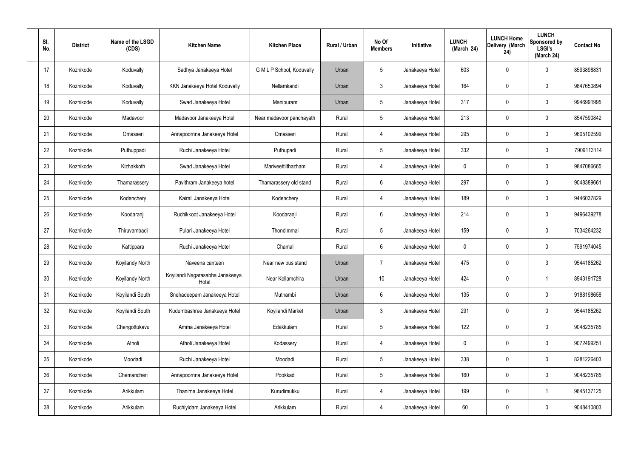| SI.<br>No. | <b>District</b> | Name of the LSGD<br>(CDS) | <b>Kitchen Name</b>                      | <b>Kitchen Place</b>      | Rural / Urban | No Of<br><b>Members</b> | <b>Initiative</b> | <b>LUNCH</b><br>(March 24) | <b>LUNCH Home</b><br>Delivery (March<br>24) | <b>LUNCH</b><br>Sponsored by<br><b>LSGI's</b><br>(March 24) | <b>Contact No</b> |
|------------|-----------------|---------------------------|------------------------------------------|---------------------------|---------------|-------------------------|-------------------|----------------------------|---------------------------------------------|-------------------------------------------------------------|-------------------|
| 17         | Kozhikode       | Koduvally                 | Sadhya Janakeeya Hotel                   | G M L P School, Koduvally | Urban         | $5\phantom{.0}$         | Janakeeya Hotel   | 603                        | 0                                           | $\mathbf 0$                                                 | 8593898831        |
| 18         | Kozhikode       | Koduvally                 | KKN Janakeeya Hotel Koduvally            | Nellamkandi               | Urban         | $\mathbf{3}$            | Janakeeya Hotel   | 164                        | 0                                           | $\mathbf 0$                                                 | 9847650894        |
| 19         | Kozhikode       | Koduvally                 | Swad Janakeeya Hotel                     | Manipuram                 | Urban         | $5\phantom{.0}$         | Janakeeya Hotel   | 317                        | 0                                           | $\mathbf 0$                                                 | 9946991995        |
| 20         | Kozhikode       | Madavoor                  | Madavoor Janakeeya Hotel                 | Near madavoor panchayath  | Rural         | $5\phantom{.0}$         | Janakeeya Hotel   | 213                        | 0                                           | $\mathbf 0$                                                 | 8547590842        |
| 21         | Kozhikode       | Omasseri                  | Annapoornna Janakeeya Hotel              | Omasseri                  | Rural         | $\overline{4}$          | Janakeeya Hotel   | 295                        | 0                                           | $\mathbf 0$                                                 | 9605102599        |
| 22         | Kozhikode       | Puthuppadi                | Ruchi Janakeeya Hotel                    | Puthupadi                 | Rural         | $5\phantom{.0}$         | Janakeeya Hotel   | 332                        | 0                                           | $\mathbf 0$                                                 | 7909113114        |
| 23         | Kozhikode       | Kizhakkoth                | Swad Janakeeya Hotel                     | Mariveettilthazham        | Rural         | $\overline{4}$          | Janakeeya Hotel   | $\mathbf 0$                | 0                                           | $\mathbf 0$                                                 | 9847086665        |
| 24         | Kozhikode       | Thamarassery              | Pavithram Janakeeya hotel                | Thamarassery old stand    | Rural         | $6\phantom{.}6$         | Janakeeya Hotel   | 297                        | 0                                           | $\mathbf 0$                                                 | 9048389661        |
| 25         | Kozhikode       | Kodenchery                | Kairali Janakeeya Hotel                  | Kodenchery                | Rural         | 4                       | Janakeeya Hotel   | 189                        | 0                                           | $\mathbf 0$                                                 | 9446037829        |
| 26         | Kozhikode       | Koodaranji                | Ruchikkoot Janakeeya Hotel               | Koodaranji                | Rural         | $6\phantom{.}6$         | Janakeeya Hotel   | 214                        | 0                                           | $\mathbf 0$                                                 | 9496439278        |
| 27         | Kozhikode       | Thiruvambadi              | Pulari Janakeeya Hotel                   | Thondimmal                | Rural         | $5\phantom{.0}$         | Janakeeya Hotel   | 159                        | 0                                           | $\mathbf 0$                                                 | 7034264232        |
| 28         | Kozhikode       | Kattippara                | Ruchi Janakeeya Hotel                    | Chamal                    | Rural         | $6\phantom{.}6$         | Janakeeya Hotel   | $\mathbf 0$                | 0                                           | $\mathbf 0$                                                 | 7591974045        |
| 29         | Kozhikode       | Koyilandy North           | Naveena canteen                          | Near new bus stand        | Urban         | $\overline{7}$          | Janakeeya Hotel   | 475                        | 0                                           | 3                                                           | 9544185262        |
| 30         | Kozhikode       | Koyilandy North           | Koyilandi Nagarasabha Janakeeya<br>Hotel | Near Kollamchira          | Urban         | 10 <sup>°</sup>         | Janakeeya Hotel   | 424                        | $\mathbf 0$                                 | $\mathbf 1$                                                 | 8943191728        |
| 31         | Kozhikode       | Koyilandi South           | Snehadeepam Janakeeya Hotel              | Muthambi                  | Urban         | $6\overline{6}$         | Janakeeya Hotel   | 135                        | 0                                           | $\mathbf 0$                                                 | 9188198658        |
| 32         | Kozhikode       | Koyilandi South           | Kudumbashree Janakeeya Hotel             | Koyilandi Market          | Urban         | $\mathbf{3}$            | Janakeeya Hotel   | 291                        | 0                                           | $\mathbf 0$                                                 | 9544185262        |
| 33         | Kozhikode       | Chengottukavu             | Amma Janakeeya Hotel                     | Edakkulam                 | Rural         | $5\phantom{.0}$         | Janakeeya Hotel   | 122                        | 0                                           | $\mathbf 0$                                                 | 9048235785        |
| 34         | Kozhikode       | Atholi                    | Atholi Janakeeya Hotel                   | Kodassery                 | Rural         | $\overline{4}$          | Janakeeya Hotel   | $\mathbf 0$                | 0                                           | $\mathbf 0$                                                 | 9072499251        |
| 35         | Kozhikode       | Moodadi                   | Ruchi Janakeeya Hotel                    | Moodadi                   | Rural         | $5\phantom{.0}$         | Janakeeya Hotel   | 338                        | 0                                           | $\mathbf 0$                                                 | 8281226403        |
| 36         | Kozhikode       | Chemancheri               | Annapoornna Janakeeya Hotel              | Pookkad                   | Rural         | $5\phantom{.0}$         | Janakeeya Hotel   | 160                        | 0                                           | $\mathbf 0$                                                 | 9048235785        |
| 37         | Kozhikode       | Arikkulam                 | Thanima Janakeeya Hotel                  | Kurudimukku               | Rural         | $\overline{4}$          | Janakeeya Hotel   | 199                        | 0                                           | $\overline{1}$                                              | 9645137125        |
| 38         | Kozhikode       | Arikkulam                 | Ruchiyidam Janakeeya Hotel               | Arikkulam                 | Rural         | 4                       | Janakeeya Hotel   | 60                         | 0                                           | $\mathbf 0$                                                 | 9048410803        |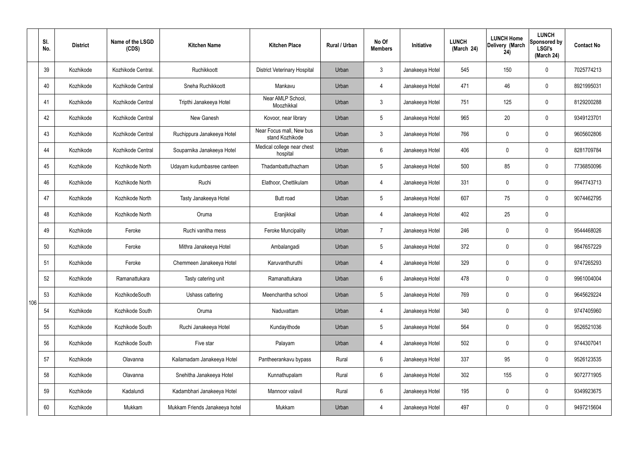|     | SI.<br>No. | <b>District</b> | Name of the LSGD<br>(CDS) | <b>Kitchen Name</b>            | <b>Kitchen Place</b>                        | Rural / Urban | No Of<br><b>Members</b> | Initiative      | <b>LUNCH</b><br>(March 24) | <b>LUNCH Home</b><br>Delivery (March<br>24) | <b>LUNCH</b><br>Sponsored by<br><b>LSGI's</b><br>(March 24) | <b>Contact No</b> |
|-----|------------|-----------------|---------------------------|--------------------------------|---------------------------------------------|---------------|-------------------------|-----------------|----------------------------|---------------------------------------------|-------------------------------------------------------------|-------------------|
|     | 39         | Kozhikode       | Kozhikode Central         | Ruchikkoott                    | <b>District Veterinary Hospital</b>         | Urban         | $\mathbf{3}$            | Janakeeya Hotel | 545                        | 150                                         | $\mathbf 0$                                                 | 7025774213        |
|     | 40         | Kozhikode       | Kozhikode Central         | Sneha Ruchikkoott              | Mankavu                                     | Urban         | 4                       | Janakeeya Hotel | 471                        | 46                                          | $\mathbf 0$                                                 | 8921995031        |
|     | 41         | Kozhikode       | Kozhikode Central         | Tripthi Janakeeya Hotel        | Near AMLP School,<br>Moozhikkal             | Urban         | $\mathbf{3}$            | Janakeeya Hotel | 751                        | 125                                         | $\mathbf 0$                                                 | 8129200288        |
|     | 42         | Kozhikode       | Kozhikode Central         | New Ganesh                     | Kovoor, near library                        | Urban         | $5\phantom{.0}$         | Janakeeya Hotel | 965                        | 20                                          | $\mathbf 0$                                                 | 9349123701        |
|     | 43         | Kozhikode       | Kozhikode Central         | Ruchippura Janakeeya Hotel     | Near Focus mall, New bus<br>stand Kozhikode | Urban         | $\mathbf{3}$            | Janakeeya Hotel | 766                        | 0                                           | $\mathbf 0$                                                 | 9605602806        |
|     | 44         | Kozhikode       | Kozhikode Central         | Souparnika Janakeeya Hotel     | Medical college near chest<br>hospital      | Urban         | $6\phantom{.}6$         | Janakeeya Hotel | 406                        | $\mathbf 0$                                 | $\mathbf 0$                                                 | 8281709784        |
|     | 45         | Kozhikode       | Kozhikode North           | Udayam kudumbasree canteen     | Thadambattuthazham                          | Urban         | $5\phantom{.0}$         | Janakeeya Hotel | 500                        | 85                                          | $\mathbf 0$                                                 | 7736850096        |
|     | 46         | Kozhikode       | Kozhikode North           | Ruchi                          | Elathoor, Chettikulam                       | Urban         | 4                       | Janakeeya Hotel | 331                        | $\mathbf 0$                                 | $\mathbf 0$                                                 | 9947743713        |
|     | 47         | Kozhikode       | Kozhikode North           | Tasty Janakeeya Hotel          | <b>Butt</b> road                            | Urban         | $5\phantom{.0}$         | Janakeeya Hotel | 607                        | 75                                          | $\mathbf 0$                                                 | 9074462795        |
|     | 48         | Kozhikode       | Kozhikode North           | Oruma                          | Eranjikkal                                  | Urban         | 4                       | Janakeeya Hotel | 402                        | 25                                          | $\mathbf 0$                                                 |                   |
|     | 49         | Kozhikode       | Feroke                    | Ruchi vanitha mess             | <b>Feroke Muncipality</b>                   | Urban         | $\overline{7}$          | Janakeeya Hotel | 246                        | 0                                           | $\mathbf 0$                                                 | 9544468026        |
|     | 50         | Kozhikode       | Feroke                    | Mithra Janakeeya Hotel         | Ambalangadi                                 | Urban         | $5\phantom{.0}$         | Janakeeya Hotel | 372                        | $\mathbf 0$                                 | $\mathbf 0$                                                 | 9847657229        |
|     | 51         | Kozhikode       | Feroke                    | Chemmeen Janakeeya Hotel       | Karuvanthuruthi                             | Urban         | 4                       | Janakeeya Hotel | 329                        | $\mathbf 0$                                 | $\mathbf 0$                                                 | 9747265293        |
|     | 52         | Kozhikode       | Ramanattukara             | Tasty catering unit            | Ramanattukara                               | Urban         | 6                       | Janakeeya Hotel | 478                        | 0                                           | $\mathbf 0$                                                 | 9961004004        |
| 106 | 53         | Kozhikode       | KozhikodeSouth            | Ushass cattering               | Meenchantha school                          | Urban         | $5\phantom{.0}$         | Janakeeya Hotel | 769                        | 0                                           | $\mathbf 0$                                                 | 9645629224        |
|     | 54         | Kozhikode       | Kozhikode South           | Oruma                          | Naduvattam                                  | Urban         | 4                       | Janakeeya Hotel | 340                        | 0                                           | $\mathbf 0$                                                 | 9747405960        |
|     | 55         | Kozhikode       | Kozhikode South           | Ruchi Janakeeya Hotel          | Kundayithode                                | Urban         | $5\phantom{.0}$         | Janakeeya Hotel | 564                        | 0                                           | $\mathbf 0$                                                 | 9526521036        |
|     | 56         | Kozhikode       | Kozhikode South           | Five star                      | Palayam                                     | Urban         | 4                       | Janakeeya Hotel | 502                        | 0                                           | $\mathbf 0$                                                 | 9744307041        |
|     | 57         | Kozhikode       | Olavanna                  | Kailamadam Janakeeya Hotel     | Pantheerankavu bypass                       | Rural         | $6\overline{6}$         | Janakeeya Hotel | 337                        | 95                                          | $\mathbf 0$                                                 | 9526123535        |
|     | 58         | Kozhikode       | Olavanna                  | Snehitha Janakeeya Hotel       | Kunnathupalam                               | Rural         | $6\overline{6}$         | Janakeeya Hotel | 302                        | 155                                         | $\mathbf 0$                                                 | 9072771905        |
|     | 59         | Kozhikode       | Kadalundi                 | Kadambhari Janakeeya Hotel     | Mannoor valavil                             | Rural         | $6\overline{6}$         | Janakeeya Hotel | 195                        | 0                                           | $\mathbf 0$                                                 | 9349923675        |
|     | 60         | Kozhikode       | Mukkam                    | Mukkam Friends Janakeeya hotel | Mukkam                                      | Urban         | 4                       | Janakeeya Hotel | 497                        | $\pmb{0}$                                   | $\pmb{0}$                                                   | 9497215604        |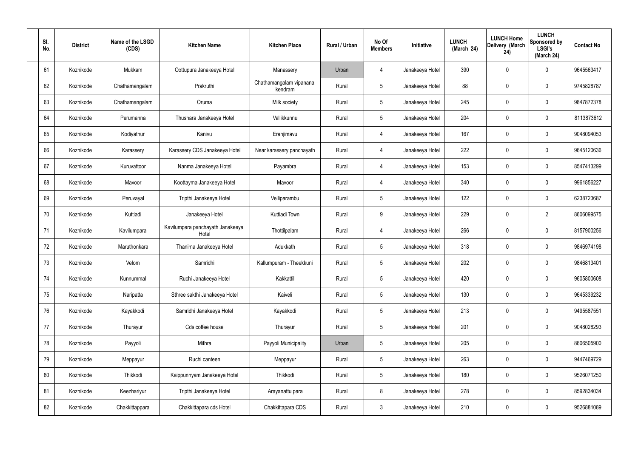| SI.<br>No. | <b>District</b> | Name of the LSGD<br>(CDS) | <b>Kitchen Name</b>                       | <b>Kitchen Place</b>               | Rural / Urban | No Of<br><b>Members</b> | Initiative      | <b>LUNCH</b><br>(March 24) | <b>LUNCH Home</b><br>Delivery (March<br>24) | <b>LUNCH</b><br>Sponsored by<br><b>LSGI's</b><br>(March 24) | <b>Contact No</b> |
|------------|-----------------|---------------------------|-------------------------------------------|------------------------------------|---------------|-------------------------|-----------------|----------------------------|---------------------------------------------|-------------------------------------------------------------|-------------------|
| 61         | Kozhikode       | Mukkam                    | Oottupura Janakeeya Hotel                 | Manassery                          | Urban         | 4                       | Janakeeya Hotel | 390                        | 0                                           | 0                                                           | 9645563417        |
| 62         | Kozhikode       | Chathamangalam            | Prakruthi                                 | Chathamangalam vipanana<br>kendram | Rural         | $5\phantom{.0}$         | Janakeeya Hotel | 88                         | $\mathbf 0$                                 | 0                                                           | 9745828787        |
| 63         | Kozhikode       | Chathamangalam            | Oruma                                     | Milk society                       | Rural         | $5\phantom{.0}$         | Janakeeya Hotel | 245                        | $\mathbf 0$                                 | 0                                                           | 9847872378        |
| 64         | Kozhikode       | Perumanna                 | Thushara Janakeeya Hotel                  | Vallikkunnu                        | Rural         | $5\phantom{.0}$         | Janakeeya Hotel | 204                        | $\mathbf 0$                                 | 0                                                           | 8113873612        |
| 65         | Kozhikode       | Kodiyathur                | Kanivu                                    | Eranjimavu                         | Rural         | $\overline{4}$          | Janakeeya Hotel | 167                        | $\mathbf 0$                                 | 0                                                           | 9048094053        |
| 66         | Kozhikode       | Karassery                 | Karassery CDS Janakeeya Hotel             | Near karassery panchayath          | Rural         | $\overline{4}$          | Janakeeya Hotel | 222                        | $\mathbf 0$                                 | 0                                                           | 9645120636        |
| 67         | Kozhikode       | Kuruvattoor               | Nanma Janakeeya Hotel                     | Payambra                           | Rural         | $\overline{4}$          | Janakeeya Hotel | 153                        | 0                                           | 0                                                           | 8547413299        |
| 68         | Kozhikode       | Mavoor                    | Koottayma Janakeeya Hotel                 | Mavoor                             | Rural         | $\overline{4}$          | Janakeeya Hotel | 340                        | 0                                           | 0                                                           | 9961856227        |
| 69         | Kozhikode       | Peruvayal                 | Tripthi Janakeeya Hotel                   | Velliparambu                       | Rural         | $5\phantom{.0}$         | Janakeeya Hotel | 122                        | 0                                           | 0                                                           | 6238723687        |
| 70         | Kozhikode       | Kuttiadi                  | Janakeeya Hotel                           | Kuttiadi Town                      | Rural         | 9                       | Janakeeya Hotel | 229                        | $\mathbf 0$                                 | $\overline{2}$                                              | 8606099575        |
| 71         | Kozhikode       | Kavilumpara               | Kavilumpara panchayath Janakeeya<br>Hotel | Thottilpalam                       | Rural         | $\overline{4}$          | Janakeeya Hotel | 266                        | $\boldsymbol{0}$                            | 0                                                           | 8157900256        |
| 72         | Kozhikode       | Maruthonkara              | Thanima Janakeeya Hotel                   | Adukkath                           | Rural         | $5\phantom{.0}$         | Janakeeya Hotel | 318                        | 0                                           | 0                                                           | 9846974198        |
| 73         | Kozhikode       | Velom                     | Samridhi                                  | Kallumpuram - Theekkuni            | Rural         | 5                       | Janakeeya Hotel | 202                        | $\mathbf 0$                                 | 0                                                           | 9846813401        |
| 74         | Kozhikode       | Kunnummal                 | Ruchi Janakeeya Hotel                     | Kakkattil                          | Rural         | $5\phantom{.0}$         | Janakeeya Hotel | 420                        | $\mathbf 0$                                 | 0                                                           | 9605800608        |
| 75         | Kozhikode       | Naripatta                 | Sthree sakthi Janakeeya Hotel             | Kaiveli                            | Rural         | $5\phantom{.0}$         | Janakeeya Hotel | 130                        | $\mathbf 0$                                 | 0                                                           | 9645339232        |
| 76         | Kozhikode       | Kayakkodi                 | Samridhi Janakeeya Hotel                  | Kayakkodi                          | Rural         | $5\phantom{.0}$         | Janakeeya Hotel | 213                        | $\boldsymbol{0}$                            | 0                                                           | 9495587551        |
| 77         | Kozhikode       | Thurayur                  | Cds coffee house                          | Thurayur                           | Rural         | $5\phantom{.0}$         | Janakeeya Hotel | 201                        | $\boldsymbol{0}$                            | 0                                                           | 9048028293        |
| 78         | Kozhikode       | Payyoli                   | Mithra                                    | Payyoli Municipality               | Urban         | $5\phantom{.0}$         | Janakeeya Hotel | 205                        | $\boldsymbol{0}$                            | 0                                                           | 8606505900        |
| 79         | Kozhikode       | Meppayur                  | Ruchi canteen                             | Meppayur                           | Rural         | $5\phantom{.0}$         | Janakeeya Hotel | 263                        | $\boldsymbol{0}$                            | 0                                                           | 9447469729        |
| 80         | Kozhikode       | Thikkodi                  | Kaippunnyam Janakeeya Hotel               | Thikkodi                           | Rural         | $5\phantom{.0}$         | Janakeeya Hotel | 180                        | $\boldsymbol{0}$                            | 0                                                           | 9526071250        |
| 81         | Kozhikode       | Keezhariyur               | Tripthi Janakeeya Hotel                   | Arayanattu para                    | Rural         | 8                       | Janakeeya Hotel | 278                        | $\boldsymbol{0}$                            | 0                                                           | 8592834034        |
| 82         | Kozhikode       | Chakkittappara            | Chakkittapara cds Hotel                   | Chakkittapara CDS                  | Rural         | $\mathbf{3}$            | Janakeeya Hotel | 210                        | $\boldsymbol{0}$                            | 0                                                           | 9526881089        |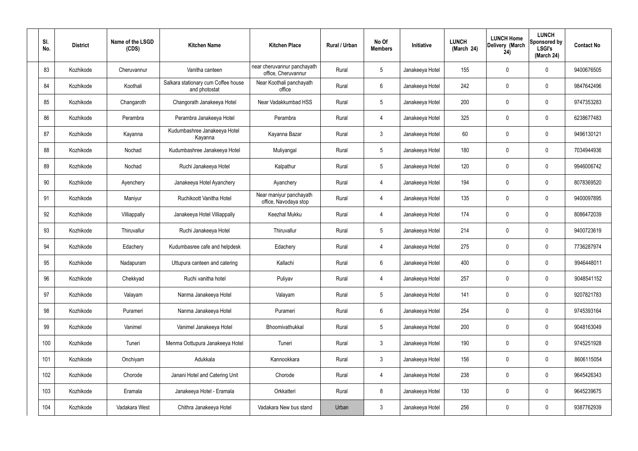| SI.<br>No. | <b>District</b> | Name of the LSGD<br>(CDS) | <b>Kitchen Name</b>                                  | <b>Kitchen Place</b>                               | Rural / Urban | No Of<br><b>Members</b> | Initiative      | <b>LUNCH</b><br>(March 24) | <b>LUNCH Home</b><br>Delivery (March<br>24) | <b>LUNCH</b><br>Sponsored by<br><b>LSGI's</b><br>(March 24) | <b>Contact No</b> |
|------------|-----------------|---------------------------|------------------------------------------------------|----------------------------------------------------|---------------|-------------------------|-----------------|----------------------------|---------------------------------------------|-------------------------------------------------------------|-------------------|
| 83         | Kozhikode       | Cheruvannur               | Vanitha canteen                                      | near cheruvannur panchayath<br>office, Cheruvannur | Rural         | $5\phantom{.0}$         | Janakeeya Hotel | 155                        | $\mathbf 0$                                 | 0                                                           | 9400676505        |
| 84         | Kozhikode       | Koothali                  | Salkara stationary cum Coffee house<br>and photostat | Near Koothali panchayath<br>office                 | Rural         | 6                       | Janakeeya Hotel | 242                        | 0                                           | $\mathbf 0$                                                 | 9847642496        |
| 85         | Kozhikode       | Changaroth                | Changorath Janakeeya Hotel                           | Near Vadakkumbad HSS                               | Rural         | $5\phantom{.0}$         | Janakeeya Hotel | 200                        | $\mathbf 0$                                 | $\mathbf 0$                                                 | 9747353283        |
| 86         | Kozhikode       | Perambra                  | Perambra Janakeeya Hotel                             | Perambra                                           | Rural         | 4                       | Janakeeya Hotel | 325                        | $\mathbf{0}$                                | $\boldsymbol{0}$                                            | 6238677483        |
| 87         | Kozhikode       | Kayanna                   | Kudumbashree Janakeeya Hotel<br>Kayanna              | Kayanna Bazar                                      | Rural         | $\mathbf{3}$            | Janakeeya Hotel | 60                         | $\mathbf{0}$                                | $\mathbf 0$                                                 | 9496130121        |
| 88         | Kozhikode       | Nochad                    | Kudumbashree Janakeeya Hotel                         | Muliyangal                                         | Rural         | $5\phantom{.0}$         | Janakeeya Hotel | 180                        | 0                                           | $\mathbf 0$                                                 | 7034944936        |
| 89         | Kozhikode       | Nochad                    | Ruchi Janakeeya Hotel                                | Kalpathur                                          | Rural         | $5\phantom{.0}$         | Janakeeya Hotel | 120                        | $\mathbf 0$                                 | $\mathbf 0$                                                 | 9946006742        |
| 90         | Kozhikode       | Ayenchery                 | Janakeeya Hotel Ayanchery                            | Ayanchery                                          | Rural         | 4                       | Janakeeya Hotel | 194                        | 0                                           | $\boldsymbol{0}$                                            | 8078369520        |
| 91         | Kozhikode       | Maniyur                   | Ruchikoott Vanitha Hotel                             | Near maniyur panchayath<br>office, Navodaya stop   | Rural         | 4                       | Janakeeya Hotel | 135                        | 0                                           | $\mathbf 0$                                                 | 9400097895        |
| 92         | Kozhikode       | Villiappally              | Janakeeya Hotel Villiappally                         | Keezhal Mukku                                      | Rural         | 4                       | Janakeeya Hotel | 174                        | 0                                           | $\boldsymbol{0}$                                            | 8086472039        |
| 93         | Kozhikode       | Thiruvallur               | Ruchi Janakeeya Hotel                                | Thiruvallur                                        | Rural         | $5\phantom{.0}$         | Janakeeya Hotel | 214                        | $\mathbf 0$                                 | $\boldsymbol{0}$                                            | 9400723619        |
| 94         | Kozhikode       | Edachery                  | Kudumbasree cafe and helpdesk                        | Edachery                                           | Rural         | 4                       | Janakeeya Hotel | 275                        | 0                                           | $\boldsymbol{0}$                                            | 7736287974        |
| 95         | Kozhikode       | Nadapuram                 | Uttupura canteen and catering                        | Kallachi                                           | Rural         | 6                       | Janakeeya Hotel | 400                        | $\mathbf 0$                                 | 0                                                           | 9946448011        |
| 96         | Kozhikode       | Chekkyad                  | Ruchi vanitha hotel                                  | Puliyav                                            | Rural         | $\overline{4}$          | Janakeeya Hotel | 257                        | 0                                           | $\mathbf 0$                                                 | 9048541152        |
| 97         | Kozhikode       | Valayam                   | Nanma Janakeeya Hotel                                | Valayam                                            | Rural         | $5\phantom{.0}$         | Janakeeya Hotel | 141                        | $\mathsf{0}$                                | $\mathbf 0$                                                 | 9207821783        |
| 98         | Kozhikode       | Purameri                  | Nanma Janakeeya Hotel                                | Purameri                                           | Rural         | $6\,$                   | Janakeeya Hotel | 254                        | 0                                           | $\mathbf 0$                                                 | 9745393164        |
| 99         | Kozhikode       | Vanimel                   | Vanimel Janakeeya Hotel                              | Bhoomivathukkal                                    | Rural         | $5\phantom{.0}$         | Janakeeya Hotel | 200                        | 0                                           | $\mathbf 0$                                                 | 9048163049        |
| 100        | Kozhikode       | Tuneri                    | Menma Oottupura Janakeeya Hotel                      | Tuneri                                             | Rural         | $\mathfrak{Z}$          | Janakeeya Hotel | 190                        | 0                                           | $\mathbf 0$                                                 | 9745251928        |
| 101        | Kozhikode       | Onchiyam                  | Adukkala                                             | Kannookkara                                        | Rural         | $\mathfrak{Z}$          | Janakeeya Hotel | 156                        | 0                                           | $\mathbf 0$                                                 | 8606115054        |
| 102        | Kozhikode       | Chorode                   | Janani Hotel and Catering Unit                       | Chorode                                            | Rural         | $\overline{4}$          | Janakeeya Hotel | 238                        | $\pmb{0}$                                   | $\mathbf 0$                                                 | 9645426343        |
| 103        | Kozhikode       | Eramala                   | Janakeeya Hotel - Eramala                            | Orkkatteri                                         | Rural         | 8                       | Janakeeya Hotel | 130                        | 0                                           | $\mathbf 0$                                                 | 9645239675        |
| 104        | Kozhikode       | Vadakara West             | Chithra Janakeeya Hotel                              | Vadakara New bus stand                             | Urban         | $\mathfrak{Z}$          | Janakeeya Hotel | 256                        | $\pmb{0}$                                   | $\pmb{0}$                                                   | 9387762939        |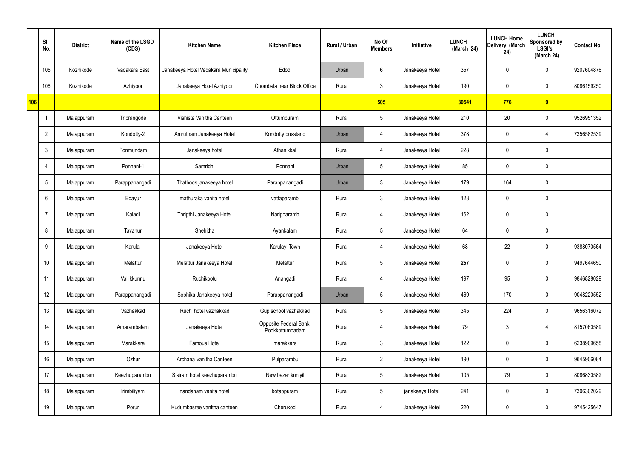|     | SI.<br>No.     | <b>District</b> | Name of the LSGD<br>(CDS) | <b>Kitchen Name</b>                   | <b>Kitchen Place</b>                     | Rural / Urban | No Of<br><b>Members</b> | Initiative      | <b>LUNCH</b><br>(March 24) | <b>LUNCH Home</b><br>Delivery (March<br>24) | <b>LUNCH</b><br>Sponsored by<br><b>LSGI's</b><br>(March 24) | <b>Contact No</b> |
|-----|----------------|-----------------|---------------------------|---------------------------------------|------------------------------------------|---------------|-------------------------|-----------------|----------------------------|---------------------------------------------|-------------------------------------------------------------|-------------------|
|     | 105            | Kozhikode       | Vadakara East             | Janakeeya Hotel Vadakara Municipality | Edodi                                    | Urban         | 6                       | Janakeeya Hotel | 357                        | $\mathbf 0$                                 | $\mathbf 0$                                                 | 9207604876        |
|     | 106            | Kozhikode       | Azhiyoor                  | Janakeeya Hotel Azhiyoor              | Chombala near Block Office               | Rural         | $\mathbf{3}$            | Janakeeya Hotel | 190                        | $\mathbf 0$                                 | $\mathbf 0$                                                 | 8086159250        |
| 106 |                |                 |                           |                                       |                                          |               | 505                     |                 | 30541                      | 776                                         | 9                                                           |                   |
|     | -1             | Malappuram      | Triprangode               | Vishista Vanitha Canteen              | Ottumpuram                               | Rural         | $5\phantom{.0}$         | Janakeeya Hotel | 210                        | 20                                          | $\mathbf 0$                                                 | 9526951352        |
|     | $\overline{2}$ | Malappuram      | Kondotty-2                | Amrutham Janakeeya Hotel              | Kondotty busstand                        | Urban         | 4                       | Janakeeya Hotel | 378                        | $\mathbf 0$                                 | 4                                                           | 7356582539        |
|     | $\mathbf{3}$   | Malappuram      | Ponmundam                 | Janakeeya hotel                       | Athanikkal                               | Rural         | 4                       | Janakeeya Hotel | 228                        | $\mathbf 0$                                 | $\mathbf 0$                                                 |                   |
|     | 4              | Malappuram      | Ponnani-1                 | Samridhi                              | Ponnani                                  | Urban         | $5\overline{)}$         | Janakeeya Hotel | 85                         | 0                                           | $\mathbf 0$                                                 |                   |
|     | 5              | Malappuram      | Parappanangadi            | Thathoos janakeeya hotel              | Parappanangadi                           | Urban         | $\mathbf{3}$            | Janakeeya Hotel | 179                        | 164                                         | $\mathbf 0$                                                 |                   |
|     | 6              | Malappuram      | Edayur                    | mathuraka vanita hotel                | vattaparamb                              | Rural         | $\mathbf{3}$            | Janakeeya Hotel | 128                        | 0                                           | $\mathbf 0$                                                 |                   |
|     | 7              | Malappuram      | Kaladi                    | Thripthi Janakeeya Hotel              | Naripparamb                              | Rural         | 4                       | Janakeeya Hotel | 162                        | $\mathbf 0$                                 | $\mathbf 0$                                                 |                   |
|     | 8              | Malappuram      | Tavanur                   | Snehitha                              | Ayankalam                                | Rural         | $5\phantom{.0}$         | Janakeeya Hotel | 64                         | $\mathbf 0$                                 | $\mathbf 0$                                                 |                   |
|     | 9              | Malappuram      | Karulai                   | Janakeeya Hotel                       | Karulayi Town                            | Rural         | 4                       | Janakeeya Hotel | 68                         | 22                                          | $\mathbf 0$                                                 | 9388070564        |
|     | 10             | Malappuram      | Melattur                  | Melattur Janakeeya Hotel              | Melattur                                 | Rural         | $5\overline{)}$         | Janakeeya Hotel | 257                        | $\mathbf 0$                                 | $\mathbf 0$                                                 | 9497644650        |
|     | 11             | Malappuram      | Vallikkunnu               | Ruchikootu                            | Anangadi                                 | Rural         | $\overline{4}$          | Janakeeya Hotel | 197                        | 95                                          | $\mathbf 0$                                                 | 9846828029        |
|     | 12             | Malappuram      | Parappanangadi            | Sobhika Janakeeya hotel               | Parappanangadi                           | Urban         | $5\phantom{.0}$         | Janakeeya Hotel | 469                        | 170                                         | $\mathbf 0$                                                 | 9048220552        |
|     | 13             | Malappuram      | Vazhakkad                 | Ruchi hotel vazhakkad                 | Gup school vazhakkad                     | Rural         | $5\phantom{.0}$         | Janakeeya Hotel | 345                        | 224                                         | $\mathbf 0$                                                 | 9656316072        |
|     | 14             | Malappuram      | Amarambalam               | Janakeeya Hotel                       | Opposite Federal Bank<br>Pookkottumpadam | Rural         | $\overline{4}$          | Janakeeya Hotel | 79                         | $\mathfrak{Z}$                              | $\overline{4}$                                              | 8157060589        |
|     | 15             | Malappuram      | Marakkara                 | Famous Hotel                          | marakkara                                | Rural         | $\mathbf{3}$            | Janakeeya Hotel | 122                        | 0                                           | $\mathbf 0$                                                 | 6238909658        |
|     | 16             | Malappuram      | Ozhur                     | Archana Vanitha Canteen               | Pulparambu                               | Rural         | $\overline{2}$          | Janakeeya Hotel | 190                        | $\pmb{0}$                                   | $\mathbf 0$                                                 | 9645906084        |
|     | 17             | Malappuram      | Keezhuparambu             | Sisiram hotel keezhuparambu           | New bazar kuniyil                        | Rural         | $5\phantom{.0}$         | Janakeeya Hotel | 105                        | 79                                          | $\mathbf 0$                                                 | 8086830582        |
|     | 18             | Malappuram      | Irimbiliyam               | nandanam vanita hotel                 | kotappuram                               | Rural         | $5\phantom{.0}$         | janakeeya Hotel | 241                        | 0                                           | $\mathbf 0$                                                 | 7306302029        |
|     | 19             | Malappuram      | Porur                     | Kudumbasree vanitha canteen           | Cherukod                                 | Rural         | $\overline{4}$          | Janakeeya Hotel | 220                        | 0                                           | $\boldsymbol{0}$                                            | 9745425647        |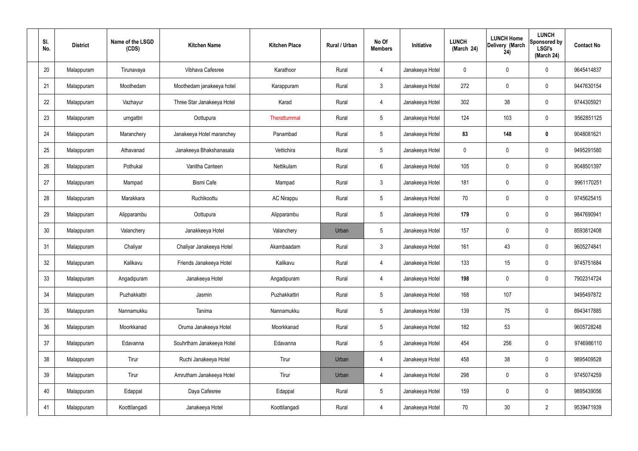| SI.<br>No. | <b>District</b> | Name of the LSGD<br>(CDS) | <b>Kitchen Name</b>        | <b>Kitchen Place</b> | Rural / Urban | No Of<br><b>Members</b> | Initiative      | <b>LUNCH</b><br>(March 24) | <b>LUNCH Home</b><br>Delivery (March<br>24) | <b>LUNCH</b><br>Sponsored by<br><b>LSGI's</b><br>(March 24) | <b>Contact No</b> |
|------------|-----------------|---------------------------|----------------------------|----------------------|---------------|-------------------------|-----------------|----------------------------|---------------------------------------------|-------------------------------------------------------------|-------------------|
| 20         | Malappuram      | Tirunavaya                | Vibhava Cafesree           | Karathoor            | Rural         | $\overline{4}$          | Janakeeya Hotel | 0                          | 0                                           | $\mathbf 0$                                                 | 9645414837        |
| 21         | Malappuram      | Moothedam                 | Moothedam janakeeya hotel  | Karappuram           | Rural         | $\mathbf{3}$            | Janakeeya Hotel | 272                        | $\mathbf 0$                                 | $\mathbf 0$                                                 | 9447630154        |
| 22         | Malappuram      | Vazhayur                  | Three Star Janakeeya Hotel | Karad                | Rural         | 4                       | Janakeeya Hotel | 302                        | 38                                          | $\mathbf 0$                                                 | 9744305921        |
| 23         | Malappuram      | urngattiri                | Oottupura                  | Therattummal         | Rural         | $5\phantom{.0}$         | Janakeeya Hotel | 124                        | 103                                         | $\pmb{0}$                                                   | 9562851125        |
| 24         | Malappuram      | Maranchery                | Janakeeya Hotel maranchey  | Panambad             | Rural         | $5\phantom{.0}$         | Janakeeya Hotel | 83                         | 148                                         | $\mathbf 0$                                                 | 9048081621        |
| 25         | Malappuram      | Athavanad                 | Janakeeya Bhakshanasala    | Vettichira           | Rural         | $5\phantom{.0}$         | Janakeeya Hotel | $\mathbf 0$                | $\boldsymbol{0}$                            | $\mathbf 0$                                                 | 9495291580        |
| 26         | Malappuram      | Pothukal                  | Vanitha Canteen            | Nettikulam           | Rural         | $6\phantom{.}6$         | Janakeeya Hotel | 105                        | $\boldsymbol{0}$                            | $\mathbf 0$                                                 | 9048501397        |
| 27         | Malappuram      | Mampad                    | <b>Bismi Cafe</b>          | Mampad               | Rural         | $\mathbf{3}$            | Janakeeya Hotel | 181                        | $\mathbf 0$                                 | $\mathbf 0$                                                 | 9961170251        |
| 28         | Malappuram      | Marakkara                 | Ruchikoottu                | <b>AC Nirappu</b>    | Rural         | $5\phantom{.0}$         | Janakeeya Hotel | 70                         | $\boldsymbol{0}$                            | $\mathbf 0$                                                 | 9745625415        |
| 29         | Malappuram      | Alipparambu               | Oottupura                  | Alipparambu          | Rural         | $5\phantom{.0}$         | Janakeeya Hotel | 179                        | 0                                           | $\mathbf 0$                                                 | 9847690941        |
| 30         | Malappuram      | Valanchery                | Janakkeeya Hotel           | Valanchery           | Urban         | $5\phantom{.0}$         | Janakeeya Hotel | 157                        | $\mathbf 0$                                 | $\boldsymbol{0}$                                            | 8593812408        |
| 31         | Malappuram      | Chaliyar                  | Chaliyar Janakeeya Hotel   | Akambaadam           | Rural         | $\mathbf{3}$            | Janakeeya Hotel | 161                        | 43                                          | $\boldsymbol{0}$                                            | 9605274841        |
| 32         | Malappuram      | Kalikavu                  | Friends Janakeeya Hotel    | Kalikavu             | Rural         | $\overline{4}$          | Janakeeya Hotel | 133                        | 15                                          | $\boldsymbol{0}$                                            | 9745751684        |
| 33         | Malappuram      | Angadipuram               | Janakeeya Hotel            | Angadipuram          | Rural         | 4                       | Janakeeya Hotel | 198                        | $\mathsf{0}$                                | $\mathbf 0$                                                 | 7902314724        |
| 34         | Malappuram      | Puzhakkattri              | Jasmin                     | Puzhakkattiri        | Rural         | $5\phantom{.0}$         | Janakeeya Hotel | 168                        | 107                                         |                                                             | 9495497872        |
| 35         | Malappuram      | Nannamukku                | Tanima                     | Nannamukku           | Rural         | $5\phantom{.0}$         | Janakeeya Hotel | 139                        | 75                                          | $\mathbf 0$                                                 | 8943417885        |
| 36         | Malappuram      | Moorkkanad                | Oruma Janakeeya Hotel      | Moorkkanad           | Rural         | $5\phantom{.0}$         | Janakeeya Hotel | 182                        | 53                                          |                                                             | 9605728248        |
| 37         | Malappuram      | Edavanna                  | Souhrtham Janakeeya Hotel  | Edavanna             | Rural         | $5\phantom{.0}$         | Janakeeya Hotel | 454                        | 256                                         | $\mathbf 0$                                                 | 9746986110        |
| 38         | Malappuram      | Tirur                     | Ruchi Janakeeya Hotel      | Tirur                | Urban         | 4                       | Janakeeya Hotel | 458                        | 38                                          | $\mathbf 0$                                                 | 9895409528        |
| 39         | Malappuram      | Tirur                     | Amrutham Janakeeya Hotel   | Tirur                | Urban         | 4                       | Janakeeya Hotel | 298                        | $\mathbf 0$                                 | $\mathbf 0$                                                 | 9745074259        |
| 40         | Malappuram      | Edappal                   | Daya Cafesree              | Edappal              | Rural         | $5\,$                   | Janakeeya Hotel | 159                        | 0                                           | $\mathbf 0$                                                 | 9895439056        |
| 41         | Malappuram      | Koottilangadi             | Janakeeya Hotel            | Koottilangadi        | Rural         | 4                       | Janakeeya Hotel | 70                         | $30\,$                                      | $\overline{2}$                                              | 9539471939        |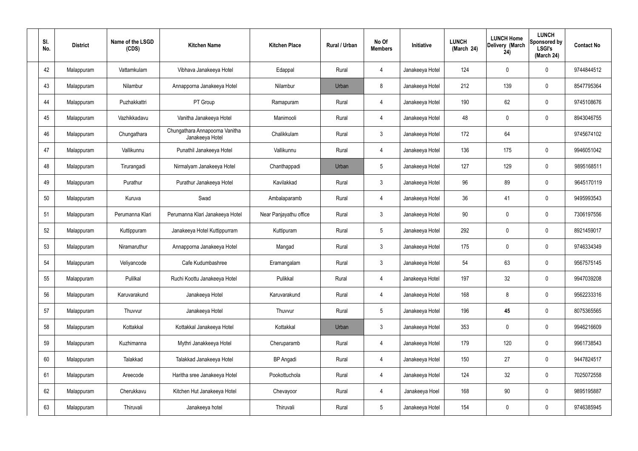| SI.<br>No. | <b>District</b> | Name of the LSGD<br>(CDS) | <b>Kitchen Name</b>                               | <b>Kitchen Place</b>   | Rural / Urban | No Of<br><b>Members</b> | Initiative      | <b>LUNCH</b><br>(March 24) | <b>LUNCH Home</b><br>Delivery (March<br>24) | <b>LUNCH</b><br>Sponsored by<br><b>LSGI's</b><br>(March 24) | <b>Contact No</b> |
|------------|-----------------|---------------------------|---------------------------------------------------|------------------------|---------------|-------------------------|-----------------|----------------------------|---------------------------------------------|-------------------------------------------------------------|-------------------|
| 42         | Malappuram      | Vattamkulam               | Vibhava Janakeeya Hotel                           | Edappal                | Rural         | 4                       | Janakeeya Hotel | 124                        | 0                                           | 0                                                           | 9744844512        |
| 43         | Malappuram      | Nilambur                  | Annapporna Janakeeya Hotel                        | Nilambur               | Urban         | 8                       | Janakeeya Hotel | 212                        | 139                                         | 0                                                           | 8547795364        |
| 44         | Malappuram      | Puzhakkattri              | PT Group                                          | Ramapuram              | Rural         | $\overline{4}$          | Janakeeya Hotel | 190                        | 62                                          | 0                                                           | 9745108676        |
| 45         | Malappuram      | Vazhikkadavu              | Vanitha Janakeeya Hotel                           | Manimooli              | Rural         | 4                       | Janakeeya Hotel | 48                         | 0                                           | 0                                                           | 8943046755        |
| 46         | Malappuram      | Chungathara               | Chungathara Annapoorna Vanitha<br>Janakeeya Hotel | Chalikkulam            | Rural         | $\mathbf{3}$            | Janakeeya Hotel | 172                        | 64                                          |                                                             | 9745674102        |
| 47         | Malappuram      | Vallikunnu                | Punathil Janakeeya Hotel                          | Vallikunnu             | Rural         | $\overline{4}$          | Janakeeya Hotel | 136                        | 175                                         | 0                                                           | 9946051042        |
| 48         | Malappuram      | Tirurangadi               | Nirmalyam Janakeeya Hotel                         | Chanthappadi           | Urban         | $5\phantom{.0}$         | Janakeeya Hotel | 127                        | 129                                         | 0                                                           | 9895168511        |
| 49         | Malappuram      | Purathur                  | Purathur Janakeeya Hotel                          | Kavilakkad             | Rural         | $\mathbf{3}$            | Janakeeya Hotel | 96                         | 89                                          | 0                                                           | 9645170119        |
| 50         | Malappuram      | Kuruva                    | Swad                                              | Ambalaparamb           | Rural         | $\overline{4}$          | Janakeeya Hotel | 36                         | 41                                          | 0                                                           | 9495993543        |
| 51         | Malappuram      | Perumanna Klari           | Perumanna Klari Janakeeya Hotel                   | Near Panjayathu office | Rural         | $\mathbf{3}$            | Janakeeya Hotel | 90                         | $\mathbf 0$                                 | 0                                                           | 7306197556        |
| 52         | Malappuram      | Kuttippuram               | Janakeeya Hotel Kuttippurram                      | Kuttipuram             | Rural         | $5\phantom{.0}$         | Janakeeya Hotel | 292                        | 0                                           | 0                                                           | 8921459017        |
| 53         | Malappuram      | Niramaruthur              | Annapporna Janakeeya Hotel                        | Mangad                 | Rural         | $\mathbf{3}$            | Janakeeya Hotel | 175                        | 0                                           | 0                                                           | 9746334349        |
| 54         | Malappuram      | Veliyancode               | Cafe Kudumbashree                                 | Eramangalam            | Rural         | $\mathfrak{Z}$          | Janakeeya Hotel | 54                         | 63                                          | 0                                                           | 9567575145        |
| 55         | Malappuram      | Pulilkal                  | Ruchi Koottu Janakeeya Hotel                      | Pulikkal               | Rural         | $\overline{4}$          | Janakeeya Hotel | 197                        | 32                                          | 0                                                           | 9947039208        |
| 56         | Malappuram      | Karuvarakund              | Janakeeya Hotel                                   | Karuvarakund           | Rural         | $\overline{4}$          | Janakeeya Hotel | 168                        | 8                                           | $\mathbf 0$                                                 | 9562233316        |
| 57         | Malappuram      | Thuvvur                   | Janakeeya Hotel                                   | Thuvvur                | Rural         | $5\overline{)}$         | Janakeeya Hotel | 196                        | 45                                          | 0                                                           | 8075365565        |
| 58         | Malappuram      | Kottakkal                 | Kottakkal Janakeeya Hotel                         | Kottakkal              | Urban         | $\mathbf{3}$            | Janakeeya Hotel | 353                        | $\mathbf 0$                                 | 0                                                           | 9946216609        |
| 59         | Malappuram      | Kuzhimanna                | Mythri Janakkeeya Hotel                           | Cheruparamb            | Rural         | $\overline{4}$          | Janakeeya Hotel | 179                        | 120                                         | 0                                                           | 9961738543        |
| 60         | Malappuram      | Talakkad                  | Talakkad Janakeeya Hotel                          | <b>BP</b> Angadi       | Rural         | $\overline{4}$          | Janakeeya Hotel | 150                        | 27                                          | 0                                                           | 9447824517        |
| 61         | Malappuram      | Areecode                  | Haritha sree Janakeeya Hotel                      | Pookottuchola          | Rural         | $\overline{4}$          | Janakeeya Hotel | 124                        | 32                                          | 0                                                           | 7025072558        |
| 62         | Malappuram      | Cherukkavu                | Kitchen Hut Janakeeya Hotel                       | Chevayoor              | Rural         | $\overline{4}$          | Janakeeya Hoel  | 168                        | 90                                          | 0                                                           | 9895195887        |
| 63         | Malappuram      | Thiruvali                 | Janakeeya hotel                                   | Thiruvali              | Rural         | $5\phantom{.0}$         | Janakeeya Hotel | 154                        | $\pmb{0}$                                   | 0                                                           | 9746385945        |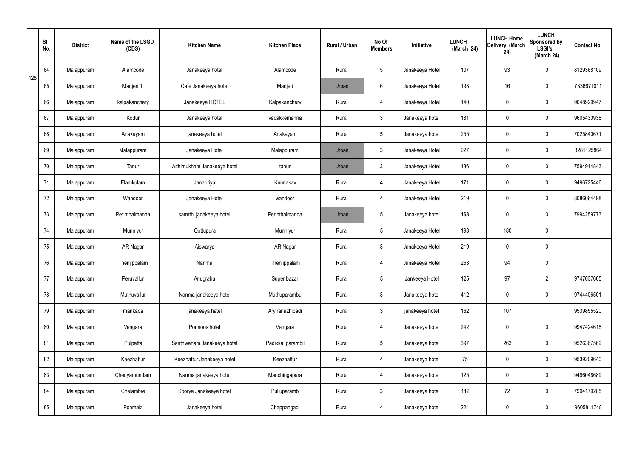|     | SI.<br>No. | <b>District</b> | Name of the LSGD<br>(CDS) | <b>Kitchen Name</b>        | <b>Kitchen Place</b> | Rural / Urban | No Of<br><b>Members</b> | Initiative      | <b>LUNCH</b><br>(March 24) | <b>LUNCH Home</b><br>Delivery (March<br>24) | <b>LUNCH</b><br>Sponsored by<br><b>LSGI's</b><br>(March 24) | <b>Contact No</b> |
|-----|------------|-----------------|---------------------------|----------------------------|----------------------|---------------|-------------------------|-----------------|----------------------------|---------------------------------------------|-------------------------------------------------------------|-------------------|
| 128 | 64         | Malappuram      | Alamcode                  | Janakeeya hotel            | Alamcode             | Rural         | $5\phantom{.0}$         | Janakeeya Hotel | 107                        | 93                                          | $\mathbf 0$                                                 | 8129368109        |
|     | 65         | Malappuram      | Manjeri 1                 | Cafe Janakeeya hotel       | Manjeri              | Urban         | $6\phantom{.}6$         | Janakeeya Hotel | 198                        | 16                                          | $\mathbf 0$                                                 | 7336671011        |
|     | 66         | Malappuram      | kalpakanchery             | Janakeeya HOTEL            | Kalpakanchery        | Rural         | $\overline{4}$          | Janakeeya Hotel | 140                        | 0                                           | $\mathbf 0$                                                 | 9048929947        |
|     | 67         | Malappuram      | Kodur                     | Janakeeya hotel            | vadakkemanna         | Rural         | $\mathbf{3}$            | Janakeeya hotel | 181                        | 0                                           | $\mathbf 0$                                                 | 9605430938        |
|     | 68         | Malappuram      | Anakayam                  | janakeeya hotel            | Anakayam             | Rural         | $5\phantom{.0}$         | Janakeeya hotel | 255                        | 0                                           | $\mathbf 0$                                                 | 7025840671        |
|     | 69         | Malappuram      | Malappuram                | Janakeeya Hotel            | Malappuram           | Urban         | $\mathbf{3}$            | Janakeeya Hotel | 227                        | $\mathbf 0$                                 | $\mathbf 0$                                                 | 8281125864        |
|     | 70         | Malappuram      | Tanur                     | Azhimukham Janakeeya hotel | tanur                | Urban         | $\mathbf{3}$            | Janakeeya Hotel | 186                        | $\mathbf 0$                                 | $\mathbf 0$                                                 | 7594914843        |
|     | 71         | Malappuram      | Elamkulam                 | Janapriya                  | Kunnakav             | Rural         | 4                       | Janakeeya Hotel | 171                        | $\mathbf 0$                                 | $\mathbf 0$                                                 | 9496725446        |
|     | 72         | Malappuram      | Wandoor                   | Janakeeya Hotel            | wandoor              | Rural         | 4                       | Janakeeya Hotel | 219                        | 0                                           | $\mathbf 0$                                                 | 8086064498        |
|     | 73         | Malappuram      | Perinthalmanna            | samrthi janakeeya hotei    | Perinthalmanna       | Urban         | $5\phantom{.0}$         | Janakeeya hotel | 168                        | 0                                           | $\mathbf 0$                                                 | 7994259773        |
|     | 74         | Malappuram      | Munniyur                  | Oottupura                  | Munniyur             | Rural         | $5\phantom{.0}$         | Janakeeya Hotel | 198                        | 180                                         | $\pmb{0}$                                                   |                   |
|     | 75         | Malappuram      | AR Nagar                  | Aiswarya                   | AR Nagar             | Rural         | $\mathbf{3}$            | Janakeeya Hotel | 219                        | 0                                           | $\mathbf 0$                                                 |                   |
|     | 76         | Malappuram      | Thenjippalam              | Nanma                      | Thenjippalam         | Rural         | 4                       | Janakeeya Hotel | 253                        | 94                                          | $\mathbf 0$                                                 |                   |
|     | 77         | Malappuram      | Peruvallur                | Anugraha                   | Super bazar          | Rural         | $5\overline{)}$         | Jankeeya Hotel  | 125                        | 97                                          | $\overline{2}$                                              | 9747037665        |
|     | 78         | Malappuram      | Muthuvallur               | Nanma janakeeya hotel      | Muthuparambu         | Rural         | $3\phantom{a}$          | Janakeeya hotel | 412                        | $\mathbf 0$                                 | $\mathbf 0$                                                 | 9744406501        |
|     | 79         | Malappuram      | mankada                   | janakeeya hatel            | Aryiranazhipadi      | Rural         | $\mathbf{3}$            | janakeeya hotel | 162                        | 107                                         |                                                             | 9539855520        |
|     | 80         | Malappuram      | Vengara                   | Ponnoos hotel              | Vengara              | Rural         | 4                       | Janakeeya hotel | 242                        | 0                                           | $\mathbf 0$                                                 | 9947424618        |
|     | 81         | Malappuram      | Pulpatta                  | Santhwanam Janakeeya hotel | Padikkal parambil    | Rural         | $5\phantom{.0}$         | Janakeeya hotel | 397                        | 263                                         | $\mathbf 0$                                                 | 9526367569        |
|     | 82         | Malappuram      | Keezhattur                | Keezhattur Janakeeya hotel | Keezhattur           | Rural         | 4                       | Janakeeya hotel | 75                         | 0                                           | $\mathbf 0$                                                 | 9539209640        |
|     | 83         | Malappuram      | Cheriyamundam             | Nanma janakeeya hotel      | Manchingapara        | Rural         | 4                       | Janakeeya hotel | 125                        | 0                                           | $\mathbf 0$                                                 | 9496048689        |
|     | 84         | Malappuram      | Chelambre                 | Soorya Janakeeya hotel     | Pulluparamb          | Rural         | $\mathbf{3}$            | Janakeeya hotel | 112                        | 72                                          | $\mathbf 0$                                                 | 7994179285        |
|     | 85         | Malappuram      | Ponmala                   | Janakeeya hotel            | Chappangadi          | Rural         | 4                       | Janakeeya hotel | 224                        | 0                                           | $\mathbf 0$                                                 | 9605811748        |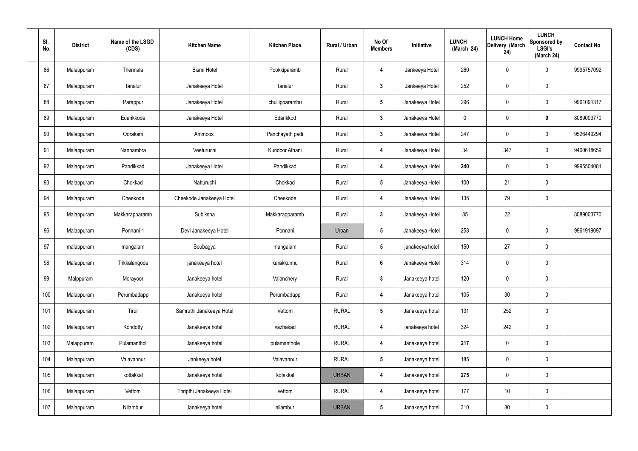| SI.<br>No. | <b>District</b> | Name of the LSGD<br>(CDS) | <b>Kitchen Name</b>      | <b>Kitchen Place</b> | Rural / Urban | No Of<br><b>Members</b> | Initiative      | <b>LUNCH</b><br>(March 24) | <b>LUNCH Home</b><br>Delivery (March<br>24) | <b>LUNCH</b><br>Sponsored by<br><b>LSGI's</b><br>(March 24) | <b>Contact No</b> |
|------------|-----------------|---------------------------|--------------------------|----------------------|---------------|-------------------------|-----------------|----------------------------|---------------------------------------------|-------------------------------------------------------------|-------------------|
| 86         | Malappuram      | Thennala                  | <b>Bismi Hotel</b>       | Pookkiparamb         | Rural         | 4                       | Jankeeya Hotel  | 260                        | $\mathbf 0$                                 | $\mathbf 0$                                                 | 9995757092        |
| 87         | Malappuram      | Tanalur                   | Janakeeya Hotel          | Tanalur              | Rural         | $\mathbf{3}$            | Jankeeya Hotel  | 252                        | $\pmb{0}$                                   | $\mathbf 0$                                                 |                   |
| 88         | Malappuram      | Parappur                  | Janakeeya Hotel          | chullipparambu       | Rural         | $5\phantom{.0}$         | Janakeeya Hotel | 296                        | $\pmb{0}$                                   | $\mathbf 0$                                                 | 9961091317        |
| 89         | Malappuram      | Edarikkode                | Janakeeya Hotel          | Edarikkod            | Rural         | $\mathbf{3}$            | Janakeeya Hotel | $\mathbf 0$                | $\pmb{0}$                                   | $\mathbf 0$                                                 | 8089003770        |
| 90         | Malappuram      | Oorakam                   | Ammoos                   | Panchayath padi      | Rural         | $3\phantom{a}$          | Janakeeya Hotel | 247                        | $\mathbf 0$                                 | $\mathbf 0$                                                 | 9526449294        |
| 91         | Malappuram      | Nannambra                 | Veeturuchi               | Kundoor Athani       | Rural         | 4                       | Janakeeya Hotel | 34                         | 347                                         | $\mathbf 0$                                                 | 9400618659        |
| 92         | Malappuram      | Pandikkad                 | Janakeeya Hotel          | Pandikkad            | Rural         | 4                       | Janakeeya Hotel | 240                        | $\pmb{0}$                                   | $\mathbf 0$                                                 | 9995504081        |
| 93         | Malappuram      | Chokkad                   | Natturuchi               | Chokkad              | Rural         | $5\phantom{.0}$         | Janakeeya Hotel | 100                        | 21                                          | $\mathbf 0$                                                 |                   |
| 94         | Malappuram      | Cheekode                  | Cheekode Janakeeya Hotel | Cheekode             | Rural         | 4                       | Janakeeya Hotel | 135                        | 79                                          | $\mathbf 0$                                                 |                   |
| 95         | Malappuram      | Makkarapparamb            | Subiksha                 | Makkarapparamb       | Rural         | $\mathbf{3}$            | Janakeeya Hotel | 85                         | 22                                          |                                                             | 8089003770        |
| 96         | Malappuram      | Ponnani-1                 | Devi Janakeeya Hotel     | Ponnani              | Urban         | $5\phantom{.0}$         | Janakeeya Hotel | 258                        | $\mathbf 0$                                 | $\mathbf 0$                                                 | 9961919097        |
| 97         | malappuram      | mangalam                  | Soubagya                 | mangalam             | Rural         | $5\phantom{.0}$         | janakeeya hotel | 150                        | 27                                          | $\mathbf 0$                                                 |                   |
| 98         | Malappuram      | Trikkalangode             | janakeeya hotel          | karakkunnu           | Rural         | $6\phantom{1}$          | Janakeeya Hotel | 314                        | $\mathbf 0$                                 | $\mathbf 0$                                                 |                   |
| 99         | Malppuram       | Morayoor                  | Janakeeya hotel          | Valanchery           | Rural         | $3\phantom{a}$          | Janakeeya hotel | 120                        | $\pmb{0}$                                   | $\mathbf 0$                                                 |                   |
| 100        | Malappuram      | Perumbadapp               | Janakeeya hotel          | Perumbadapp          | Rural         | $\overline{\mathbf{4}}$ | Janakeeya hotel | 105                        | 30                                          | $\mathbf 0$                                                 |                   |
| 101        | Malappuram      | Tirur                     | Samruthi Janakeeya Hotel | Vettom               | <b>RURAL</b>  | $5\overline{)}$         | Janakeeya hotel | 131                        | 252                                         | $\mathbf 0$                                                 |                   |
| 102        | Malappuram      | Kondotty                  | Janakeeya hotel          | vazhakad             | <b>RURAL</b>  | 4                       | janakeeya hotel | 324                        | 242                                         | $\mathbf 0$                                                 |                   |
| 103        | Malappuram      | Pulamanthol               | Janakeeya hotel          | pulamanthole         | <b>RURAL</b>  | $\overline{\mathbf{4}}$ | Janakeeya hotel | 217                        | $\pmb{0}$                                   | $\mathbf 0$                                                 |                   |
| 104        | Malappuram      | Valavannur                | Jankeeya hotel           | Valavannur           | <b>RURAL</b>  | $5\phantom{.0}$         | Janakeeya hotel | 185                        | $\pmb{0}$                                   | $\mathbf 0$                                                 |                   |
| 105        | Malappuram      | kottakkal                 | Janakeeya hotel          | kotakkal             | <b>URBAN</b>  | 4                       | Janakeeya hotel | 275                        | $\pmb{0}$                                   | $\mathbf 0$                                                 |                   |
| 106        | Malappuram      | Vettom                    | Thripthi Janakeeya Hotel | vettom               | <b>RURAL</b>  | 4                       | Janakeeya hotel | 177                        | 10                                          | $\mathbf 0$                                                 |                   |
| 107        | Malappuram      | Nilambur                  | Janakeeya hotel          | nilambur             | <b>URBAN</b>  | $5\phantom{.0}$         | Janakeeya hotel | 310                        | 80                                          | $\pmb{0}$                                                   |                   |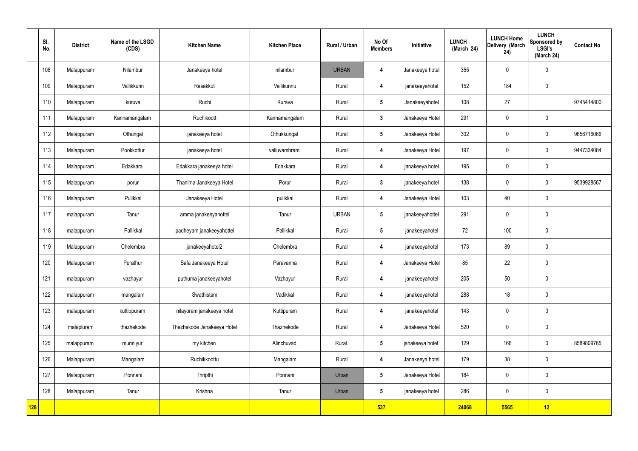|            | SI.<br>No. | <b>District</b> | Name of the LSGD<br>(CDS) | <b>Kitchen Name</b>        | <b>Kitchen Place</b> | Rural / Urban | No Of<br><b>Members</b> | Initiative      | <b>LUNCH</b><br>(March 24) | <b>LUNCH Home</b><br>Delivery (March<br>24) | <b>LUNCH</b><br>Sponsored by<br><b>LSGI's</b><br>(March 24) | <b>Contact No</b> |
|------------|------------|-----------------|---------------------------|----------------------------|----------------------|---------------|-------------------------|-----------------|----------------------------|---------------------------------------------|-------------------------------------------------------------|-------------------|
|            | 108        | Malappuram      | Nilambur                  | Janakeeya hotel            | nilambur             | <b>URBAN</b>  | $\boldsymbol{4}$        | Janakeeya hotel | 355                        | $\mathbf 0$                                 | $\mathbf 0$                                                 |                   |
|            | 109        | Malappuram      | Vallikkunn                | Rasakkut                   | Vallikunnu           | Rural         | 4                       | janakeeyahotel  | 152                        | 184                                         | $\mathbf 0$                                                 |                   |
|            | 110        | Malappuram      | kuruva                    | Ruchi                      | Kurava               | Rural         | $5\overline{)}$         | Janakeeyahotel  | 108                        | 27                                          |                                                             | 9745414800        |
|            | 111        | Malappuram      | Kannamangalam             | Ruchikoott                 | Kannamangalam        | Rural         | $\mathbf{3}$            | Janakeeya Hotel | 291                        | $\mathbf 0$                                 | $\mathbf 0$                                                 |                   |
|            | 112        | Malappuram      | Othungal                  | janakeeya hotel            | Othukkungal          | Rural         | $5\overline{)}$         | Janakeeya Hotel | 302                        | $\mathbf 0$                                 | $\mathbf 0$                                                 | 9656716066        |
|            | 113        | Malappuram      | Pookkottur                | janakeeya hotel            | valluvambram         | Rural         | 4                       | Janakeeya Hotel | 197                        | $\mathbf 0$                                 | $\mathbf 0$                                                 | 9447334084        |
|            | 114        | Malappuram      | Edakkara                  | Edakkara janakeeya hotel   | Edakkara             | Rural         | $\overline{\mathbf{4}}$ | janakeeya hotel | 195                        | $\mathbf 0$                                 | $\mathbf 0$                                                 |                   |
|            | 115        | Malappuram      | porur                     | Thanima Janakeeya Hotel    | Porur                | Rural         | $\mathbf{3}$            | janakeeya hotel | 138                        | $\mathbf 0$                                 | $\mathbf 0$                                                 | 9539928567        |
|            | 116        | Malappuram      | Pulikkal                  | Janakeeya Hotel            | pulikkal             | Rural         | $\overline{\mathbf{4}}$ | Janakeeya Hotel | 103                        | 40                                          | $\mathbf 0$                                                 |                   |
|            | 117        | malappuram      | Tanur                     | amma janakeeyahottel       | Tanur                | <b>URBAN</b>  | $5\phantom{.0}$         | janakeeyahottel | 291                        | $\pmb{0}$                                   | $\mathbf 0$                                                 |                   |
|            | 118        | malappuram      | Pallikkal                 | padheyam janakeeyahottel   | Pallikkal            | Rural         | $5\phantom{.0}$         | janakeeyahotel  | 72                         | 100                                         | $\mathbf 0$                                                 |                   |
|            | 119        | Malappuram      | Chelembra                 | janakeeyahotel2            | Chelembra            | Rural         | 4                       | janakeeyahotel  | 173                        | 89                                          | $\mathbf 0$                                                 |                   |
|            | 120        | Malappuram      | Purathur                  | Safa Janakeeya Hotel       | Paravanna            | Rural         | 4                       | Janakeeya Hotel | 85                         | 22                                          | $\mathbf 0$                                                 |                   |
|            | 121        | malappuram      | vazhayur                  | puthuma janakeeyahotel     | Vazhayur             | Rural         | $\overline{\mathbf{4}}$ | janakeeyahotel  | 205                        | 50                                          | $\mathbf 0$                                                 |                   |
|            | 122        | malappuram      | mangalam                  | Swathistam                 | Vadikkal             | Rural         | $\overline{\mathbf{4}}$ | janakeeyahotel  | 288                        | 18                                          | $\mathbf 0$                                                 |                   |
|            | 123        | malappuram      | kuttippuram               | nilayoram janakeeya hotel  | Kuttipuram           | Rural         | $\overline{\mathbf{4}}$ | janakeeyahotel  | 143                        | $\mathbf 0$                                 | $\pmb{0}$                                                   |                   |
|            | 124        | malapluram      | thazhekode                | Thazhekode Janakeeya Hotel | Thazhekode           | Rural         | $\overline{\mathbf{4}}$ | Janakeeya Hotel | 520                        | $\mathbf 0$                                 | $\pmb{0}$                                                   |                   |
|            | 125        | malappuram      | munniyur                  | my kitchen                 | Alinchuvad           | Rural         | $5\phantom{.0}$         | janakeeya hotel | 129                        | 166                                         | $\pmb{0}$                                                   | 8589809765        |
|            | 126        | Malappuram      | Mangalam                  | Ruchikkoottu               | Mangalam             | Rural         | $\overline{\mathbf{4}}$ | Janakeeya hotel | 179                        | 38                                          | $\mathbf 0$                                                 |                   |
|            | 127        | Malappuram      | Ponnani                   | Thripthi                   | Ponnani              | Urban         | $5\overline{)}$         | Janakeeya Hotel | 184                        | $\mathbf 0$                                 | $\mathbf 0$                                                 |                   |
|            | 128        | Malappuram      | Tanur                     | Krishna                    | Tanur                | Urban         | $5\overline{)}$         | janakeeya hotel | 286                        | $\pmb{0}$                                   | $\mathbf 0$                                                 |                   |
| <b>128</b> |            |                 |                           |                            |                      |               | 537                     |                 | 24068                      | 5565                                        | 12                                                          |                   |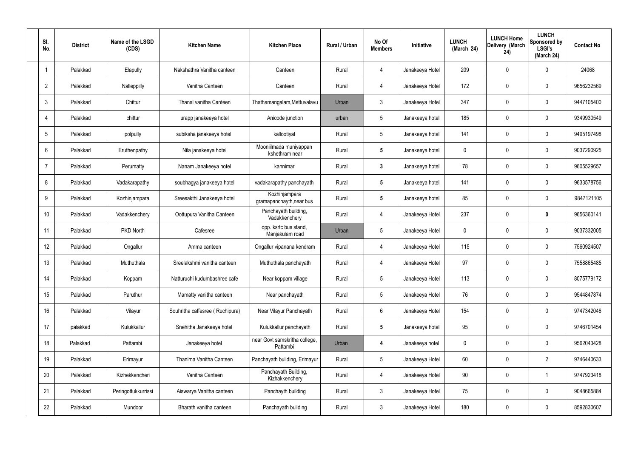| SI.<br>No.      | <b>District</b> | Name of the LSGD<br>(CDS) | <b>Kitchen Name</b>             | <b>Kitchen Place</b>                      | Rural / Urban | No Of<br><b>Members</b> | Initiative      | <b>LUNCH</b><br>(March 24) | <b>LUNCH Home</b><br>Delivery (March<br>24) | <b>LUNCH</b><br>Sponsored by<br><b>LSGI's</b><br>(March 24) | <b>Contact No</b> |
|-----------------|-----------------|---------------------------|---------------------------------|-------------------------------------------|---------------|-------------------------|-----------------|----------------------------|---------------------------------------------|-------------------------------------------------------------|-------------------|
|                 | Palakkad        | Elapully                  | Nakshathra Vanitha canteen      | Canteen                                   | Rural         | 4                       | Janakeeya Hotel | 209                        | 0                                           | $\mathbf 0$                                                 | 24068             |
| $\overline{2}$  | Palakkad        | Nalleppilly               | Vanitha Canteen                 | Canteen                                   | Rural         | $\overline{4}$          | Janakeeya Hotel | 172                        | 0                                           | $\mathbf 0$                                                 | 9656232569        |
| 3               | Palakkad        | Chittur                   | Thanal vanitha Canteen          | Thathamangalam, Mettuvalavu               | Urban         | $\mathbf{3}$            | Janakeeya Hotel | 347                        | 0                                           | $\mathbf 0$                                                 | 9447105400        |
| 4               | Palakkad        | chittur                   | urapp janakeeya hotel           | Anicode junction                          | urban         | $5\phantom{.0}$         | Janakeeya hotel | 185                        | 0                                           | $\mathbf 0$                                                 | 9349930549        |
| 5               | Palakkad        | polpully                  | subiksha janakeeya hotel        | kallootiyal                               | Rural         | $5\phantom{.0}$         | Janakeeya hotel | 141                        | 0                                           | $\mathbf 0$                                                 | 9495197498        |
| 6               | Palakkad        | Eruthenpathy              | Nila janakeeya hotel            | Mooniilmada muniyappan<br>kshethram near  | Rural         | $5\phantom{.0}$         | Janakeeya hotel | $\mathbf 0$                | 0                                           | $\mathbf 0$                                                 | 9037290925        |
| $\overline{7}$  | Palakkad        | Perumatty                 | Nanam Janakeeya hotel           | kannimari                                 | Rural         | $\mathbf{3}$            | Janakeeya hotel | 78                         | 0                                           | $\mathbf 0$                                                 | 9605529657        |
| 8               | Palakkad        | Vadakarapathy             | soubhagya janakeeya hotel       | vadakarapathy panchayath                  | Rural         | $5\phantom{.0}$         | Janakeeya hotel | 141                        | 0                                           | $\mathbf 0$                                                 | 9633578756        |
| 9               | Palakkad        | Kozhinjampara             | Sreesakthi Janakeeya hotel      | Kozhinjampara<br>gramapanchayth, near bus | Rural         | $5\phantom{.0}$         | Janakeeya hotel | 85                         | 0                                           | $\mathbf 0$                                                 | 9847121105        |
| 10 <sup>°</sup> | Palakkad        | Vadakkenchery             | Oottupura Vanitha Canteen       | Panchayath building,<br>Vadakkenchery     | Rural         | 4                       | Janakeeya Hotel | 237                        | 0                                           | $\mathbf 0$                                                 | 9656360141        |
| 11              | Palakkad        | PKD North                 | Cafesree                        | opp. ksrtc bus stand,<br>Manjakulam road  | Urban         | $5\phantom{.0}$         | Janakeeya Hotel | 0                          | 0                                           | $\mathbf 0$                                                 | 9037332005        |
| 12              | Palakkad        | Ongallur                  | Amma canteen                    | Ongallur vipanana kendram                 | Rural         | 4                       | Janakeeya Hotel | 115                        | 0                                           | $\boldsymbol{0}$                                            | 7560924507        |
| 13              | Palakkad        | Muthuthala                | Sreelakshmi vanitha canteen     | Muthuthala panchayath                     | Rural         | 4                       | Janakeeya Hotel | 97                         | 0                                           | 0                                                           | 7558865485        |
| 14              | Palakkad        | Koppam                    | Natturuchi kudumbashree cafe    | Near koppam village                       | Rural         | $5\phantom{.0}$         | Janakeeya Hotel | 113                        | $\mathbf 0$                                 | $\mathbf 0$                                                 | 8075779172        |
| 15              | Palakkad        | Paruthur                  | Mamatty vanitha canteen         | Near panchayath                           | Rural         | $5\phantom{.0}$         | Janakeeya Hotel | 76                         | $\mathbf 0$                                 | $\mathbf 0$                                                 | 9544847874        |
| 16              | Palakkad        | Vilayur                   | Souhritha caffesree (Ruchipura) | Near Vilayur Panchayath                   | Rural         | $6\phantom{.}6$         | Janakeeya Hotel | 154                        | $\mathbf 0$                                 | $\mathbf 0$                                                 | 9747342046        |
| 17              | palakkad        | Kulukkallur               | Snehitha Janakeeya hotel        | Kulukkallur panchayath                    | Rural         | $5\phantom{.0}$         | Janakeeya hotel | 95                         | $\mathbf 0$                                 | $\mathbf 0$                                                 | 9746701454        |
| 18              | Palakkad        | Pattambi                  | Janakeeya hotel                 | near Govt samskritha college,<br>Pattambi | Urban         | 4                       | Janakeeya hotel | $\mathbf 0$                | 0                                           | $\mathbf 0$                                                 | 9562043428        |
| 19              | Palakkad        | Erimayur                  | Thanima Vanitha Canteen         | Panchayath building, Erimayur             | Rural         | $5\,$                   | Janakeeya Hotel | 60                         | $\mathbf 0$                                 | $\overline{2}$                                              | 9746440633        |
| 20              | Palakkad        | Kizhekkencheri            | Vanitha Canteen                 | Panchayath Building,<br>Kizhakkenchery    | Rural         | 4                       | Janakeeya Hotel | 90                         | $\mathbf 0$                                 | $\mathbf 1$                                                 | 9747923418        |
| 21              | Palakkad        | Peringottukkurrissi       | Aiswarya Vanitha canteen        | Panchayth building                        | Rural         | $\mathfrak{Z}$          | Janakeeya Hotel | 75                         | 0                                           | $\mathbf 0$                                                 | 9048665884        |
| 22              | Palakkad        | Mundoor                   | Bharath vanitha canteen         | Panchayath building                       | Rural         | $\mathfrak{Z}$          | Janakeeya Hotel | 180                        | $\pmb{0}$                                   | $\boldsymbol{0}$                                            | 8592830607        |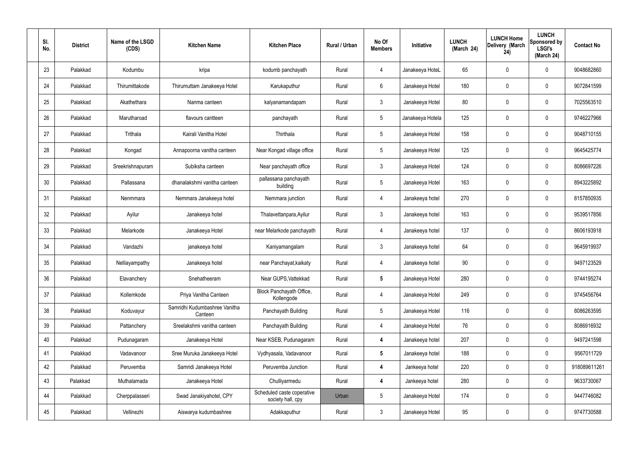| SI.<br>No. |    | <b>District</b> | Name of the LSGD<br>(CDS) | <b>Kitchen Name</b>                      | <b>Kitchen Place</b>                            | Rural / Urban | No Of<br><b>Members</b> | Initiative       | <b>LUNCH</b><br>(March 24) | <b>LUNCH Home</b><br>Delivery (March<br>24) | <b>LUNCH</b><br>Sponsored by<br><b>LSGI's</b><br>(March 24) | <b>Contact No</b> |
|------------|----|-----------------|---------------------------|------------------------------------------|-------------------------------------------------|---------------|-------------------------|------------------|----------------------------|---------------------------------------------|-------------------------------------------------------------|-------------------|
| 23         |    | Palakkad        | Kodumbu                   | kripa                                    | kodumb panchayath                               | Rural         | 4                       | Janakeeya HoteL  | 65                         | $\mathbf 0$                                 | 0                                                           | 9048682860        |
| 24         |    | Palakkad        | Thirumittakode            | Thirumuttam Janakeeya Hotel              | Karukaputhur                                    | Rural         | $6\phantom{.}6$         | Janakeeya Hotel  | 180                        | 0                                           | $\mathbf 0$                                                 | 9072841599        |
| 25         |    | Palakkad        | Akathethara               | Nanma canteen                            | kalyanamandapam                                 | Rural         | $\mathbf{3}$            | Janakeeya Hotel  | 80                         | 0                                           | $\mathbf 0$                                                 | 7025563510        |
| 26         |    | Palakkad        | Marutharoad               | flavours cantteen                        | panchayath                                      | Rural         | $5\phantom{.0}$         | Janakeeya Hotela | 125                        | 0                                           | $\mathbf 0$                                                 | 9746227966        |
| 27         |    | Palakkad        | Trithala                  | Kairali Vanitha Hotel                    | Thirthala                                       | Rural         | $5\phantom{.0}$         | Janakeeya Hotel  | 158                        | $\mathbf 0$                                 | $\mathbf 0$                                                 | 9048710155        |
| 28         |    | Palakkad        | Kongad                    | Annapoorna vanitha canteen               | Near Kongad village office                      | Rural         | $5\phantom{.0}$         | Janakeeya Hotel  | 125                        | 0                                           | $\mathbf 0$                                                 | 9645425774        |
| 29         |    | Palakkad        | Sreekrishnapuram          | Subiksha canteen                         | Near panchayath office                          | Rural         | $\mathbf{3}$            | Janakeeya Hotel  | 124                        | $\mathbf 0$                                 | $\mathbf 0$                                                 | 8086697226        |
| 30         |    | Palakkad        | Pallassana                | dhanalakshmi vanitha canteen             | pallassana panchayath<br>building               | Rural         | $5\phantom{.0}$         | Janakeeya Hotel  | 163                        | 0                                           | $\mathbf 0$                                                 | 8943225892        |
| 31         |    | Palakkad        | Nenmmara                  | Nemmara Janakeeya hotel                  | Nemmara junction                                | Rural         | $\overline{4}$          | Janakeeya hotel  | 270                        | 0                                           | $\mathbf 0$                                                 | 8157850935        |
| 32         |    | Palakkad        | Ayilur                    | Janakeeya hotel                          | Thalavettanpara, Ayilur                         | Rural         | $\mathbf{3}$            | Janakeeya hotel  | 163                        | 0                                           | $\mathbf 0$                                                 | 9539517856        |
| 33         |    | Palakkad        | Melarkode                 | Janakeeya Hotel                          | near Melarkode panchayath                       | Rural         | 4                       | Janakeeya hotel  | 137                        | 0                                           | $\mathbf 0$                                                 | 8606193918        |
| 34         |    | Palakkad        | Vandazhi                  | janakeeya hotel                          | Kaniyamangalam                                  | Rural         | $\mathbf{3}$            | Janakeeya hotel  | 64                         | $\mathbf 0$                                 | $\mathbf 0$                                                 | 9645919937        |
| 35         |    | Palakkad        | Nelliayampathy            | Janakeeya hotel                          | near Panchayat, kaikaty                         | Rural         | 4                       | Janakeeya hotel  | 90                         | $\mathbf 0$                                 | 0                                                           | 9497123529        |
| 36         |    | Palakkad        | Elavanchery               | Snehatheeram                             | Near GUPS, Vattekkad                            | Rural         | $5\phantom{.0}$         | Janakeeya Hotel  | 280                        | $\mathbf 0$                                 | $\mathbf 0$                                                 | 9744195274        |
| 37         |    | Palakkad        | Kollemkode                | Priya Vanitha Canteen                    | Block Panchayath Office,<br>Kollengode          | Rural         | $\overline{4}$          | Janakeeya Hotel  | 249                        | 0                                           | $\mathbf 0$                                                 | 9745456764        |
| 38         |    | Palakkad        | Koduvayur                 | Samridhi Kudumbashree Vanitha<br>Canteen | Panchayath Building                             | Rural         | $5\phantom{.0}$         | Janakeeya Hotel  | 116                        | 0                                           | $\mathbf 0$                                                 | 8086263595        |
|            | 39 | Palakkad        | Pattanchery               | Sreelakshmi vanitha canteen              | Panchayath Building                             | Rural         | $\overline{4}$          | Janakeeya Hotel  | 76                         | 0                                           | $\mathbf 0$                                                 | 8086916932        |
|            | 40 | Palakkad        | Pudunagaram               | Janakeeya Hotel                          | Near KSEB, Pudunagaram                          | Rural         | 4                       | Janakeeya hotel  | 207                        | 0                                           | $\mathbf 0$                                                 | 9497241598        |
| 41         |    | Palakkad        | Vadavanoor                | Sree Muruka Janakeeya Hotel              | Vydhyasala, Vadavanoor                          | Rural         | $5\phantom{.0}$         | Janakeeya hotel  | 188                        | $\mathbf 0$                                 | $\mathbf 0$                                                 | 9567011729        |
|            | 42 | Palakkad        | Peruvemba                 | Samridi Janakeeya Hotel                  | Peruvemba Junction                              | Rural         | 4                       | Jankeeya hotel   | 220                        | 0                                           | $\mathbf 0$                                                 | 918089611261      |
|            | 43 | Palakkad        | Muthalamada               | Janakeeya Hotel                          | Chulliyarmedu                                   | Rural         | 4                       | Jankeeya hotel   | 280                        | 0                                           | $\mathbf 0$                                                 | 9633730067        |
|            | 44 | Palakkad        | Cherppalasseri            | Swad Janakiyahotel, CPY                  | Scheduled caste coperative<br>society hall, cpy | Urban         | $5\phantom{.0}$         | Janakeeya Hotel  | 174                        | 0                                           | $\mathbf 0$                                                 | 9447746082        |
|            | 45 | Palakkad        | Vellinezhi                | Aiswarya kudumbashree                    | Adakkaputhur                                    | Rural         | $\mathfrak{Z}$          | Janakeeya Hotel  | 95                         | 0                                           | $\mathbf 0$                                                 | 9747730588        |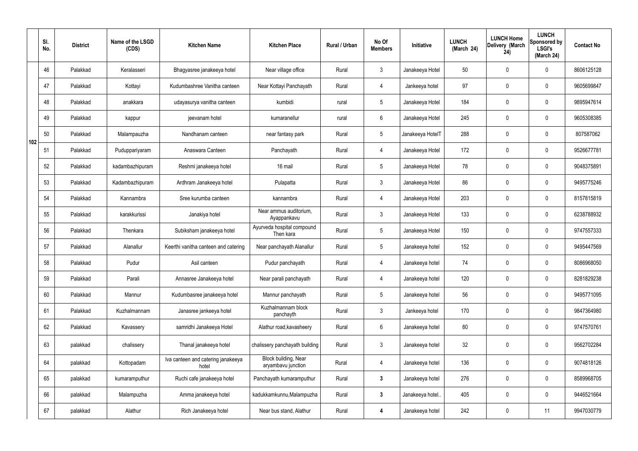|     | SI.<br>No. | <b>District</b> | Name of the LSGD<br>(CDS) | <b>Kitchen Name</b>                         | <b>Kitchen Place</b>                              | Rural / Urban | No Of<br><b>Members</b> | <b>Initiative</b> | <b>LUNCH</b><br>(March 24) | <b>LUNCH Home</b><br>Delivery (March<br>24) | <b>LUNCH</b><br>Sponsored by<br><b>LSGI's</b><br>(March 24) | <b>Contact No</b> |
|-----|------------|-----------------|---------------------------|---------------------------------------------|---------------------------------------------------|---------------|-------------------------|-------------------|----------------------------|---------------------------------------------|-------------------------------------------------------------|-------------------|
|     | 46         | Palakkad        | Keralasseri               | Bhagyasree janakeeya hotel                  | Near village office                               | Rural         | $\mathbf{3}$            | Janakeeya Hotel   | 50                         | 0                                           | $\mathbf 0$                                                 | 8606125128        |
|     | 47         | Palakkad        | Kottayi                   | Kudumbashree Vanitha canteen                | Near Kottayi Panchayath                           | Rural         | 4                       | Jankeeya hotel    | 97                         | 0                                           | $\mathbf 0$                                                 | 9605699847        |
|     | 48         | Palakkad        | anakkara                  | udayasurya vanitha canteen                  | kumbidi                                           | rural         | $5\phantom{.0}$         | Janakeeya Hotel   | 184                        | 0                                           | $\mathbf 0$                                                 | 9895947614        |
|     | 49         | Palakkad        | kappur                    | jeevanam hotel                              | kumaranellur                                      | rural         | $6\phantom{.}6$         | Janakeeya Hotel   | 245                        | 0                                           | $\mathbf 0$                                                 | 9605308385        |
| 102 | 50         | Palakkad        | Malampauzha               | Nandhanam canteen                           | near fantasy park                                 | Rural         | $5\phantom{.0}$         | Janakeeya HotelT  | 288                        | 0                                           | $\mathbf 0$                                                 | 807587062         |
|     | 51         | Palakkad        | Puduppariyaram            | Anaswara Canteen                            | Panchayath                                        | Rural         | $\overline{4}$          | Janakeeya Hotel   | 172                        | 0                                           | $\mathbf 0$                                                 | 9526677781        |
|     | 52         | Palakkad        | kadambazhipuram           | Reshmi janakeeya hotel                      | 16 mail                                           | Rural         | $5\phantom{.0}$         | Janakeeya Hotel   | 78                         | 0                                           | $\mathbf 0$                                                 | 9048375891        |
|     | 53         | Palakkad        | Kadambazhipuram           | Ardhram Janakeeya hotel                     | Pulapatta                                         | Rural         | $\mathbf{3}$            | Janakeeya Hotel   | 86                         | 0                                           | $\mathbf 0$                                                 | 9495775246        |
|     | 54         | Palakkad        | Kannambra                 | Sree kurumba canteen                        | kannambra                                         | Rural         | $\overline{4}$          | Janakeeya Hotel   | 203                        | 0                                           | $\mathbf 0$                                                 | 8157815819        |
|     | 55         | Palakkad        | karakkurissi              | Janakiya hotel                              | Near ammus auditorium,<br>Ayappankavu             | Rural         | $\mathbf{3}$            | Janakeeya Hotel   | 133                        | 0                                           | $\mathbf 0$                                                 | 6238788932        |
|     | 56         | Palakkad        | Thenkara                  | Subiksham janakeeya hotel                   | Ayurveda hospital compound<br>Then kara           | Rural         | $5\phantom{.0}$         | Janakeeya Hotel   | 150                        | 0                                           | $\mathbf 0$                                                 | 9747557333        |
|     | 57         | Palakkad        | Alanallur                 | Keerthi vanitha canteen and catering        | Near panchayath Alanallur                         | Rural         | $5\phantom{.0}$         | Janakeeya hotel   | 152                        | 0                                           | $\mathbf 0$                                                 | 9495447569        |
|     | 58         | Palakkad        | Pudur                     | Asil canteen                                | Pudur panchayath                                  | Rural         | 4                       | Janakeeya hotel   | 74                         | 0                                           | 0                                                           | 8086968050        |
|     | 59         | Palakkad        | Parali                    | Annasree Janakeeya hotel                    | Near parali panchayath                            | Rural         | 4                       | Janakeeya hotel   | 120                        | $\mathbf 0$                                 | $\mathbf 0$                                                 | 8281829238        |
|     | 60         | Palakkad        | Mannur                    | Kudumbasree janakeeya hotel                 | Mannur panchayath                                 | Rural         | $5\phantom{.0}$         | Janakeeya hotel   | 56                         | $\mathbf 0$                                 | $\mathbf 0$                                                 | 9495771095        |
|     | 61         | Palakkad        | Kuzhalmannam              | Janasree jankeeya hotel                     | Kuzhalmannam block<br>panchayth                   | Rural         | $\mathbf{3}$            | Jankeeya hotel    | 170                        | 0                                           | $\mathbf 0$                                                 | 9847364980        |
|     | 62         | Palakkad        | Kavassery                 | samridhi Janakeeya Hotel                    | Alathur road, kavasheery                          | Rural         | $6\,$                   | Janakeeya hotel   | 80                         | 0                                           | $\mathbf 0$                                                 | 9747570761        |
|     | 63         | palakkad        | chalissery                | Thanal janakeeya hotel                      | chalissery panchayath building                    | Rural         | $\mathfrak{Z}$          | Janakeeya hotel   | 32                         | 0                                           | $\pmb{0}$                                                   | 9562702284        |
|     | 64         | palakkad        | Kottopadam                | Iva canteen and catering janakeeya<br>hotel | <b>Block building, Near</b><br>aryambavu junction | Rural         | $\overline{4}$          | Janakeeya hotel   | 136                        | 0                                           | $\mathbf 0$                                                 | 9074818126        |
|     | 65         | palakkad        | kumaramputhur             | Ruchi cafe janakeeya hotel                  | Panchayath kumaramputhur                          | Rural         | $\mathbf{3}$            | Janakeeya hotel   | 276                        | 0                                           | $\mathbf 0$                                                 | 8589968705        |
|     | 66         | palakkad        | Malampuzha                | Amma janakeeya hotel                        | kadukkamkunnu, Malampuzha                         | Rural         | $\mathbf{3}$            | Janakeeya hotel.  | 405                        | 0                                           | $\mathbf 0$                                                 | 9446521664        |
|     | 67         | palakkad        | Alathur                   | Rich Janakeeya hotel                        | Near bus stand, Alathur                           | Rural         | 4                       | Janakeeya hotel   | 242                        | 0                                           | 11                                                          | 9947030779        |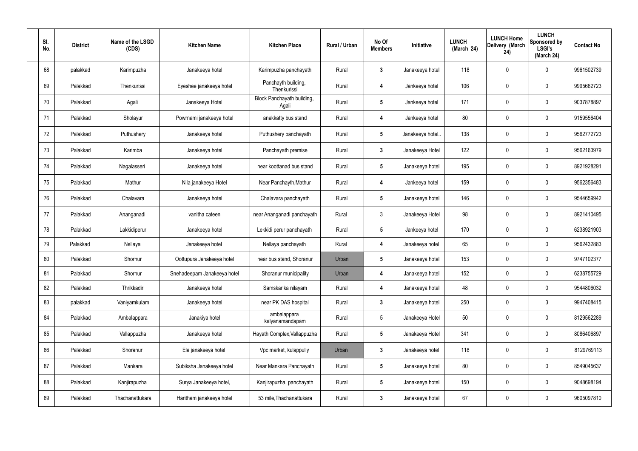| SI.<br>No. | <b>District</b> | Name of the LSGD<br>(CDS) | <b>Kitchen Name</b>         | <b>Kitchen Place</b>                | Rural / Urban | No Of<br><b>Members</b> | Initiative       | <b>LUNCH</b><br>(March 24) | <b>LUNCH Home</b><br>Delivery (March<br>24) | <b>LUNCH</b><br>Sponsored by<br><b>LSGI's</b><br>(March 24) | <b>Contact No</b> |
|------------|-----------------|---------------------------|-----------------------------|-------------------------------------|---------------|-------------------------|------------------|----------------------------|---------------------------------------------|-------------------------------------------------------------|-------------------|
| 68         | palakkad        | Karimpuzha                | Janakeeya hotel             | Karimpuzha panchayath               | Rural         | $\mathbf{3}$            | Janakeeya hotel  | 118                        | $\mathbf 0$                                 | $\mathbf 0$                                                 | 9961502739        |
| 69         | Palakkad        | Thenkurissi               | Eyeshee janakeeya hotel     | Panchayth building,<br>Thenkurissi  | Rural         | $\overline{4}$          | Jankeeya hotel   | 106                        | $\mathbf 0$                                 | $\mathbf 0$                                                 | 9995662723        |
| 70         | Palakkad        | Agali                     | Janakeeya Hotel             | Block Panchayath building,<br>Agali | Rural         | $5\phantom{.0}$         | Jankeeya hotel   | 171                        | $\mathbf 0$                                 | $\mathbf 0$                                                 | 9037878897        |
| 71         | Palakkad        | Sholayur                  | Powrnami janakeeya hotel    | anakkatty bus stand                 | Rural         | $\overline{4}$          | Jankeeya hotel   | 80                         | $\mathbf 0$                                 | $\boldsymbol{0}$                                            | 9159556404        |
| 72         | Palakkad        | Puthushery                | Janakeeya hotel             | Puthushery panchayath               | Rural         | $5\phantom{.0}$         | Janakeeya hotel. | 138                        | 0                                           | $\mathbf 0$                                                 | 9562772723        |
| 73         | Palakkad        | Karimba                   | Janakeeya hotel             | Panchayath premise                  | Rural         | $\mathbf{3}$            | Janakeeya Hotel  | 122                        | 0                                           | $\boldsymbol{0}$                                            | 9562163979        |
| 74         | Palakkad        | Nagalasseri               | Janakeeya hotel             | near koottanad bus stand            | Rural         | $5\phantom{.0}$         | Janakeeya hotel  | 195                        | 0                                           | $\mathbf 0$                                                 | 8921928291        |
| 75         | Palakkad        | Mathur                    | Nila janakeeya Hotel        | Near Panchayth, Mathur              | Rural         | $\overline{4}$          | Jankeeya hotel   | 159                        | 0                                           | $\mathbf 0$                                                 | 9562356483        |
| 76         | Palakkad        | Chalavara                 | Janakeeya hotel             | Chalavara panchayath                | Rural         | $5\phantom{.0}$         | Janakeeya hotel  | 146                        | 0                                           | $\mathbf 0$                                                 | 9544659942        |
| 77         | Palakkad        | Ananganadi                | vanitha cateen              | near Ananganadi panchayath          | Rural         | $\mathfrak{Z}$          | Janakeeya Hotel  | 98                         | 0                                           | $\boldsymbol{0}$                                            | 8921410495        |
| 78         | Palakkad        | Lakkidiperur              | Janakeeya hotel             | Lekkidi perur panchayath            | Rural         | $5\phantom{.0}$         | Jankeeya hotel   | 170                        | $\mathbf 0$                                 | $\mathbf 0$                                                 | 6238921903        |
| 79         | Palakkad        | Nellaya                   | Janakeeya hotel             | Nellaya panchayath                  | Rural         | $\overline{\mathbf{4}}$ | Janakeeya hotel  | 65                         | 0                                           | $\mathbf 0$                                                 | 9562432883        |
| 80         | Palakkad        | Shornur                   | Oottupura Janakeeya hotel   | near bus stand, Shoranur            | Urban         | $5\phantom{.0}$         | Janakeeya hotel  | 153                        | $\mathbf 0$                                 | $\mathbf 0$                                                 | 9747102377        |
| 81         | Palakkad        | Shornur                   | Snehadeepam Janakeeya hotel | Shoranur municipality               | Urban         | $\overline{4}$          | Janakeeya hotel  | 152                        | $\overline{0}$                              | $\mathbf 0$                                                 | 6238755729        |
| 82         | Palakkad        | Thrikkadiri               | Janakeeya hotel             | Samskarika nilayam                  | Rural         | $\overline{4}$          | Janakeeya hotel  | 48                         | $\mathbf 0$                                 | $\mathbf 0$                                                 | 9544806032        |
| 83         | palakkad        | Vaniyamkulam              | Janakeeya hotel             | near PK DAS hospital                | Rural         | $3\phantom{.0}$         | Janakeeya hotel  | 250                        | $\pmb{0}$                                   | $\mathbf{3}$                                                | 9947408415        |
| 84         | Palakkad        | Ambalappara               | Janakiya hotel              | ambalappara<br>kalyanamandapam      | Rural         | 5                       | Janakeeya Hotel  | 50                         | $\pmb{0}$                                   | $\pmb{0}$                                                   | 8129562289        |
| 85         | Palakkad        | Vallappuzha               | Janakeeya hotel             | Hayath Complex, Vallappuzha         | Rural         | $5\phantom{.0}$         | Janakeeya Hotel  | 341                        | $\pmb{0}$                                   | $\mathbf 0$                                                 | 8086406897        |
| 86         | Palakkad        | Shoranur                  | Ela janakeeya hotel         | Vpc market, kulappully              | Urban         | $\mathbf{3}$            | Janakeeya hotel  | 118                        | $\pmb{0}$                                   | $\mathbf 0$                                                 | 8129769113        |
| 87         | Palakkad        | Mankara                   | Subiksha Janakeeya hotel    | Near Mankara Panchayath             | Rural         | $5\phantom{.0}$         | Janakeeya hotel  | 80                         | $\pmb{0}$                                   | $\mathbf 0$                                                 | 8549045637        |
| 88         | Palakkad        | Kanjirapuzha              | Surya Janakeeya hotel,      | Kanjirapuzha, panchayath            | Rural         | $5\phantom{.0}$         | Janakeeya hotel  | 150                        | $\pmb{0}$                                   | $\pmb{0}$                                                   | 9048698194        |
| 89         | Palakkad        | Thachanattukara           | Haritham janakeeya hotel    | 53 mile, Thachanattukara            | Rural         | $\mathbf{3}$            | Janakeeya hotel  | 67                         | $\boldsymbol{0}$                            | $\pmb{0}$                                                   | 9605097810        |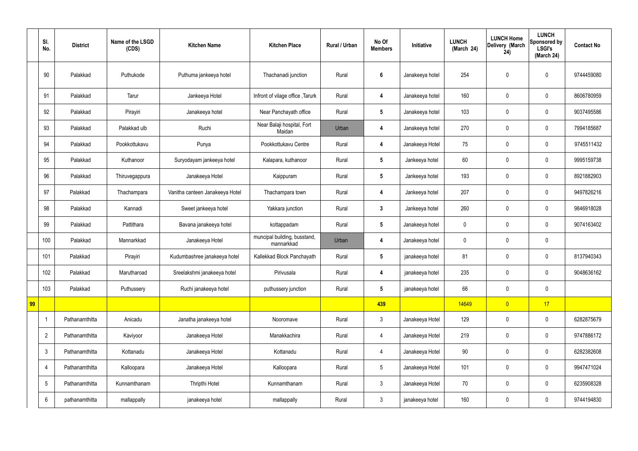|    | SI.<br>No.              | <b>District</b> | Name of the LSGD<br>(CDS) | <b>Kitchen Name</b>             | <b>Kitchen Place</b>                       | <b>Rural / Urban</b> | No Of<br><b>Members</b> | Initiative      | <b>LUNCH</b><br>(March 24) | <b>LUNCH Home</b><br>Delivery (March<br>24) | <b>LUNCH</b><br>Sponsored by<br><b>LSGI's</b><br>(March 24) | <b>Contact No</b> |
|----|-------------------------|-----------------|---------------------------|---------------------------------|--------------------------------------------|----------------------|-------------------------|-----------------|----------------------------|---------------------------------------------|-------------------------------------------------------------|-------------------|
|    | 90                      | Palakkad        | Puthukode                 | Puthuma jankeeya hotel          | Thachanadi junction                        | Rural                | $\boldsymbol{6}$        | Janakeeya hotel | 254                        | $\pmb{0}$                                   | $\mathbf 0$                                                 | 9744459080        |
|    | 91                      | Palakkad        | Tarur                     | Jankeeya Hotel                  | Infront of vilage office, Tarurk           | Rural                | 4                       | Janakeeya hotel | 160                        | $\mathbf 0$                                 | $\mathbf 0$                                                 | 8606780959        |
|    | 92                      | Palakkad        | Pirayiri                  | Janakeeya hotel                 | Near Panchayath office                     | Rural                | $5\phantom{.0}$         | Janakeeya hotel | 103                        | $\mathbf 0$                                 | $\mathbf 0$                                                 | 9037495586        |
|    | 93                      | Palakkad        | Palakkad ulb              | Ruchi                           | Near Balaji hospital, Fort<br>Maidan       | Urban                | 4                       | Janakeeya hotel | 270                        | $\pmb{0}$                                   | $\mathbf 0$                                                 | 7994185687        |
|    | 94                      | Palakkad        | Pookkottukavu             | Punya                           | Pookkottukavu Centre                       | Rural                | $\overline{\mathbf{4}}$ | Janakeeya Hotel | 75                         | $\mathbf 0$                                 | $\mathbf 0$                                                 | 9745511432        |
|    | 95                      | Palakkad        | Kuthanoor                 | Suryodayam jankeeya hotel       | Kalapara, kuthanoor                        | Rural                | $5\phantom{.0}$         | Jankeeya hotel  | 60                         | $\mathbf 0$                                 | $\mathbf 0$                                                 | 9995159738        |
|    | 96                      | Palakkad        | Thiruvegappura            | Janakeeya Hotel                 | Kaippuram                                  | Rural                | $5\phantom{.0}$         | Jankeeya hotel  | 193                        | $\mathbf 0$                                 | $\mathbf 0$                                                 | 8921882903        |
|    | 97                      | Palakkad        | Thachampara               | Vanitha canteen Janakeeya Hotel | Thachampara town                           | Rural                | $\overline{\mathbf{4}}$ | Jankeeya hotel  | 207                        | $\pmb{0}$                                   | $\mathbf 0$                                                 | 9497826216        |
|    | 98                      | Palakkad        | Kannadi                   | Sweet jankeeya hotel            | Yakkara junction                           | Rural                | $\mathbf{3}$            | Jankeeya hotel  | 260                        | $\mathbf 0$                                 | $\mathbf 0$                                                 | 9846918028        |
|    | 99                      | Palakkad        | Pattithara                | Bavana janakeeya hotel          | kottappadam                                | Rural                | $5\phantom{.0}$         | Janakeeya hotel | $\mathbf 0$                | $\pmb{0}$                                   | $\mathbf 0$                                                 | 9074163402        |
|    | 100                     | Palakkad        | Mannarkkad                | Janakeeya Hotel                 | muncipal building, busstand,<br>mannarkkad | Urban                | 4                       | Janakeeya hotel | $\mathbf 0$                | $\mathbf 0$                                 | $\mathbf 0$                                                 |                   |
|    | 101                     | Palakkad        | Pirayiri                  | Kudumbashree janakeeya hotel    | Kallekkad Block Panchayath                 | Rural                | $5\phantom{.0}$         | janakeeya hotel | 81                         | $\mathbf 0$                                 | $\mathbf 0$                                                 | 8137940343        |
|    | 102                     | Palakkad        | Marutharoad               | Sreelakshmi janakeeya hotel     | Pirivusala                                 | Rural                | 4                       | janakeeya hotel | 235                        | $\pmb{0}$                                   | $\mathbf 0$                                                 | 9048636162        |
|    | 103                     | Palakkad        | Puthussery                | Ruchi janakeeya hotel           | puthussery junction                        | Rural                | $5\phantom{.0}$         | janakeeya hotel | 66                         | $\pmb{0}$                                   | $\mathbf 0$                                                 |                   |
| 99 |                         |                 |                           |                                 |                                            |                      | 439                     |                 | 14649                      | $\overline{0}$                              | 17                                                          |                   |
|    | $\overline{\mathbf{1}}$ | Pathanamthitta  | Anicadu                   | Janatha janakeeya hotel         | Nooromave                                  | Rural                | $\mathbf{3}$            | Janakeeya Hotel | 129                        | $\pmb{0}$                                   | $\mathbf 0$                                                 | 6282875679        |
|    | $\overline{2}$          | Pathanamthitta  | Kaviyoor                  | Janakeeya Hotel                 | Manakkachira                               | Rural                | $\overline{4}$          | Janakeeya Hotel | 219                        | $\pmb{0}$                                   | $\mathbf 0$                                                 | 9747886172        |
|    | $\mathfrak{Z}$          | Pathanamthitta  | Kottanadu                 | Janakeeya Hotel                 | Kottanadu                                  | Rural                | $\overline{4}$          | Janakeeya Hotel | 90                         | $\pmb{0}$                                   | $\pmb{0}$                                                   | 6282382608        |
|    | $\overline{4}$          | Pathanamthitta  | Kalloopara                | Janakeeya Hotel                 | Kalloopara                                 | Rural                | $5\phantom{.0}$         | Janakeeya Hotel | 101                        | $\pmb{0}$                                   | $\mathbf 0$                                                 | 9947471024        |
|    | $\sqrt{5}$              | Pathanamthitta  | Kunnamthanam              | Thripthi Hotel                  | Kunnamthanam                               | Rural                | $\mathbf{3}$            | Janakeeya Hotel | 70                         | $\pmb{0}$                                   | $\mathbf 0$                                                 | 6235908328        |
|    | $6\phantom{.}6$         | pathanamthitta  | mallappally               | janakeeya hotel                 | mallappally                                | Rural                | $\mathbf{3}$            | janakeeya hotel | 160                        | $\pmb{0}$                                   | $\boldsymbol{0}$                                            | 9744194830        |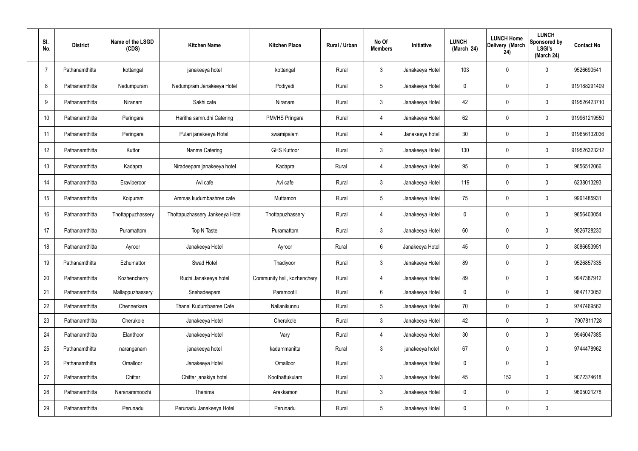| SI.<br>No.     | <b>District</b> | Name of the LSGD<br>(CDS) | <b>Kitchen Name</b>             | <b>Kitchen Place</b>        | Rural / Urban | No Of<br><b>Members</b> | Initiative      | <b>LUNCH</b><br>(March 24) | <b>LUNCH Home</b><br>Delivery (March<br>24) | <b>LUNCH</b><br>Sponsored by<br><b>LSGI's</b><br>(March 24) | <b>Contact No</b> |
|----------------|-----------------|---------------------------|---------------------------------|-----------------------------|---------------|-------------------------|-----------------|----------------------------|---------------------------------------------|-------------------------------------------------------------|-------------------|
| $\overline{7}$ | Pathanamthitta  | kottangal                 | janakeeya hotel                 | kottangal                   | Rural         | $\mathbf{3}$            | Janakeeya Hotel | 103                        | 0                                           | $\mathbf 0$                                                 | 9526690541        |
| 8              | Pathanamthitta  | Nedumpuram                | Nedumpram Janakeeya Hotel       | Podiyadi                    | Rural         | $5\phantom{.0}$         | Janakeeya Hotel | $\mathbf 0$                | 0                                           | $\mathbf 0$                                                 | 919188291409      |
| 9              | Pathanamthitta  | Niranam                   | Sakhi cafe                      | Niranam                     | Rural         | $\mathbf{3}$            | Janakeeya Hotel | 42                         | 0                                           | $\boldsymbol{0}$                                            | 919526423710      |
| 10             | Pathanamthitta  | Peringara                 | Haritha samrudhi Catering       | <b>PMVHS Pringara</b>       | Rural         | 4                       | Janakeeya Hotel | 62                         | 0                                           | $\mathbf 0$                                                 | 919961219550      |
| 11             | Pathanamthitta  | Peringara                 | Pulari janakeeya Hotel          | swamipalam                  | Rural         | $\overline{4}$          | Janakeeya hotel | 30 <sub>2</sub>            | 0                                           | $\boldsymbol{0}$                                            | 919656132036      |
| 12             | Pathanamthitta  | Kuttor                    | Nanma Catering                  | <b>GHS Kuttoor</b>          | Rural         | $\mathfrak{Z}$          | Janakeeya Hotel | 130                        | 0                                           | $\mathbf 0$                                                 | 919526323212      |
| 13             | Pathanamthitta  | Kadapra                   | Niradeepam janakeeya hotel      | Kadapra                     | Rural         | 4                       | Janakeeya Hotel | 95                         | 0                                           | $\mathbf 0$                                                 | 9656512066        |
| 14             | Pathanamthitta  | Eraviperoor               | Avi cafe                        | Avi cafe                    | Rural         | $\mathfrak{Z}$          | Janakeeya Hotel | 119                        | 0                                           | $\boldsymbol{0}$                                            | 6238013293        |
| 15             | Pathanamthitta  | Koipuram                  | Ammas kudumbashree cafe         | Muttamon                    | Rural         | $5\phantom{.0}$         | Janakeeya Hotel | 75                         | 0                                           | $\mathbf 0$                                                 | 9961485931        |
| 16             | Pathanamthitta  | Thottappuzhassery         | Thottapuzhassery Jankeeya Hotel | Thottapuzhassery            | Rural         | 4                       | Janakeeya Hotel | $\mathbf 0$                | 0                                           | $\boldsymbol{0}$                                            | 9656403054        |
| 17             | Pathanamthitta  | Puramattom                | Top N Taste                     | Puramattom                  | Rural         | $\mathbf{3}$            | Janakeeya Hotel | 60                         | $\boldsymbol{0}$                            | $\boldsymbol{0}$                                            | 9526728230        |
| 18             | Pathanamthitta  | Ayroor                    | Janakeeya Hotel                 | Ayroor                      | Rural         | $6\phantom{.}$          | Janakeeya Hotel | 45                         | 0                                           | $\mathbf 0$                                                 | 8086653951        |
| 19             | Pathanamthitta  | Ezhumattor                | Swad Hotel                      | Thadiyoor                   | Rural         | $\mathbf{3}$            | Janakeeya Hotel | 89                         | 0                                           | 0                                                           | 9526857335        |
| 20             | Pathanamthitta  | Kozhencherry              | Ruchi Janakeeya hotel           | Community hall, kozhenchery | Rural         | $\overline{4}$          | Janakeeya Hotel | 89                         | $\mathbf 0$                                 | $\mathbf 0$                                                 | 9947387912        |
| 21             | Pathanamthitta  | Mallappuzhassery          | Snehadeepam                     | Paramootil                  | Rural         | $6\phantom{.}$          | Janakeeya Hotel | $\pmb{0}$                  | 0                                           | $\mathbf 0$                                                 | 9847170052        |
| 22             | Pathanamthitta  | Chennerkara               | Thanal Kudumbasree Cafe         | Nallanikunnu                | Rural         | 5 <sup>5</sup>          | Janakeeya Hotel | 70                         | 0                                           | $\mathbf 0$                                                 | 9747469562        |
| 23             | Pathanamthitta  | Cherukole                 | Janakeeya Hotel                 | Cherukole                   | Rural         | $\mathbf{3}$            | Janakeeya Hotel | 42                         | $\mathsf{0}$                                | $\mathbf 0$                                                 | 7907811728        |
| 24             | Pathanamthitta  | Elanthoor                 | Janakeeya Hotel                 | Vary                        | Rural         | $\overline{4}$          | Janakeeya Hotel | 30                         | $\boldsymbol{0}$                            | $\mathbf 0$                                                 | 9946047385        |
| 25             | Pathanamthitta  | naranganam                | janakeeya hotel                 | kadammanitta                | Rural         | 3 <sup>1</sup>          | janakeeya hotel | 67                         | 0                                           | $\mathbf 0$                                                 | 9744478962        |
| 26             | Pathanamthitta  | Omalloor                  | Janakeeya Hotel                 | Omalloor                    | Rural         |                         | Janakeeya Hotel | 0                          | 0                                           | $\pmb{0}$                                                   |                   |
| 27             | Pathanamthitta  | Chittar                   | Chittar janakiya hotel          | Koothattukulam              | Rural         | 3 <sup>1</sup>          | Janakeeya Hotel | 45                         | 152                                         | $\pmb{0}$                                                   | 9072374618        |
| 28             | Pathanamthitta  | Naranammoozhi             | Thanima                         | Arakkamon                   | Rural         | $\mathbf{3}$            | Janakeeya Hotel | 0                          | 0                                           | $\boldsymbol{0}$                                            | 9605021278        |
| 29             | Pathanamthitta  | Perunadu                  | Perunadu Janakeeya Hotel        | Perunadu                    | Rural         | $5\phantom{.0}$         | Janakeeya Hotel | 0                          | 0                                           | $\pmb{0}$                                                   |                   |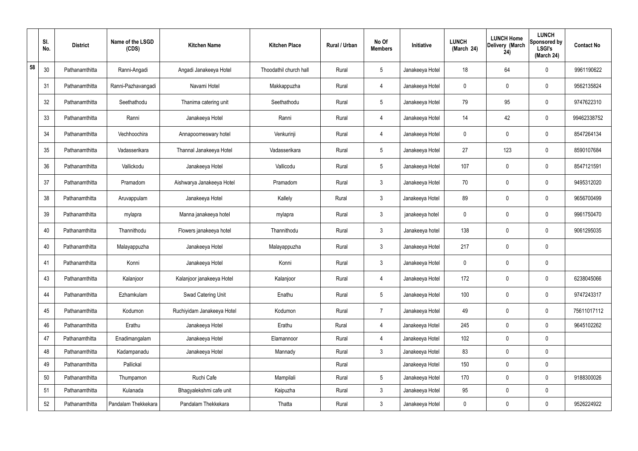|    | SI.<br>No. | <b>District</b> | Name of the LSGD<br>(CDS) | <b>Kitchen Name</b>        | <b>Kitchen Place</b>   | Rural / Urban | No Of<br><b>Members</b> | Initiative      | <b>LUNCH</b><br>(March 24) | <b>LUNCH Home</b><br>Delivery (March<br>24) | <b>LUNCH</b><br>Sponsored by<br><b>LSGI's</b><br>(March 24) | <b>Contact No</b> |
|----|------------|-----------------|---------------------------|----------------------------|------------------------|---------------|-------------------------|-----------------|----------------------------|---------------------------------------------|-------------------------------------------------------------|-------------------|
| 58 | 30         | Pathanamthitta  | Ranni-Angadi              | Angadi Janakeeya Hotel     | Thoodathil church hall | Rural         | $5\,$                   | Janakeeya Hotel | 18                         | 64                                          | 0                                                           | 9961190622        |
|    | 31         | Pathanamthitta  | Ranni-Pazhavangadi        | Navami Hotel               | Makkappuzha            | Rural         | 4                       | Janakeeya Hotel | $\mathbf 0$                | 0                                           | $\boldsymbol{0}$                                            | 9562135824        |
|    | 32         | Pathanamthitta  | Seethathodu               | Thanima catering unit      | Seethathodu            | Rural         | $5\phantom{.0}$         | Janakeeya Hotel | 79                         | 95                                          | $\boldsymbol{0}$                                            | 9747622310        |
|    | 33         | Pathanamthitta  | Ranni                     | Janakeeya Hotel            | Ranni                  | Rural         | $\overline{4}$          | Janakeeya Hotel | 14                         | 42                                          | $\mathbf 0$                                                 | 99462338752       |
|    | 34         | Pathanamthitta  | Vechhoochira              | Annapoorneswary hotel      | Venkurinji             | Rural         | 4                       | Janakeeya Hotel | $\mathbf 0$                | 0                                           | $\boldsymbol{0}$                                            | 8547264134        |
|    | 35         | Pathanamthitta  | Vadasserikara             | Thannal Janakeeya Hotel    | Vadasserikara          | Rural         | $\sqrt{5}$              | Janakeeya Hotel | 27                         | 123                                         | $\mathbf 0$                                                 | 8590107684        |
|    | 36         | Pathanamthitta  | Vallickodu                | Janakeeya Hotel            | Vallicodu              | Rural         | $5\phantom{.0}$         | Janakeeya Hotel | 107                        | $\boldsymbol{0}$                            | $\mathbf 0$                                                 | 8547121591        |
|    | 37         | Pathanamthitta  | Pramadom                  | Aishwarya Janakeeya Hotel  | Pramadom               | Rural         | $\mathbf{3}$            | Janakeeya Hotel | 70                         | 0                                           | $\mathbf 0$                                                 | 9495312020        |
|    | 38         | Pathanamthitta  | Aruvappulam               | Janakeeya Hotel            | Kallely                | Rural         | $\mathbf{3}$            | Janakeeya Hotel | 89                         | $\boldsymbol{0}$                            | $\mathbf 0$                                                 | 9656700499        |
|    | 39         | Pathanamthitta  | mylapra                   | Manna janakeeya hotel      | mylapra                | Rural         | $\mathbf{3}$            | janakeeya hotel | $\mathbf 0$                | 0                                           | $\mathbf 0$                                                 | 9961750470        |
|    | 40         | Pathanamthitta  | Thannithodu               | Flowers janakeeya hotel    | Thannithodu            | Rural         | $\mathbf{3}$            | Janakeeya hotel | 138                        | $\boldsymbol{0}$                            | $\mathbf 0$                                                 | 9061295035        |
|    | 40         | Pathanamthitta  | Malayappuzha              | Janakeeya Hotel            | Malayappuzha           | Rural         | $\mathbf{3}$            | Janakeeya Hotel | 217                        | 0                                           | $\mathbf 0$                                                 |                   |
|    | 41         | Pathanamthitta  | Konni                     | Janakeeya Hotel            | Konni                  | Rural         | $\mathbf{3}$            | Janakeeya Hotel | 0                          | $\boldsymbol{0}$                            | $\mathbf 0$                                                 |                   |
|    | 43         | Pathanamthitta  | Kalanjoor                 | Kalanjoor janakeeya Hotel  | Kalanjoor              | Rural         | $\overline{4}$          | Janakeeya Hotel | 172                        | 0                                           | $\pmb{0}$                                                   | 6238045066        |
|    | 44         | Pathanamthitta  | Ezhamkulam                | Swad Catering Unit         | Enathu                 | Rural         | $5\phantom{.0}$         | Janakeeya Hotel | 100                        | 0                                           | $\mathbf 0$                                                 | 9747243317        |
|    | 45         | Pathanamthitta  | Kodumon                   | Ruchiyidam Janakeeya Hotel | Kodumon                | Rural         | $\overline{7}$          | Janakeeya Hotel | 49                         | 0                                           | $\mathbf 0$                                                 | 75611017112       |
|    | 46         | Pathanamthitta  | Erathu                    | Janakeeya Hotel            | Erathu                 | Rural         | $\overline{4}$          | Janakeeya Hotel | 245                        | $\mathsf{0}$                                | $\mathbf 0$                                                 | 9645102262        |
|    | 47         | Pathanamthitta  | Enadimangalam             | Janakeeya Hotel            | Elamannoor             | Rural         | $\overline{4}$          | Janakeeya Hotel | 102                        | $\mathsf{0}$                                | $\mathbf 0$                                                 |                   |
|    | 48         | Pathanamthitta  | Kadampanadu               | Janakeeya Hotel            | Mannady                | Rural         | 3 <sup>7</sup>          | Janakeeya Hotel | 83                         | 0                                           | $\mathbf 0$                                                 |                   |
|    | 49         | Pathanamthitta  | Pallickal                 |                            |                        | Rural         |                         | Janakeeya Hotel | 150                        | 0                                           | $\mathbf 0$                                                 |                   |
|    | 50         | Pathanamthitta  | Thumpamon                 | Ruchi Cafe                 | Mampilali              | Rural         | $5\overline{)}$         | Janakeeya Hotel | 170                        | 0                                           | $\mathbf 0$                                                 | 9188300026        |
|    | 51         | Pathanamthitta  | Kulanada                  | Bhagyalekshmi cafe unit    | Kaipuzha               | Rural         | $\mathbf{3}$            | Janakeeya Hotel | 95                         | 0                                           | $\pmb{0}$                                                   |                   |
|    | 52         | Pathanamthitta  | Pandalam Thekkekara       | Pandalam Thekkekara        | Thatta                 | Rural         | $3\phantom{.0}$         | Janakeeya Hotel | 0                          | 0                                           | $\mathbf 0$                                                 | 9526224922        |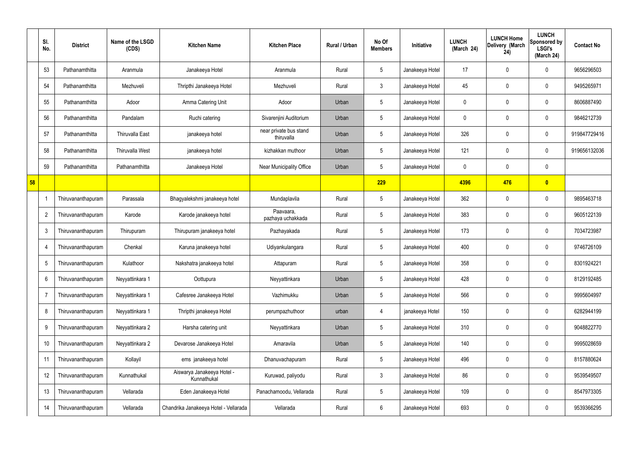|    | SI.<br>No.      | <b>District</b>    | Name of the LSGD<br>(CDS) | <b>Kitchen Name</b>                       | <b>Kitchen Place</b>                 | Rural / Urban | No Of<br><b>Members</b> | Initiative      | <b>LUNCH</b><br>(March 24) | <b>LUNCH Home</b><br>Delivery (March<br>24) | <b>LUNCH</b><br>Sponsored by<br><b>LSGI's</b><br>(March 24) | <b>Contact No</b> |
|----|-----------------|--------------------|---------------------------|-------------------------------------------|--------------------------------------|---------------|-------------------------|-----------------|----------------------------|---------------------------------------------|-------------------------------------------------------------|-------------------|
|    | 53              | Pathanamthitta     | Aranmula                  | Janakeeya Hotel                           | Aranmula                             | Rural         | $5\phantom{.0}$         | Janakeeya Hotel | 17                         | 0                                           | $\mathbf 0$                                                 | 9656296503        |
|    | 54              | Pathanamthitta     | Mezhuveli                 | Thripthi Janakeeya Hotel                  | Mezhuveli                            | Rural         | 3                       | Janakeeya Hotel | 45                         | $\mathbf 0$                                 | $\pmb{0}$                                                   | 9495265971        |
|    | 55              | Pathanamthitta     | Adoor                     | Amma Catering Unit                        | Adoor                                | Urban         | $5\phantom{.0}$         | Janakeeya Hotel | 0                          | 0                                           | $\mathbf 0$                                                 | 8606887490        |
|    | 56              | Pathanamthitta     | Pandalam                  | Ruchi catering                            | Sivarenjini Auditorium               | Urban         | $5\phantom{.0}$         | Janakeeya Hotel | 0                          | 0                                           | $\pmb{0}$                                                   | 9846212739        |
|    | 57              | Pathanamthitta     | <b>Thiruvalla East</b>    | janakeeya hotel                           | near private bus stand<br>thiruvalla | Urban         | $5\phantom{.0}$         | Janakeeya Hotel | 326                        | 0                                           | $\mathbf 0$                                                 | 919847729416      |
|    | 58              | Pathanamthitta     | <b>Thiruvalla West</b>    | janakeeya hotel                           | kizhakkan muthoor                    | Urban         | 5                       | Janakeeya Hotel | 121                        | 0                                           | $\pmb{0}$                                                   | 919656132036      |
|    | 59              | Pathanamthitta     | Pathanamthitta            | Janakeeya Hotel                           | Near Municipality Office             | Urban         | $5\phantom{.0}$         | Janakeeya Hotel | 0                          | 0                                           | $\mathbf 0$                                                 |                   |
| 58 |                 |                    |                           |                                           |                                      |               | 229                     |                 | 4396                       | 476                                         | $\bullet$                                                   |                   |
|    | 1               | Thiruvananthapuram | Parassala                 | Bhagyalekshmi janakeeya hotel             | Mundaplavila                         | Rural         | $5\phantom{.0}$         | Janakeeya Hotel | 362                        | 0                                           | $\mathbf 0$                                                 | 9895463718        |
|    | $\overline{2}$  | Thiruvananthapuram | Karode                    | Karode janakeeya hotel                    | Paavaara,<br>pazhaya uchakkada       | Rural         | 5                       | Janakeeya Hotel | 383                        | 0                                           | $\mathbf 0$                                                 | 9605122139        |
|    | $\mathfrak{Z}$  | Thiruvananthapuram | Thirupuram                | Thirupuram janakeeya hotel                | Pazhayakada                          | Rural         | $5\phantom{.0}$         | Janakeeya Hotel | 173                        | 0                                           | $\mathbf 0$                                                 | 7034723987        |
|    | $\overline{4}$  | Thiruvananthapuram | Chenkal                   | Karuna janakeeya hotel                    | Udiyankulangara                      | Rural         | $5\phantom{.0}$         | Janakeeya Hotel | 400                        | 0                                           | $\mathbf 0$                                                 | 9746726109        |
|    | 5               | Thiruvananthapuram | Kulathoor                 | Nakshatra janakeeya hotel                 | Attapuram                            | Rural         | $5\phantom{.0}$         | Janakeeya Hotel | 358                        | 0                                           | $\mathbf 0$                                                 | 8301924221        |
|    | $6\,$           | Thiruvananthapuram | Neyyattinkara 1           | Oottupura                                 | Neyyattinkara                        | Urban         | $5\phantom{.0}$         | Janakeeya Hotel | 428                        | 0                                           | $\pmb{0}$                                                   | 8129192485        |
|    | $\overline{7}$  | Thiruvananthapuram | Neyyattinkara 1           | Cafesree Janakeeya Hotel                  | Vazhimukku                           | Urban         | $5\phantom{.0}$         | Janakeeya Hotel | 566                        | 0                                           | $\mathbf 0$                                                 | 9995604997        |
|    | 8               | Thiruvananthapuram | Neyyattinkara 1           | Thripthi janakeeya Hotel                  | perumpazhuthoor                      | urban         | 4                       | janakeeya Hotel | 150                        | 0                                           | $\pmb{0}$                                                   | 6282944199        |
|    | 9               | Thiruvananthapuram | Neyyattinkara 2           | Harsha catering unit                      | Neyyattinkara                        | Urban         | $5\phantom{.0}$         | Janakeeya Hotel | 310                        | 0                                           | $\mathbf 0$                                                 | 9048822770        |
|    | 10 <sup>°</sup> | Thiruvananthapuram | Neyyattinkara 2           | Devarose Janakeeya Hotel                  | Amaravila                            | Urban         | $5\phantom{.0}$         | Janakeeya Hotel | 140                        | 0                                           | $\pmb{0}$                                                   | 9995028659        |
|    | 11              | Thiruvananthapuram | Kollayil                  | ems janakeeya hotel                       | Dhanuvachapuram                      | Rural         | $5\phantom{.0}$         | Janakeeya Hotel | 496                        | 0                                           | $\pmb{0}$                                                   | 8157880624        |
|    | 12              | Thiruvananthapuram | Kunnathukal               | Aiswarya Janakeeya Hotel -<br>Kunnathukal | Kuruwad, paliyodu                    | Rural         | $\mathfrak{Z}$          | Janakeeya Hotel | 86                         | 0                                           | $\pmb{0}$                                                   | 9539549507        |
|    | 13              | Thiruvananthapuram | Vellarada                 | Eden Janakeeya Hotel                      | Panachamoodu, Vellarada              | Rural         | $5\phantom{.0}$         | Janakeeya Hotel | 109                        | 0                                           | $\pmb{0}$                                                   | 8547973305        |
|    | 14              | Thiruvananthapuram | Vellarada                 | Chandrika Janakeeya Hotel - Vellarada     | Vellarada                            | Rural         | 6                       | Janakeeya Hotel | 693                        | 0                                           | $\pmb{0}$                                                   | 9539366295        |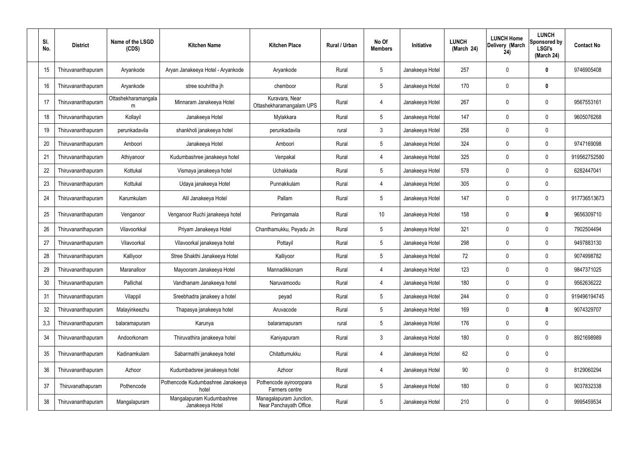| SI.<br>No. | <b>District</b>    | Name of the LSGD<br>(CDS) | <b>Kitchen Name</b>                          | <b>Kitchen Place</b>                              | Rural / Urban | No Of<br><b>Members</b> | Initiative      | <b>LUNCH</b><br>(March 24) | <b>LUNCH Home</b><br>Delivery (March<br>24) | <b>LUNCH</b><br>Sponsored by<br><b>LSGI's</b><br>(March 24) | <b>Contact No</b> |
|------------|--------------------|---------------------------|----------------------------------------------|---------------------------------------------------|---------------|-------------------------|-----------------|----------------------------|---------------------------------------------|-------------------------------------------------------------|-------------------|
| 15         | Thiruvananthapuram | Aryankode                 | Aryan Janakeeya Hotel - Aryankode            | Aryankode                                         | Rural         | $5\phantom{.0}$         | Janakeeya Hotel | 257                        | 0                                           | $\mathbf 0$                                                 | 9746905408        |
| 16         | Thiruvananthapuram | Aryankode                 | stree souhritha jh                           | chemboor                                          | Rural         | $5\phantom{.0}$         | Janakeeya Hotel | 170                        | $\mathbf 0$                                 | $\mathbf 0$                                                 |                   |
| 17         | Thiruvananthapuram | Ottashekharamangala<br>m  | Minnaram Janakeeya Hotel                     | Kuravara, Near<br>Ottashekharamangalam UPS        | Rural         | $\overline{4}$          | Janakeeya Hotel | 267                        | 0                                           | $\mathbf 0$                                                 | 9567553161        |
| 18         | Thiruvananthapuram | Kollayil                  | Janakeeya Hotel                              | Mylakkara                                         | Rural         | $5\overline{)}$         | Janakeeya Hotel | 147                        | $\mathbf 0$                                 | $\mathbf 0$                                                 | 9605076268        |
| 19         | Thiruvananthapuram | perunkadavila             | shankholi janakeeya hotel                    | perunkadavila                                     | rural         | $\mathbf{3}$            | Janakeeya Hotel | 258                        | $\mathbf 0$                                 | $\mathbf 0$                                                 |                   |
| 20         | Thiruvananthapuram | Amboori                   | Janakeeya Hotel                              | Amboori                                           | Rural         | $5\phantom{.0}$         | Janakeeya Hotel | 324                        | 0                                           | $\mathbf 0$                                                 | 9747169098        |
| 21         | Thiruvananthapuram | Athiyanoor                | Kudumbashree janakeeya hotel                 | Venpakal                                          | Rural         | 4                       | Janakeeya Hotel | 325                        | $\mathbf 0$                                 | $\mathbf 0$                                                 | 919562752580      |
| 22         | Thiruvananthapuram | Kottukal                  | Vismaya janakeeya hotel                      | Uchakkada                                         | Rural         | $5\phantom{.0}$         | Janakeeya Hotel | 578                        | 0                                           | $\mathbf 0$                                                 | 6282447041        |
| 23         | Thiruvananthapuram | Kottukal                  | Udaya janakeeya Hotel                        | Punnakkulam                                       | Rural         | 4                       | Janakeeya Hotel | 305                        | 0                                           | $\mathbf 0$                                                 |                   |
| 24         | Thiruvananthapuram | Karumkulam                | Alil Janakeeya Hotel                         | Pallam                                            | Rural         | $5\phantom{.0}$         | Janakeeya Hotel | 147                        | 0                                           | $\mathbf 0$                                                 | 917736513673      |
| 25         | Thiruvananthapuram | Venganoor                 | Venganoor Ruchi janakeeya hotel              | Peringamala                                       | Rural         | 10 <sup>°</sup>         | Janakeeya Hotel | 158                        | $\mathbf 0$                                 | $\mathbf 0$                                                 | 9656309710        |
| 26         | Thiruvananthapuram | Vilavoorkkal              | Priyam Janakeeya Hotel                       | Chanthamukku, Peyadu Jn                           | Rural         | $5\phantom{.0}$         | Janakeeya Hotel | 321                        | 0                                           | $\mathbf 0$                                                 | 7902504494        |
| 27         | Thiruvananthapuram | Vilavoorkal               | Vilavoorkal janakeeya hotel                  | Pottayil                                          | Rural         | $5\phantom{.0}$         | Janakeeya Hotel | 298                        | 0                                           | $\mathbf 0$                                                 | 9497883130        |
| 28         | Thiruvananthapuram | Kalliyoor                 | Stree Shakthi Janakeeya Hotel                | Kalliyoor                                         | Rural         | $5\overline{)}$         | Janakeeya Hotel | 72                         | $\mathbf 0$                                 | $\mathbf 0$                                                 | 9074998782        |
| 29         | Thiruvananthapuram | Maranalloor               | Mayooram Janakeeya Hotel                     | Mannadikkonam                                     | Rural         | 4                       | Janakeeya Hotel | 123                        | $\mathbf 0$                                 | $\mathbf 0$                                                 | 9847371025        |
| 30         | Thiruvananthapuram | Pallichal                 | Vandhanam Janakeeya hotel                    | Naruvamoodu                                       | Rural         | 4                       | Janakeeya Hotel | 180                        | $\mathbf 0$                                 | $\overline{0}$                                              | 9562636222        |
| 31         | Thiruvananthapuram | Vilappil                  | Sreebhadra janakeey a hotel                  | peyad                                             | Rural         | $5\phantom{.0}$         | Janakeeya Hotel | 244                        | $\mathbf 0$                                 | $\mathbf 0$                                                 | 919496194745      |
| 32         | Thiruvananthapuram | Malayinkeezhu             | Thapasya janakeeya hotel                     | Aruvacode                                         | Rural         | $5\phantom{.0}$         | Janakeeya Hotel | 169                        | 0                                           | $\mathbf 0$                                                 | 9074329707        |
| 3,3        | Thiruvananthapuram | balaramapuram             | Karunya                                      | balaramapuram                                     | rural         | $5\phantom{.0}$         | Janakeeya Hotel | 176                        | 0                                           | $\mathbf 0$                                                 |                   |
| 34         | Thiruvananthapuram | Andoorkonam               | Thiruvathira janakeeya hotel                 | Kaniyapuram                                       | Rural         | $\mathbf{3}$            | Janakeeya Hotel | 180                        | 0                                           | $\pmb{0}$                                                   | 8921698989        |
| 35         | Thiruvananthapuram | Kadinamkulam              | Sabarmathi janakeeya hotel                   | Chitattumukku                                     | Rural         | 4                       | Janakeeya Hotel | 62                         | 0                                           | $\pmb{0}$                                                   |                   |
| 36         | Thiruvananthapuram | Azhoor                    | Kudumbadsree janakeeya hotel                 | Azhoor                                            | Rural         | $\overline{4}$          | Janakeeya Hotel | 90                         | 0                                           | $\pmb{0}$                                                   | 8129060294        |
| 37         | Thiruvanathapuram  | Pothencode                | Pothencode Kudumbashree Janakeeya<br>hotel   | Pothencode ayiroorppara<br>Farmers centre         | Rural         | $\sqrt{5}$              | Janakeeya Hotel | 180                        | 0                                           | $\pmb{0}$                                                   | 9037832338        |
| 38         | Thiruvananthapuram | Mangalapuram              | Mangalapuram Kudumbashree<br>Janakeeya Hotel | Managalapuram Junction,<br>Near Panchayath Office | Rural         | $\sqrt{5}$              | Janakeeya Hotel | 210                        | 0                                           | $\pmb{0}$                                                   | 9995459534        |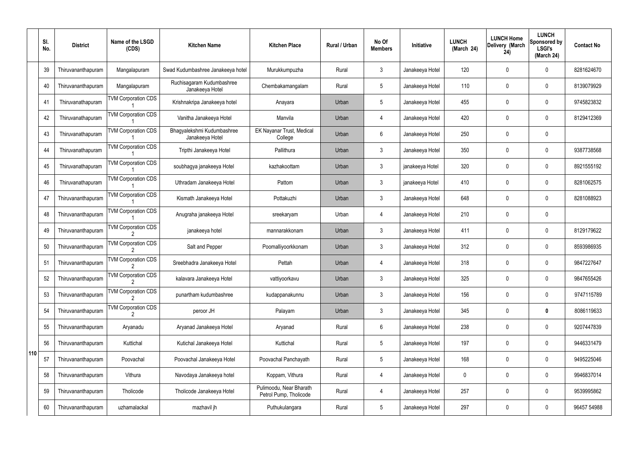|     | SI.<br>No. | <b>District</b>    | Name of the LSGD<br>(CDS)                    | <b>Kitchen Name</b>                           | <b>Kitchen Place</b>                              | <b>Rural / Urban</b> | No Of<br><b>Members</b> | Initiative      | <b>LUNCH</b><br>(March 24) | <b>LUNCH Home</b><br>Delivery (March<br>24) | <b>LUNCH</b><br>Sponsored by<br><b>LSGI's</b><br>(March 24) | <b>Contact No</b> |
|-----|------------|--------------------|----------------------------------------------|-----------------------------------------------|---------------------------------------------------|----------------------|-------------------------|-----------------|----------------------------|---------------------------------------------|-------------------------------------------------------------|-------------------|
|     | 39         | Thiruvananthapuram | Mangalapuram                                 | Swad Kudumbashree Janakeeya hotel             | Murukkumpuzha                                     | Rural                | $\mathbf{3}$            | Janakeeya Hotel | 120                        | $\mathbf 0$                                 | $\mathbf 0$                                                 | 8281624670        |
|     | 40         | Thiruvananthapuram | Mangalapuram                                 | Ruchisagaram Kudumbashree<br>Janakeeya Hotel  | Chembakamangalam                                  | Rural                | 5                       | Janakeeya Hotel | 110                        | 0                                           | $\pmb{0}$                                                   | 8139079929        |
|     | 41         | Thiruvanathapuram  | <b>TVM Corporation CDS</b>                   | Krishnakripa Janakeeya hotel                  | Anayara                                           | Urban                | 5                       | Janakeeya Hotel | 455                        | $\mathbf 0$                                 | $\mathbf 0$                                                 | 9745823832        |
|     | 42         | Thiruvanathapuram  | <b>TVM Corporation CDS</b>                   | Vanitha Janakeeya Hotel                       | Manvila                                           | Urban                | 4                       | Janakeeya Hotel | 420                        | 0                                           | $\mathbf 0$                                                 | 8129412369        |
|     | 43         | Thiruvanathapuram  | <b>TVM Corporation CDS</b>                   | Bhagyalekshmi Kudumbashree<br>Janakeeya Hotel | EK Nayanar Trust, Medical<br>College              | Urban                | 6                       | Janakeeya Hotel | 250                        | $\mathbf 0$                                 | $\mathbf 0$                                                 |                   |
|     | 44         | Thiruvanathapuram  | <b>TVM Corporation CDS</b>                   | Tripthi Janakeeya Hotel                       | Pallithura                                        | Urban                | $\mathfrak{Z}$          | Janakeeya Hotel | 350                        | 0                                           | $\mathbf 0$                                                 | 9387738568        |
|     | 45         | Thiruvanathapuram  | <b>TVM Corporation CDS</b>                   | soubhagya janakeeya Hotel                     | kazhakoottam                                      | Urban                | $\mathbf{3}$            | janakeeya Hotel | 320                        | 0                                           | $\mathbf 0$                                                 | 8921555192        |
|     | 46         | Thiruvanathapuram  | <b>TVM Corporation CDS</b>                   | Uthradam Janakeeya Hotel                      | Pattom                                            | Urban                | $\mathbf{3}$            | janakeeya Hotel | 410                        | 0                                           | $\pmb{0}$                                                   | 8281062575        |
|     | 47         | Thiruvananthapuram | <b>TVM Corporation CDS</b>                   | Kismath Janakeeya Hotel                       | Pottakuzhi                                        | Urban                | $\mathbf{3}$            | Janakeeya Hotel | 648                        | 0                                           | $\mathbf 0$                                                 | 8281088923        |
|     | 48         | Thiruvananthapuram | <b>TVM Corporation CDS</b>                   | Anugraha janakeeya Hotel                      | sreekaryam                                        | Urban                | 4                       | Janakeeya Hotel | 210                        | 0                                           | $\pmb{0}$                                                   |                   |
|     | 49         | Thiruvananthapuram | <b>TVM Corporation CDS</b><br>$\overline{2}$ | janakeeya hotel                               | mannarakkonam                                     | Urban                | $\mathbf{3}$            | Janakeeya Hotel | 411                        | 0                                           | $\mathbf 0$                                                 | 8129179622        |
|     | 50         | Thiruvananthapuram | <b>TVM Corporation CDS</b><br>2              | Salt and Pepper                               | Poomalliyoorkkonam                                | Urban                | $\mathbf{3}$            | Janakeeya Hotel | 312                        | 0                                           | $\mathbf 0$                                                 | 8593986935        |
|     | 51         | Thiruvananthapuram | <b>TVM Corporation CDS</b>                   | Sreebhadra Janakeeya Hotel                    | Pettah                                            | Urban                | 4                       | Janakeeya Hotel | 318                        | 0                                           | 0                                                           | 9847227647        |
|     | 52         | Thiruvananthapuram | <b>TVM Corporation CDS</b>                   | kalavara Janakeeya Hotel                      | vattiyoorkavu                                     | Urban                | 3                       | Janakeeya Hotel | 325                        | 0                                           | $\mathbf 0$                                                 | 9847655426        |
|     | 53         | Thiruvananthapuram | <b>TVM Corporation CDS</b>                   | punartham kudumbashree                        | kudappanakunnu                                    | Urban                | $\mathbf{3}$            | Janakeeya Hotel | 156                        | 0                                           | $\pmb{0}$                                                   | 9747115789        |
|     | 54         | Thiruvananthapuram | <b>TVM Corporation CDS</b><br>2              | peroor JH                                     | Palayam                                           | Urban                | $\mathbf{3}$            | Janakeeya Hotel | 345                        | 0                                           | $\bm{0}$                                                    | 8086119633        |
|     | 55         | Thiruvananthapuram | Aryanadu                                     | Aryanad Janakeeya Hotel                       | Aryanad                                           | Rural                | 6                       | Janakeeya Hotel | 238                        | 0                                           | $\pmb{0}$                                                   | 9207447839        |
|     | 56         | Thiruvananthapuram | Kuttichal                                    | Kutichal Janakeeya Hotel                      | Kuttichal                                         | Rural                | 5                       | Janakeeya Hotel | 197                        | 0                                           | $\pmb{0}$                                                   | 9446331479        |
| 110 | 57         | Thiruvananthapuram | Poovachal                                    | Poovachal Janakeeya Hotel                     | Poovachal Panchayath                              | Rural                | 5                       | Janakeeya Hotel | 168                        | 0                                           | $\pmb{0}$                                                   | 9495225046        |
|     | 58         | Thiruvananthapuram | Vithura                                      | Navodaya Janakeeya hotel                      | Koppam, Vithura                                   | Rural                | $\overline{4}$          | Janakeeya Hotel | 0                          | 0                                           | $\pmb{0}$                                                   | 9946837014        |
|     | 59         | Thiruvananthapuram | Tholicode                                    | Tholicode Janakeeya Hotel                     | Pulimoodu, Near Bharath<br>Petrol Pump, Tholicode | Rural                | 4                       | Janakeeya Hotel | 257                        | 0                                           | $\mathbf 0$                                                 | 9539995862        |
|     | 60         | Thiruvananthapuram | uzhamalackal                                 | mazhavil jh                                   | Puthukulangara                                    | Rural                | 5                       | Janakeeya Hotel | 297                        | 0                                           | $\pmb{0}$                                                   | 96457 54988       |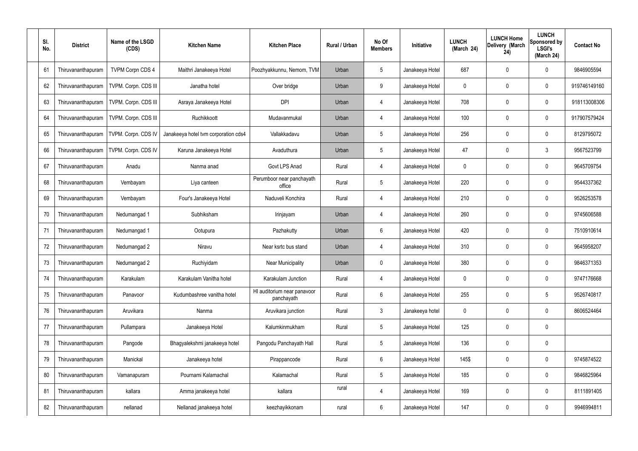| SI.<br>No. | <b>District</b>    | Name of the LSGD<br>(CDS) | <b>Kitchen Name</b>                  | <b>Kitchen Place</b>                      | Rural / Urban | No Of<br><b>Members</b> | Initiative      | <b>LUNCH</b><br>(March 24) | <b>LUNCH Home</b><br>Delivery (March<br>24) | <b>LUNCH</b><br>Sponsored by<br><b>LSGI's</b><br>(March 24) | <b>Contact No</b> |
|------------|--------------------|---------------------------|--------------------------------------|-------------------------------------------|---------------|-------------------------|-----------------|----------------------------|---------------------------------------------|-------------------------------------------------------------|-------------------|
| 61         | Thiruvananthapuram | <b>TVPM Corpn CDS 4</b>   | Maithri Janakeeya Hotel              | Poozhyakkunnu, Nemom, TVM                 | Urban         | $5\phantom{.0}$         | Janakeeya Hotel | 687                        | 0                                           | 0                                                           | 9846905594        |
| 62         | Thiruvananthapuram | TVPM. Corpn. CDS III      | Janatha hotel                        | Over bridge                               | Urban         | 9                       | Janakeeya Hotel | 0                          | 0                                           | $\pmb{0}$                                                   | 919746149160      |
| 63         | Thiruvananthapuram | TVPM. Corpn. CDS III      | Asraya Janakeeya Hotel               | <b>DPI</b>                                | Urban         | $\overline{4}$          | Janakeeya Hotel | 708                        | 0                                           | $\mathbf 0$                                                 | 918113008306      |
| 64         | Thiruvananthapuram | TVPM. Corpn. CDS III      | Ruchikkoott                          | Mudavanmukal                              | Urban         | $\overline{4}$          | Janakeeya Hotel | 100                        | 0                                           | $\mathbf 0$                                                 | 917907579424      |
| 65         | Thiruvananthapuram | TVPM. Corpn. CDS IV       | Janakeeya hotel tvm corporation cds4 | Vallakkadavu                              | Urban         | $5\phantom{.0}$         | Janakeeya Hotel | 256                        | 0                                           | $\mathbf 0$                                                 | 8129795072        |
| 66         | Thiruvananthapuram | TVPM. Corpn. CDS IV       | Karuna Janakeeya Hotel               | Avaduthura                                | Urban         | $5\phantom{.0}$         | Janakeeya Hotel | 47                         | 0                                           | 3                                                           | 9567523799        |
| 67         | Thiruvananthapuram | Anadu                     | Nanma anad                           | <b>Govt LPS Anad</b>                      | Rural         | 4                       | Janakeeya Hotel | 0                          | 0                                           | $\mathbf 0$                                                 | 9645709754        |
| 68         | Thiruvananthapuram | Vembayam                  | Liya canteen                         | Perumboor near panchayath<br>office       | Rural         | $5\phantom{.0}$         | Janakeeya Hotel | 220                        | 0                                           | $\mathbf 0$                                                 | 9544337362        |
| 69         | Thiruvananthapuram | Vembayam                  | Four's Janakeeya Hotel               | Naduveli Konchira                         | Rural         | 4                       | Janakeeya Hotel | 210                        | 0                                           | $\mathbf 0$                                                 | 9526253578        |
| 70         | Thiruvananthapuram | Nedumangad 1              | Subhiksham                           | Irinjayam                                 | Urban         | 4                       | Janakeeya Hotel | 260                        | 0                                           | $\boldsymbol{0}$                                            | 9745606588        |
| 71         | Thiruvananthapuram | Nedumangad 1              | Ootupura                             | Pazhakutty                                | Urban         | 6                       | Janakeeya Hotel | 420                        | 0                                           | $\boldsymbol{0}$                                            | 7510910614        |
| 72         | Thiruvananthapuram | Nedumangad 2              | Niravu                               | Near ksrtc bus stand                      | Urban         | 4                       | Janakeeya Hotel | 310                        | 0                                           | $\boldsymbol{0}$                                            | 9645958207        |
| 73         | Thiruvananthapuram | Nedumangad 2              | Ruchiyidam                           | <b>Near Municipality</b>                  | Urban         | $\mathbf 0$             | Janakeeya Hotel | 380                        | 0                                           | 0                                                           | 9846371353        |
| 74         | Thiruvananthapuram | Karakulam                 | Karakulam Vanitha hotel              | Karakulam Junction                        | Rural         | 4                       | Janakeeya Hotel | 0                          | 0                                           | $\mathbf 0$                                                 | 9747176668        |
| 75         | Thiruvananthapuram | Panavoor                  | Kudumbashree vanitha hotel           | HI auditorium near panavoor<br>panchayath | Rural         | $6\phantom{.}$          | Janakeeya Hotel | 255                        | 0                                           | $\sqrt{5}$                                                  | 9526740817        |
| 76         | Thiruvananthapuram | Aruvikara                 | Nanma                                | Aruvikara junction                        | Rural         | $\mathbf{3}$            | Janakeeya hotel | 0                          | 0                                           | $\boldsymbol{0}$                                            | 8606524464        |
| 77         | Thiruvananthapuram | Pullampara                | Janakeeya Hotel                      | Kalumkinmukham                            | Rural         | $5\phantom{.0}$         | Janakeeya Hotel | 125                        | 0                                           | $\mathbf 0$                                                 |                   |
| 78         | Thiruvananthapuram | Pangode                   | Bhagyalekshmi janakeeya hotel        | Pangodu Panchayath Hall                   | Rural         | $5\phantom{.0}$         | Janakeeya Hotel | 136                        | 0                                           | $\mathbf 0$                                                 |                   |
| 79         | Thiruvananthapuram | Manickal                  | Janakeeya hotel                      | Pirappancode                              | Rural         | $6\phantom{.}$          | Janakeeya Hotel | 145\$                      | 0                                           | $\pmb{0}$                                                   | 9745874522        |
| 80         | Thiruvananthapuram | Vamanapuram               | Pournami Kalamachal                  | Kalamachal                                | Rural         | $5\phantom{.0}$         | Janakeeya Hotel | 185                        | 0                                           | $\boldsymbol{0}$                                            | 9846825964        |
| 81         | Thiruvananthapuram | kallara                   | Amma janakeeya hotel                 | kallara                                   | rural         | 4                       | Janakeeya Hotel | 169                        | 0                                           | $\pmb{0}$                                                   | 8111891405        |
| 82         | Thiruvananthapuram | nellanad                  | Nellanad janakeeya hotel             | keezhayikkonam                            | rural         | 6                       | Janakeeya Hotel | 147                        | 0                                           | $\pmb{0}$                                                   | 9946994811        |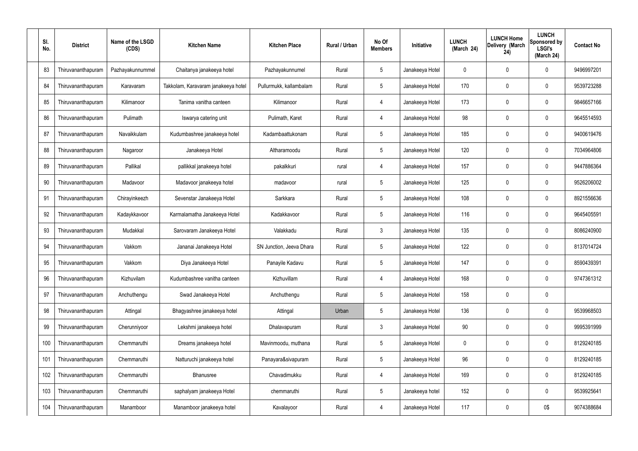| SI.<br>No. | <b>District</b>    | Name of the LSGD<br>(CDS) | <b>Kitchen Name</b>                 | <b>Kitchen Place</b>     | Rural / Urban | No Of<br><b>Members</b> | <b>Initiative</b> | <b>LUNCH</b><br>(March 24) | <b>LUNCH Home</b><br>Delivery (March<br>24) | <b>LUNCH</b><br>Sponsored by<br><b>LSGI's</b><br>(March 24) | <b>Contact No</b> |
|------------|--------------------|---------------------------|-------------------------------------|--------------------------|---------------|-------------------------|-------------------|----------------------------|---------------------------------------------|-------------------------------------------------------------|-------------------|
| 83         | Thiruvananthapuram | Pazhayakunnummel          | Chaitanya janakeeya hotel           | Pazhayakunnumel          | Rural         | 5                       | Janakeeya Hotel   | 0                          | 0                                           | $\mathbf 0$                                                 | 9496997201        |
| 84         | Thiruvananthapuram | Karavaram                 | Takkolam, Karavaram janakeeya hotel | Pullurmukk, kallambalam  | Rural         | $5\phantom{.0}$         | Janakeeya Hotel   | 170                        | 0                                           | $\mathbf 0$                                                 | 9539723288        |
| 85         | Thiruvananthapuram | Kilimanoor                | Tanima vanitha canteen              | Kilimanoor               | Rural         | 4                       | Janakeeya Hotel   | 173                        | 0                                           | $\mathbf 0$                                                 | 9846657166        |
| 86         | Thiruvananthapuram | Pulimath                  | Iswarya catering unit               | Pulimath, Karet          | Rural         | 4                       | Janakeeya Hotel   | 98                         | 0                                           | $\mathbf 0$                                                 | 9645514593        |
| 87         | Thiruvananthapuram | Navaikkulam               | Kudumbashree janakeeya hotel        | Kadambaattukonam         | Rural         | $5\phantom{.0}$         | Janakeeya Hotel   | 185                        | 0                                           | $\mathbf 0$                                                 | 9400619476        |
| 88         | Thiruvananthapuram | Nagaroor                  | Janakeeya Hotel                     | Altharamoodu             | Rural         | $5\phantom{.0}$         | Janakeeya Hotel   | 120                        | 0                                           | $\mathbf 0$                                                 | 7034964806        |
| 89         | Thiruvananthapuram | Pallikal                  | pallikkal janakeeya hotel           | pakalkkuri               | rural         | 4                       | Janakeeya Hotel   | 157                        | 0                                           | $\mathbf 0$                                                 | 9447886364        |
| 90         | Thiruvananthapuram | Madavoor                  | Madavoor janakeeya hotel            | madavoor                 | rural         | $5\phantom{.0}$         | Janakeeya Hotel   | 125                        | 0                                           | $\mathbf 0$                                                 | 9526206002        |
| 91         | Thiruvananthapuram | Chirayinkeezh             | Sevenstar Janakeeya Hotel           | Sarkkara                 | Rural         | $5\phantom{.0}$         | Janakeeya Hotel   | 108                        | 0                                           | $\mathbf 0$                                                 | 8921556636        |
| 92         | Thiruvananthapuram | Kadaykkavoor              | Karmalamatha Janakeeya Hotel        | Kadakkavoor              | Rural         | $5\phantom{.0}$         | Janakeeya Hotel   | 116                        | 0                                           | $\boldsymbol{0}$                                            | 9645405591        |
| 93         | Thiruvananthapuram | Mudakkal                  | Sarovaram Janakeeya Hotel           | Valakkadu                | Rural         | $\mathfrak{Z}$          | Janakeeya Hotel   | 135                        | 0                                           | 0                                                           | 8086240900        |
| 94         | Thiruvananthapuram | Vakkom                    | Jananai Janakeeya Hotel             | SN Junction, Jeeva Dhara | Rural         | $5\phantom{.0}$         | Janakeeya Hotel   | 122                        | 0                                           | $\boldsymbol{0}$                                            | 8137014724        |
| 95         | Thiruvananthapuram | Vakkom                    | Diya Janakeeya Hotel                | Panayile Kadavu          | Rural         | 5                       | Janakeeya Hotel   | 147                        | 0                                           | 0                                                           | 8590439391        |
| 96         | Thiruvananthapuram | Kizhuvilam                | Kudumbashree vanitha canteen        | Kizhuvillam              | Rural         | 4                       | Janakeeya Hotel   | 168                        | 0                                           | $\mathbf 0$                                                 | 9747361312        |
| 97         | Thiruvananthapuram | Anchuthengu               | Swad Janakeeya Hotel                | Anchuthengu              | Rural         | $5\phantom{.0}$         | Janakeeya Hotel   | 158                        | $\mathbf 0$                                 | $\pmb{0}$                                                   |                   |
| 98         | Thiruvananthapuram | Attingal                  | Bhagyashree janakeeya hotel         | Attingal                 | Urban         | $\sqrt{5}$              | Janakeeya Hotel   | 136                        | 0                                           | $\mathbf 0$                                                 | 9539968503        |
| 99         | Thiruvananthapuram | Cherunniyoor              | Lekshmi janakeeya hotel             | Dhalavapuram             | Rural         | $\mathfrak{Z}$          | Janakeeya Hotel   | 90                         | $\mathbf 0$                                 | $\mathbf 0$                                                 | 9995391999        |
| 100        | Thiruvananthapuram | Chemmaruthi               | Dreams janakeeya hotel              | Mavinmoodu, muthana      | Rural         | $5\,$                   | Janakeeya Hotel   | $\mathbf 0$                | 0                                           | $\mathbf 0$                                                 | 8129240185        |
| 101        | Thiruvananthapuram | Chemmaruthi               | Natturuchi janakeeya hotel          | Panayara&sivapuram       | Rural         | $5\,$                   | Janakeeya Hotel   | 96                         | $\boldsymbol{0}$                            | $\mathbf 0$                                                 | 8129240185        |
| 102        | Thiruvananthapuram | Chemmaruthi               | Bhanusree                           | Chavadimukku             | Rural         | 4                       | Janakeeya Hotel   | 169                        | 0                                           | $\mathbf 0$                                                 | 8129240185        |
| 103        | Thiruvananthapuram | Chemmaruthi               | saphalyam janakeeya Hotel           | chemmaruthi              | Rural         | $5\,$                   | Janakeeya hotel   | 152                        | 0                                           | $\mathbf 0$                                                 | 9539925641        |
| 104        | Thiruvananthapuram | Manamboor                 | Manamboor janakeeya hotel           | Kavalayoor               | Rural         | 4                       | Janakeeya Hotel   | 117                        | 0                                           | 0\$                                                         | 9074388684        |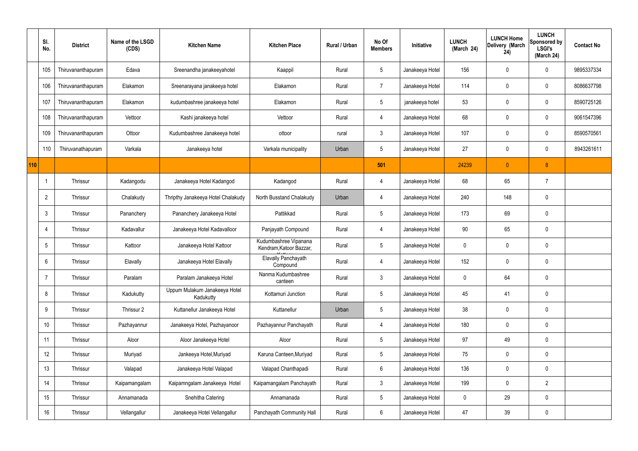|     | SI.<br>No.      | <b>District</b>    | Name of the LSGD<br>(CDS) | <b>Kitchen Name</b>                        | <b>Kitchen Place</b>                             | Rural / Urban | No Of<br><b>Members</b> | Initiative      | <b>LUNCH</b><br>(March 24) | <b>LUNCH Home</b><br>Delivery (March<br>24) | <b>LUNCH</b><br>Sponsored by<br><b>LSGI's</b><br>(March 24) | <b>Contact No</b> |
|-----|-----------------|--------------------|---------------------------|--------------------------------------------|--------------------------------------------------|---------------|-------------------------|-----------------|----------------------------|---------------------------------------------|-------------------------------------------------------------|-------------------|
|     | 105             | Thiruvananthapuram | Edava                     | Sreenandha janakeeyahotel                  | Kaappil                                          | Rural         | $5\phantom{.0}$         | Janakeeya Hotel | 156                        | 0                                           | $\boldsymbol{0}$                                            | 9895337334        |
|     | 106             | Thiruvananthapuram | Elakamon                  | Sreenarayana janakeeya hotel               | Elakamon                                         | Rural         | $\overline{7}$          | Janakeeya Hotel | 114                        | 0                                           | $\pmb{0}$                                                   | 8086637798        |
|     | 107             | Thiruvananthapuram | Elakamon                  | kudumbashree janakeeya hotel               | Elakamon                                         | Rural         | $5\phantom{.0}$         | janakeeya hotel | 53                         | 0                                           | $\boldsymbol{0}$                                            | 8590725126        |
|     | 108             | Thiruvananthapuram | Vettoor                   | Kashi janakeeya hotel                      | Vettoor                                          | Rural         | 4                       | Janakeeya Hotel | 68                         | 0                                           | $\pmb{0}$                                                   | 9061547396        |
|     | 109             | Thiruvananthapuram | Ottoor                    | Kudumbashree Janakeeya hotel               | ottoor                                           | rural         | $\mathbf{3}$            | Janakeeya Hotel | 107                        | 0                                           | $\mathbf 0$                                                 | 8590570561        |
|     | 110             | Thiruvanathapuram  | Varkala                   | Janakeeya hotel                            | Varkala municipality                             | Urban         | $5\phantom{.0}$         | Janakeeya Hotel | 27                         | $\mathbf 0$                                 | $\pmb{0}$                                                   | 8943261611        |
| 110 |                 |                    |                           |                                            |                                                  |               | 501                     |                 | 24239                      | $\mathbf{0}$                                | $\boldsymbol{8}$                                            |                   |
|     | $\overline{1}$  | Thrissur           | Kadangodu                 | Janakeeya Hotel Kadangod                   | Kadangod                                         | Rural         | 4                       | Janakeeya Hotel | 68                         | 65                                          | $\overline{7}$                                              |                   |
|     | $\overline{2}$  | Thrissur           | Chalakudy                 | Thripthy Janakeeya Hotel Chalakudy         | North Busstand Chalakudy                         | Urban         | 4                       | Janakeeya Hotel | 240                        | 148                                         | $\mathbf 0$                                                 |                   |
|     | $\mathbf{3}$    | Thrissur           | Pananchery                | Pananchery Janakeeya Hotel                 | Pattikkad                                        | Rural         | $5\phantom{.0}$         | Janakeeya Hotel | 173                        | 69                                          | $\pmb{0}$                                                   |                   |
|     | 4               | Thrissur           | Kadavallur                | Janakeeya Hotel Kadavalloor                | Panjayath Compound                               | Rural         | 4                       | Janakeeya Hotel | 90                         | 65                                          | $\mathbf 0$                                                 |                   |
|     | 5               | Thrissur           | Kattoor                   | Janakeeya Hotel Kattoor                    | Kudumbashree Vipanana<br>Kendram, Katoor Bazzar, | Rural         | $5\phantom{.0}$         | Janakeeya Hotel | 0                          | $\mathbf 0$                                 | $\pmb{0}$                                                   |                   |
|     | 6               | Thrissur           | Elavally                  | Janakeeya Hotel Elavally                   | Elavally Panchayath<br>Compound                  | Rural         | 4                       | Janakeeya Hotel | 152                        | 0                                           | $\mathbf 0$                                                 |                   |
|     | $\overline{7}$  | Thrissur           | Paralam                   | Paralam Janakeeya Hotel                    | Nanma Kudumbashree<br>canteen                    | Rural         | $\mathfrak{Z}$          | Janakeeya Hotel | 0                          | 64                                          | $\pmb{0}$                                                   |                   |
|     | 8               | Thrissur           | Kadukutty                 | Uppum Mulakum Janakeeya Hotel<br>Kadukutty | Kottamuri Junction                               | Rural         | $5\phantom{.0}$         | Janakeeya Hotel | 45                         | 41                                          | $\pmb{0}$                                                   |                   |
|     | 9               | Thrissur           | Thrissur 2                | Kuttanellur Janakeeya Hotel                | Kuttanellur                                      | Urban         | $5\phantom{.0}$         | Janakeeya Hotel | 38                         | $\mathbf 0$                                 | $\pmb{0}$                                                   |                   |
|     | 10 <sup>°</sup> | Thrissur           | Pazhayannur               | Janakeeya Hotel, Pazhayanoor               | Pazhayannur Panchayath                           | Rural         | 4                       | Janakeeya Hotel | 180                        | 0                                           | $\mathbf 0$                                                 |                   |
|     | 11              | Thrissur           | Aloor                     | Aloor Janakeeya Hotel                      | Aloor                                            | Rural         | $5\phantom{.0}$         | Janakeeya Hotel | 97                         | 49                                          | $\mathbf 0$                                                 |                   |
|     | 12              | Thrissur           | Muriyad                   | Jankeeya Hotel, Muriyad                    | Karuna Canteen, Muriyad                          | Rural         | $5\phantom{.0}$         | Janakeeya Hotel | 75                         | 0                                           | $\mathbf 0$                                                 |                   |
|     | 13              | Thrissur           | Valapad                   | Janakeeya Hotel Valapad                    | Valapad Chanthapadi                              | Rural         | $6\phantom{.}6$         | Janakeeya Hotel | 136                        | 0                                           | $\pmb{0}$                                                   |                   |
|     | 14              | Thrissur           | Kaipamangalam             | Kaipamngalam Janakeeya Hotel               | Kaipamangalam Panchayath                         | Rural         | $\mathbf{3}$            | Janakeeya Hotel | 199                        | 0                                           | $\overline{2}$                                              |                   |
|     | 15              | Thrissur           | Annamanada                | Snehitha Catering                          | Annamanada                                       | Rural         | $5\phantom{.0}$         | Janakeeya Hotel | 0                          | 29                                          | $\pmb{0}$                                                   |                   |
|     | 16              | Thrissur           | Vellangallur              | Janakeeya Hotel Vellangallur               | Panchayath Community Hall                        | Rural         | $6\phantom{.}$          | Janakeeya Hotel | 47                         | 39                                          | $\pmb{0}$                                                   |                   |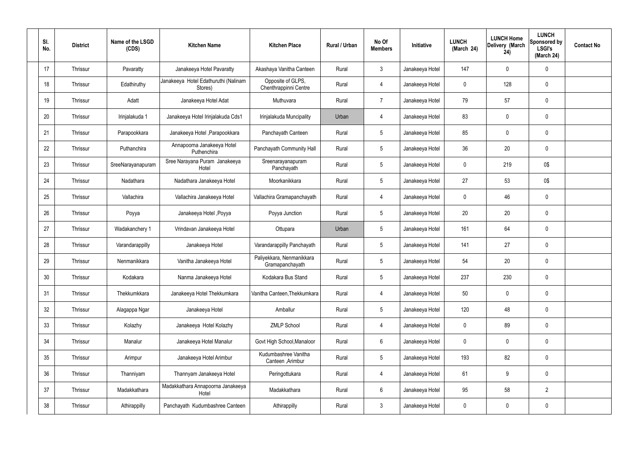| SI.<br>No.      | <b>District</b> | Name of the LSGD<br>(CDS) | <b>Kitchen Name</b>                             | <b>Kitchen Place</b>                         | Rural / Urban | No Of<br><b>Members</b> | Initiative      | <b>LUNCH</b><br>(March 24) | <b>LUNCH Home</b><br>Delivery (March<br>24) | <b>LUNCH</b><br>Sponsored by<br><b>LSGI's</b><br>(March 24) | <b>Contact No</b> |
|-----------------|-----------------|---------------------------|-------------------------------------------------|----------------------------------------------|---------------|-------------------------|-----------------|----------------------------|---------------------------------------------|-------------------------------------------------------------|-------------------|
| 17              | Thrissur        | Pavaratty                 | Janakeeya Hotel Pavaratty                       | Akashaya Vanitha Canteen                     | Rural         | $\mathbf{3}$            | Janakeeya Hotel | 147                        | 0                                           | $\mathbf 0$                                                 |                   |
| 18              | Thrissur        | Edathiruthy               | Janakeeya Hotel Edathuruthi (Nalinam<br>Stores) | Opposite of GLPS,<br>Chenthrappinni Centre   | Rural         | $\overline{4}$          | Janakeeya Hotel | $\mathbf 0$                | 128                                         | $\mathbf 0$                                                 |                   |
| 19              | Thrissur        | Adatt                     | Janakeeya Hotel Adat                            | Muthuvara                                    | Rural         | 7                       | Janakeeya Hotel | 79                         | 57                                          | $\mathbf 0$                                                 |                   |
| 20              | Thrissur        | Irinjalakuda 1            | Janakeeya Hotel Irinjalakuda Cds1               | Irinjalakuda Muncipality                     | Urban         | $\overline{4}$          | Janakeeya Hotel | 83                         | 0                                           | $\mathbf 0$                                                 |                   |
| 21              | Thrissur        | Parapookkara              | Janakeeya Hotel, Parapookkara                   | Panchayath Canteen                           | Rural         | $5\phantom{.0}$         | Janakeeya Hotel | 85                         | 0                                           | $\mathbf 0$                                                 |                   |
| 22              | Thrissur        | Puthanchira               | Annapoorna Janakeeya Hotel<br>Puthenchira       | Panchayath Community Hall                    | Rural         | $5\phantom{.0}$         | Janakeeya Hotel | 36                         | 20                                          | $\pmb{0}$                                                   |                   |
| 23              | Thrissur        | SreeNarayanapuram         | Sree Narayana Puram Janakeeya<br>Hotel          | Sreenarayanapuram<br>Panchayath              | Rural         | $5\phantom{.0}$         | Janakeeya Hotel | 0                          | 219                                         | 0\$                                                         |                   |
| 24              | Thrissur        | Nadathara                 | Nadathara Janakeeya Hotel                       | Moorkanikkara                                | Rural         | $5\phantom{.0}$         | Janakeeya Hotel | 27                         | 53                                          | 0\$                                                         |                   |
| 25              | Thrissur        | Vallachira                | Vallachira Janakeeya Hotel                      | Vallachira Gramapanchayath                   | Rural         | $\overline{4}$          | Janakeeya Hotel | 0                          | 46                                          | $\mathbf 0$                                                 |                   |
| 26              | Thrissur        | Poyya                     | Janakeeya Hotel , Poyya                         | Poyya Junction                               | Rural         | $5\phantom{.0}$         | Janakeeya Hotel | 20                         | 20                                          | $\pmb{0}$                                                   |                   |
| 27              | Thrissur        | Wadakanchery 1            | Vrindavan Janakeeya Hotel                       | Ottupara                                     | Urban         | $5\phantom{.0}$         | Janakeeya Hotel | 161                        | 64                                          | $\mathbf 0$                                                 |                   |
| 28              | Thrissur        | Varandarappilly           | Janakeeya Hotel                                 | Varandarappilly Panchayath                   | Rural         | $5\phantom{.0}$         | Janakeeya Hotel | 141                        | 27                                          | $\pmb{0}$                                                   |                   |
| 29              | Thrissur        | Nenmanikkara              | Vanitha Janakeeya Hotel                         | Paliyekkara, Nenmanikkara<br>Gramapanchayath | Rural         | $5\phantom{.0}$         | Janakeeya Hotel | 54                         | 20                                          | $\mathbf 0$                                                 |                   |
| 30 <sub>2</sub> | Thrissur        | Kodakara                  | Nanma Janakeeya Hotel                           | Kodakara Bus Stand                           | Rural         | $5\,$                   | Janakeeya Hotel | 237                        | 230                                         | $\pmb{0}$                                                   |                   |
| 31              | Thrissur        | Thekkumkkara              | Janakeeya Hotel Thekkumkara                     | Vanitha Canteen, Thekkumkara                 | Rural         | $\overline{4}$          | Janakeeya Hotel | 50                         | 0                                           | $\pmb{0}$                                                   |                   |
| 32              | Thrissur        | Alagappa Ngar             | Janakeeya Hotel                                 | Amballur                                     | Rural         | $5\phantom{.0}$         | Janakeeya Hotel | 120                        | 48                                          | $\pmb{0}$                                                   |                   |
| 33              | Thrissur        | Kolazhy                   | Janakeeya Hotel Kolazhy                         | <b>ZMLP School</b>                           | Rural         | $\overline{4}$          | Janakeeya Hotel | $\mathbf 0$                | 89                                          | $\mathbf 0$                                                 |                   |
| 34              | Thrissur        | Manalur                   | Janakeeya Hotel Manalur                         | Govt High School, Manaloor                   | Rural         | $6\phantom{.}$          | Janakeeya Hotel | 0                          | 0                                           | $\pmb{0}$                                                   |                   |
| 35              | Thrissur        | Arimpur                   | Janakeeya Hotel Arimbur                         | Kudumbashree Vanitha<br>Canteen, Arimbur     | Rural         | $5\overline{)}$         | Janakeeya Hotel | 193                        | 82                                          | $\pmb{0}$                                                   |                   |
| 36              | Thrissur        | Thanniyam                 | Thannyam Janakeeya Hotel                        | Peringottukara                               | Rural         | $\overline{4}$          | Janakeeya Hotel | 61                         | 9                                           | $\pmb{0}$                                                   |                   |
| 37              | Thrissur        | Madakkathara              | Madakkathara Annapoorna Janakeeya<br>Hotel      | Madakkathara                                 | Rural         | $6\,$                   | Janakeeya Hotel | 95                         | 58                                          | $\overline{2}$                                              |                   |
| 38              | Thrissur        | Athirappilly              | Panchayath Kudumbashree Canteen                 | Athirappilly                                 | Rural         | $3\phantom{.0}$         | Janakeeya Hotel | 0                          | 0                                           | $\pmb{0}$                                                   |                   |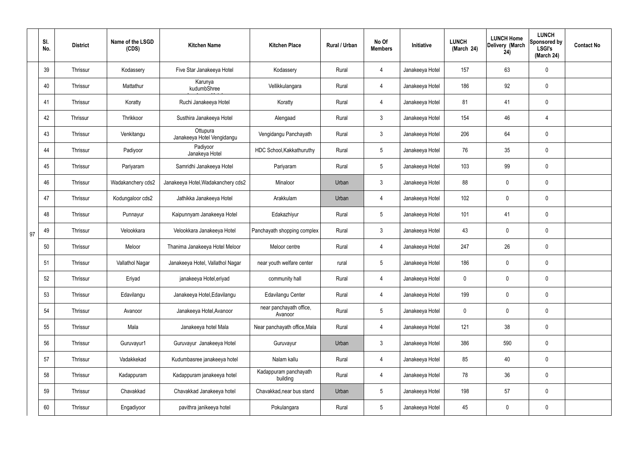|    | SI.<br>No. | <b>District</b> | Name of the LSGD<br>(CDS) | <b>Kitchen Name</b>                    | <b>Kitchen Place</b>               | Rural / Urban | No Of<br><b>Members</b> | Initiative      | <b>LUNCH</b><br>(March 24) | <b>LUNCH Home</b><br>Delivery (March<br>24) | <b>LUNCH</b><br><b>Sponsored by</b><br><b>LSGI's</b><br>(March 24) | <b>Contact No</b> |
|----|------------|-----------------|---------------------------|----------------------------------------|------------------------------------|---------------|-------------------------|-----------------|----------------------------|---------------------------------------------|--------------------------------------------------------------------|-------------------|
|    | 39         | Thrissur        | Kodassery                 | Five Star Janakeeya Hotel              | Kodassery                          | Rural         | $\overline{4}$          | Janakeeya Hotel | 157                        | 63                                          | $\mathbf 0$                                                        |                   |
|    | 40         | Thrissur        | Mattathur                 | Karunya<br>kudumbShree                 | Vellikkulangara                    | Rural         | $\overline{4}$          | Janakeeya Hotel | 186                        | 92                                          | $\mathbf 0$                                                        |                   |
|    | 41         | Thrissur        | Koratty                   | Ruchi Janakeeya Hotel                  | Koratty                            | Rural         | $\overline{4}$          | Janakeeya Hotel | 81                         | 41                                          | $\mathbf 0$                                                        |                   |
|    | 42         | Thrissur        | Thrikkoor                 | Susthira Janakeeya Hotel               | Alengaad                           | Rural         | $\mathbf{3}$            | Janakeeya Hotel | 154                        | 46                                          | 4                                                                  |                   |
|    | 43         | Thrissur        | Venkitangu                | Ottupura<br>Janakeeya Hotel Vengidangu | Vengidangu Panchayath              | Rural         | $\mathbf{3}$            | Janakeeya Hotel | 206                        | 64                                          | $\mathbf 0$                                                        |                   |
|    | 44         | Thrissur        | Padiyoor                  | Padiyoor<br>Janakeya Hotel             | HDC School, Kakkathuruthy          | Rural         | $5\phantom{.0}$         | Janakeeya Hotel | 76                         | 35                                          | $\pmb{0}$                                                          |                   |
|    | 45         | Thrissur        | Pariyaram                 | Samridhi Janakeeya Hotel               | Pariyaram                          | Rural         | $5\phantom{.0}$         | Janakeeya Hotel | 103                        | 99                                          | $\mathbf 0$                                                        |                   |
|    | 46         | Thrissur        | Wadakanchery cds2         | Janakeeya Hotel, Wadakanchery cds2     | Minaloor                           | Urban         | $\mathbf{3}$            | Janakeeya Hotel | 88                         | $\mathbf 0$                                 | $\pmb{0}$                                                          |                   |
|    | 47         | Thrissur        | Kodungaloor cds2          | Jathikka Janakeeya Hotel               | Arakkulam                          | Urban         | $\overline{4}$          | Janakeeya Hotel | 102                        | 0                                           | $\pmb{0}$                                                          |                   |
|    | 48         | Thrissur        | Punnayur                  | Kaipunnyam Janakeeya Hotel             | Edakazhiyur                        | Rural         | $5\phantom{.0}$         | Janakeeya Hotel | 101                        | 41                                          | $\mathbf 0$                                                        |                   |
| 97 | 49         | Thrissur        | Velookkara                | Velookkara Janakeeya Hotel             | Panchayath shopping complex        | Rural         | $\mathbf{3}$            | Janakeeya Hotel | 43                         | 0                                           | $\pmb{0}$                                                          |                   |
|    | 50         | Thrissur        | Meloor                    | Thanima Janakeeya Hotel Meloor         | Meloor centre                      | Rural         | $\overline{4}$          | Janakeeya Hotel | 247                        | 26                                          | $\pmb{0}$                                                          |                   |
|    | 51         | Thrissur        | Vallathol Nagar           | Janakeeya Hotel, Vallathol Nagar       | near youth welfare center          | rural         | $5\phantom{.0}$         | Janakeeya Hotel | 186                        | 0                                           | $\pmb{0}$                                                          |                   |
|    | 52         | Thrissur        | Eriyad                    | janakeeya Hotel, eriyad                | community hall                     | Rural         | $\overline{4}$          | Janakeeya Hotel | 0                          | $\mathbf 0$                                 | $\pmb{0}$                                                          |                   |
|    | 53         | Thrissur        | Edavilangu                | Janakeeya Hotel, Edavilangu            | Edavilangu Center                  | Rural         | $\overline{4}$          | Janakeeya Hotel | 199                        | $\pmb{0}$                                   | $\mathbf 0$                                                        |                   |
|    | 54         | Thrissur        | Avanoor                   | Janakeeya Hotel, Avanoor               | near panchayath office,<br>Avanoor | Rural         | $5\phantom{.0}$         | Janakeeya Hotel | 0                          | 0                                           | $\mathbf 0$                                                        |                   |
|    | 55         | Thrissur        | Mala                      | Janakeeya hotel Mala                   | Near panchayath office, Mala       | Rural         | $\overline{4}$          | Janakeeya Hotel | 121                        | 38                                          | $\pmb{0}$                                                          |                   |
|    | 56         | Thrissur        | Guruvayur1                | Guruvayur Janakeeya Hotel              | Guruvayur                          | Urban         | $\mathbf{3}$            | Janakeeya Hotel | 386                        | 590                                         | $\mathbf 0$                                                        |                   |
|    | 57         | Thrissur        | Vadakkekad                | Kudumbasree janakeeya hotel            | Nalam kallu                        | Rural         | $\overline{4}$          | Janakeeya Hotel | 85                         | 40                                          | $\mathbf 0$                                                        |                   |
|    | 58         | Thrissur        | Kadappuram                | Kadappuram janakeeya hotel             | Kadappuram panchayath<br>building  | Rural         | $\overline{4}$          | Janakeeya Hotel | 78                         | 36                                          | $\mathbf 0$                                                        |                   |
|    | 59         | Thrissur        | Chavakkad                 | Chavakkad Janakeeya hotel              | Chavakkad, near bus stand          | Urban         | $5\phantom{.0}$         | Janakeeya Hotel | 198                        | 57                                          | $\pmb{0}$                                                          |                   |
|    | 60         | Thrissur        | Engadiyoor                | pavithra janikeeya hotel               | Pokulangara                        | Rural         | $5\phantom{.0}$         | Janakeeya Hotel | 45                         | 0                                           | $\pmb{0}$                                                          |                   |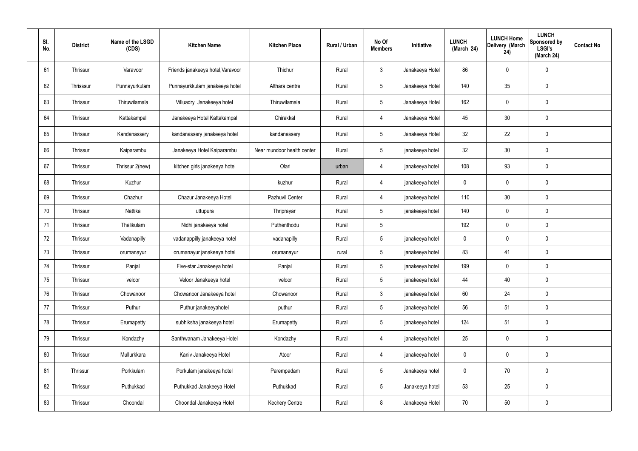| SI.<br>No. | <b>District</b> | Name of the LSGD<br>(CDS) | <b>Kitchen Name</b>               | <b>Kitchen Place</b>       | Rural / Urban | No Of<br><b>Members</b> | Initiative      | <b>LUNCH</b><br>(March 24) | <b>LUNCH Home</b><br>Delivery (March<br>24) | <b>LUNCH</b><br><b>Sponsored by</b><br><b>LSGI's</b><br>(March 24) | <b>Contact No</b> |
|------------|-----------------|---------------------------|-----------------------------------|----------------------------|---------------|-------------------------|-----------------|----------------------------|---------------------------------------------|--------------------------------------------------------------------|-------------------|
| 61         | Thrissur        | Varavoor                  | Friends janakeeya hotel, Varavoor | Thichur                    | Rural         | $\mathbf{3}$            | Janakeeya Hotel | 86                         | 0                                           | $\pmb{0}$                                                          |                   |
| 62         | Thrisssur       | Punnayurkulam             | Punnayurkkulam janakeeya hotel    | Althara centre             | Rural         | $5\phantom{.0}$         | Janakeeya Hotel | 140                        | 35                                          | $\pmb{0}$                                                          |                   |
| 63         | Thrissur        | Thiruwilamala             | Villuadry Janakeeya hotel         | Thiruwilamala              | Rural         | $5\phantom{.0}$         | Janakeeya Hotel | 162                        | 0                                           | $\pmb{0}$                                                          |                   |
| 64         | Thrissur        | Kattakampal               | Janakeeya Hotel Kattakampal       | Chirakkal                  | Rural         | $\overline{4}$          | Janakeeya Hotel | 45                         | 30                                          | $\pmb{0}$                                                          |                   |
| 65         | Thrissur        | Kandanassery              | kandanassery janakeeya hotel      | kandanassery               | Rural         | $5\phantom{.0}$         | Janakeeya Hotel | 32                         | 22                                          | $\pmb{0}$                                                          |                   |
| 66         | Thrissur        | Kaiparambu                | Janakeeya Hotel Kaiparambu        | Near mundoor health center | Rural         | $5\phantom{.0}$         | janakeeya hotel | 32                         | 30                                          | $\pmb{0}$                                                          |                   |
| 67         | Thrissur        | Thrissur 2(new)           | kitchen girls janakeeya hotel     | Olari                      | urban         | $\overline{4}$          | janakeeya hotel | 108                        | 93                                          | $\pmb{0}$                                                          |                   |
| 68         | Thrissur        | Kuzhur                    |                                   | kuzhur                     | Rural         | $\overline{4}$          | janakeeya hotel | $\mathbf 0$                | 0                                           | $\pmb{0}$                                                          |                   |
| 69         | Thrissur        | Chazhur                   | Chazur Janakeeya Hotel            | Pazhuvil Center            | Rural         | 4                       | janakeeya hotel | 110                        | 30                                          | $\pmb{0}$                                                          |                   |
| 70         | Thrissur        | Nattika                   | uttupura                          | Thriprayar                 | Rural         | $5\phantom{.0}$         | janakeeya hotel | 140                        | 0                                           | $\pmb{0}$                                                          |                   |
| 71         | Thrissur        | Thalikulam                | Nidhi janakeeya hotel             | Puthenthodu                | Rural         | $5\,$                   |                 | 192                        | 0                                           | $\mathbf 0$                                                        |                   |
| 72         | Thrissur        | Vadanapilly               | vadanappilly janakeeya hotel      | vadanapilly                | Rural         | $5\phantom{.0}$         | janakeeya hotel | 0                          | 0                                           | $\mathbf 0$                                                        |                   |
| 73         | Thrissur        | orumanayur                | orumanayur janakeeya hotel        | orumanayur                 | rural         | $\sqrt{5}$              | janakeeya hotel | 83                         | 41                                          | $\pmb{0}$                                                          |                   |
| 74         | Thrissur        | Panjal                    | Five-star Janakeeya hotel         | Panjal                     | Rural         | 5                       | janakeeya hotel | 199                        | 0                                           | 0                                                                  |                   |
| 75         | Thrissur        | veloor                    | Veloor Janakeeya hotel            | veloor                     | Rural         | $5\overline{)}$         | janakeeya hotel | 44                         | 40                                          | $\mathbf 0$                                                        |                   |
| 76         | Thrissur        | Chowanoor                 | Chowanoor Janakeeya hotel         | Chowanoor                  | Rural         | 3 <sup>1</sup>          | janakeeya hotel | 60                         | 24                                          | $\pmb{0}$                                                          |                   |
| 77         | Thrissur        | Puthur                    | Puthur janakeeyahotel             | puthur                     | Rural         | $5\overline{)}$         | janakeeya hotel | 56                         | 51                                          | $\mathbf 0$                                                        |                   |
| 78         | Thrissur        | Erumapetty                | subhiksha janakeeya hotel         | Erumapetty                 | Rural         | $5\phantom{.0}$         | janakeeya hotel | 124                        | 51                                          | $\pmb{0}$                                                          |                   |
| 79         | Thrissur        | Kondazhy                  | Santhwanam Janakeeya Hotel        | Kondazhy                   | Rural         | $\overline{4}$          | janakeeya hotel | 25                         | 0                                           | $\pmb{0}$                                                          |                   |
| 80         | Thrissur        | Mullurkkara               | Kaniv Janakeeya Hotel             | Atoor                      | Rural         | $\overline{4}$          | janakeeya hotel | $\pmb{0}$                  | 0                                           | $\mathbf 0$                                                        |                   |
| 81         | Thrissur        | Porkkulam                 | Porkulam janakeeya hotel          | Parempadam                 | Rural         | $5\phantom{.0}$         | Janakeeya hotel | $\pmb{0}$                  | 70                                          | $\pmb{0}$                                                          |                   |
| 82         | Thrissur        | Puthukkad                 | Puthukkad Janakeeya Hotel         | Puthukkad                  | Rural         | $5\phantom{.0}$         | Janakeeya hotel | 53                         | 25                                          | $\pmb{0}$                                                          |                   |
| 83         | Thrissur        | Choondal                  | Choondal Janakeeya Hotel          | <b>Kechery Centre</b>      | Rural         | $8\,$                   | Janakeeya Hotel | $70\,$                     | $50\,$                                      | $\pmb{0}$                                                          |                   |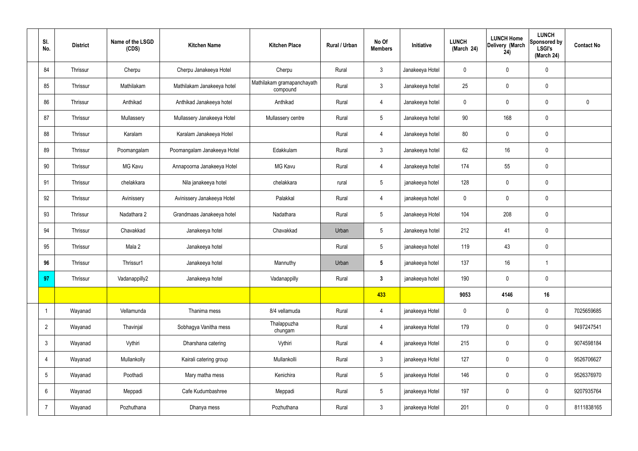| SI.<br>No.           | <b>District</b> | Name of the LSGD<br>(CDS) | <b>Kitchen Name</b>         | <b>Kitchen Place</b>                   | Rural / Urban | No Of<br><b>Members</b> | Initiative      | <b>LUNCH</b><br>(March 24) | <b>LUNCH Home</b><br>Delivery (March<br>24) | <b>LUNCH</b><br>Sponsored by<br><b>LSGI's</b><br>(March 24) | <b>Contact No</b> |
|----------------------|-----------------|---------------------------|-----------------------------|----------------------------------------|---------------|-------------------------|-----------------|----------------------------|---------------------------------------------|-------------------------------------------------------------|-------------------|
| 84                   | Thrissur        | Cherpu                    | Cherpu Janakeeya Hotel      | Cherpu                                 | Rural         | 3                       | Janakeeya Hotel | 0                          | 0                                           | $\mathbf 0$                                                 |                   |
| 85                   | Thrissur        | Mathilakam                | Mathilakam Janakeeya hotel  | Mathilakam gramapanchayath<br>compound | Rural         | $\mathbf{3}$            | Janakeeya hotel | 25                         | $\mathsf{0}$                                | $\pmb{0}$                                                   |                   |
| 86                   | Thrissur        | Anthikad                  | Anthikad Janakeeya hotel    | Anthikad                               | Rural         | $\overline{4}$          | Janakeeya hotel | 0                          | $\mathbf 0$                                 | $\mathbf 0$                                                 | $\mathbf 0$       |
| 87                   | Thrissur        | Mullassery                | Mullassery Janakeeya Hotel  | Mullassery centre                      | Rural         | $5\overline{)}$         | Janakeeya hotel | 90                         | 168                                         | $\mathbf 0$                                                 |                   |
| 88                   | Thrissur        | Karalam                   | Karalam Janakeeya Hotel     |                                        | Rural         | $\overline{4}$          | Janakeeya hotel | 80                         | 0                                           | $\pmb{0}$                                                   |                   |
| 89                   | Thrissur        | Poomangalam               | Poomangalam Janakeeya Hotel | Edakkulam                              | Rural         | $\mathbf{3}$            | Janakeeya hotel | 62                         | 16                                          | $\pmb{0}$                                                   |                   |
| 90                   | Thrissur        | MG Kavu                   | Annapoorna Janakeeya Hotel  | <b>MG Kavu</b>                         | Rural         | $\overline{4}$          | Janakeeya hotel | 174                        | 55                                          | $\pmb{0}$                                                   |                   |
| 91                   | Thrissur        | chelakkara                | Nila janakeeya hotel        | chelakkara                             | rural         | $5\phantom{.0}$         | janakeeya hotel | 128                        | 0                                           | $\pmb{0}$                                                   |                   |
| 92                   | Thrissur        | Avinissery                | Avinissery Janakeeya Hotel  | Palakkal                               | Rural         | $\overline{4}$          | janakeeya hotel | 0                          | 0                                           | $\mathbf 0$                                                 |                   |
| 93                   | Thrissur        | Nadathara 2               | Grandmaas Janakeeya hotel   | Nadathara                              | Rural         | $5\overline{)}$         | Janakeeya Hotel | 104                        | 208                                         | $\pmb{0}$                                                   |                   |
| 94                   | Thrissur        | Chavakkad                 | Janakeeya hotel             | Chavakkad                              | Urban         | $5\phantom{.0}$         | Janakeeya hotel | 212                        | 41                                          | $\pmb{0}$                                                   |                   |
| 95                   | Thrissur        | Mala 2                    | Janakeeya hotel             |                                        | Rural         | 5 <sup>5</sup>          | janakeeya hotel | 119                        | 43                                          | $\pmb{0}$                                                   |                   |
| 96                   | Thrissur        | Thrissur1                 | Janakeeya hotel             | Mannuthy                               | Urban         | $5\phantom{.0}$         | janakeeya hotel | 137                        | 16                                          | $\mathbf{1}$                                                |                   |
| 97                   | Thrissur        | Vadanappilly2             | Janakeeya hotel             | Vadanappilly                           | Rural         | $3\phantom{a}$          | janakeeya hotel | 190                        | $\mathbf 0$                                 | $\mathbf 0$                                                 |                   |
|                      |                 |                           |                             |                                        |               | 433                     |                 | 9053                       | 4146                                        | 16                                                          |                   |
| $\blacktriangleleft$ | Wayanad         | Vellamunda                | Thanima mess                | 8/4 vellamuda                          | Rural         | $\overline{4}$          | janakeeya Hotel | $\mathbf 0$                | 0                                           | $\mathbf 0$                                                 | 7025659685        |
| $\overline{2}$       | Wayanad         | Thavinjal                 | Sobhagya Vanitha mess       | Thalappuzha<br>chungam                 | Rural         | $\overline{4}$          | janakeeya Hotel | 179                        | 0                                           | $\mathbf 0$                                                 | 9497247541        |
| $3\phantom{.0}$      | Wayanad         | Vythiri                   | Dharshana catering          | Vythiri                                | Rural         | $\overline{4}$          | janakeeya Hotel | 215                        | 0                                           | $\mathbf 0$                                                 | 9074598184        |
| 4                    | Wayanad         | Mullankolly               | Kairali catering group      | Mullankolli                            | Rural         | $\mathbf{3}$            | janakeeya Hotel | 127                        | 0                                           | $\mathbf 0$                                                 | 9526706627        |
| 5                    | Wayanad         | Poothadi                  | Mary matha mess             | Kenichira                              | Rural         | $5\overline{)}$         | janakeeya Hotel | 146                        | 0                                           | $\mathbf 0$                                                 | 9526376970        |
| 6                    | Wayanad         | Meppadi                   | Cafe Kudumbashree           | Meppadi                                | Rural         | $5\phantom{.0}$         | janakeeya Hotel | 197                        | 0                                           | $\mathbf 0$                                                 | 9207935764        |
| $\overline{7}$       | Wayanad         | Pozhuthana                | Dhanya mess                 | Pozhuthana                             | Rural         | 3 <sup>1</sup>          | janakeeya Hotel | 201                        | $\pmb{0}$                                   | $\pmb{0}$                                                   | 8111838165        |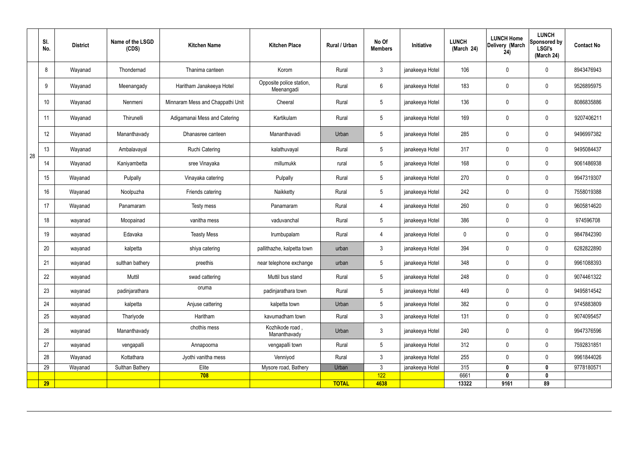|    | SI.<br>No. | <b>District</b> | Name of the LSGD<br>(CDS) | <b>Kitchen Name</b>              | <b>Kitchen Place</b>                   | Rural / Urban | No Of<br><b>Members</b> | Initiative      | <b>LUNCH</b><br>(March 24) | <b>LUNCH Home</b><br>Delivery (March<br>24) | <b>LUNCH</b><br>Sponsored by<br><b>LSGI's</b><br>(March 24) | <b>Contact No</b> |
|----|------------|-----------------|---------------------------|----------------------------------|----------------------------------------|---------------|-------------------------|-----------------|----------------------------|---------------------------------------------|-------------------------------------------------------------|-------------------|
|    | 8          | Wayanad         | Thondernad                | Thanima canteen                  | Korom                                  | Rural         | $\mathbf{3}$            | janakeeya Hotel | 106                        | $\mathbf 0$                                 | $\mathbf 0$                                                 | 8943476943        |
|    | 9          | Wayanad         | Meenangady                | Haritham Janakeeya Hotel         | Opposite police station,<br>Meenangadi | Rural         | $6\overline{6}$         | janakeeya Hotel | 183                        | $\mathbf 0$                                 | $\mathbf 0$                                                 | 9526895975        |
|    | 10         | Wayanad         | Nenmeni                   | Minnaram Mess and Chappathi Unit | Cheeral                                | Rural         | $5\phantom{.0}$         | janakeeya Hotel | 136                        | $\mathbf 0$                                 | $\mathbf 0$                                                 | 8086835886        |
|    | 11         | Wayanad         | Thirunelli                | Adigamanai Mess and Catering     | Kartikulam                             | Rural         | $5\phantom{.0}$         | janakeeya Hotel | 169                        | $\mathbf 0$                                 | $\mathbf 0$                                                 | 9207406211        |
|    | 12         | Wayanad         | Mananthavady              | Dhanasree canteen                | Mananthavadi                           | Urban         | $5\overline{)}$         | janakeeya Hotel | 285                        | $\mathbf 0$                                 | $\mathbf 0$                                                 | 9496997382        |
| 28 | 13         | Wayanad         | Ambalavayal               | <b>Ruchi Catering</b>            | kalathuvayal                           | Rural         | $5\phantom{.0}$         | janakeeya Hotel | 317                        | $\pmb{0}$                                   | $\mathbf 0$                                                 | 9495084437        |
|    | 14         | Wayanad         | Kaniyambetta              | sree Vinayaka                    | millumukk                              | rural         | $5\phantom{.0}$         | janakeeya Hotel | 168                        | $\mathbf 0$                                 | $\mathbf 0$                                                 | 9061486938        |
|    | 15         | Wayanad         | Pulpally                  | Vinayaka catering                | Pulpally                               | Rural         | $5\phantom{.0}$         | janakeeya Hotel | 270                        | $\mathbf 0$                                 | $\mathbf 0$                                                 | 9947319307        |
|    | 16         | Wayanad         | Noolpuzha                 | Friends catering                 | Naikketty                              | Rural         | $5\phantom{.0}$         | janakeeya Hotel | 242                        | $\mathbf 0$                                 | $\mathbf 0$                                                 | 7558019388        |
|    | 17         | Wayanad         | Panamaram                 | Testy mess                       | Panamaram                              | Rural         | 4                       | janakeeya Hotel | 260                        | $\mathbf 0$                                 | $\mathbf 0$                                                 | 9605814620        |
|    | 18         | wayanad         | Moopainad                 | vanitha mess                     | vaduvanchal                            | Rural         | $5\phantom{.0}$         | janakeeya Hotel | 386                        | $\mathbf 0$                                 | $\mathbf 0$                                                 | 974596708         |
|    | 19         | wayanad         | Edavaka                   | <b>Teasty Mess</b>               | Irumbupalam                            | Rural         | $\overline{4}$          | janakeeya Hotel | $\mathbf 0$                | $\mathbf 0$                                 | $\mathbf 0$                                                 | 9847842390        |
|    | 20         | wayanad         | kalpetta                  | shiya catering                   | pallithazhe, kalpetta town             | urban         | $\mathbf{3}$            | janakeeya Hotel | 394                        | $\mathbf 0$                                 | $\mathbf 0$                                                 | 6282822890        |
|    | 21         | wayanad         | sulthan bathery           | preethis                         | near telephone exchange                | urban         | $5\phantom{.0}$         | janakeeya Hotel | 348                        | $\mathbf 0$                                 | $\mathbf 0$                                                 | 9961088393        |
|    | 22         | wayanad         | Muttil                    | swad cattering                   | Muttil bus stand                       | Rural         | 5 <sup>5</sup>          | janakeeya Hotel | 248                        | $\pmb{0}$                                   | $\mathbf 0$                                                 | 9074461322        |
|    | 23         | wayanad         | padinjarathara            | oruma                            | padinjarathara town                    | Rural         | 5 <sub>5</sub>          | janakeeya Hotel | 449                        | $\pmb{0}$                                   | $\mathbf 0$                                                 | 9495814542        |
|    | 24         | wayanad         | kalpetta                  | Anjuse cattering                 | kalpetta town                          | Urban         | 5 <sub>5</sub>          | janakeeya Hotel | 382                        | $\mathbf 0$                                 | $\mathbf 0$                                                 | 9745883809        |
|    | 25         | wayanad         | Thariyode                 | Haritham                         | kavumadham town                        | Rural         | $\mathbf{3}$            | janakeeya Hotel | 131                        | $\mathbf 0$                                 | $\mathbf 0$                                                 | 9074095457        |
|    | 26         | wayanad         | Mananthavady              | chothis mess                     | Kozhikode road,<br>Mananthavady        | Urban         | $\mathbf{3}$            | janakeeya Hotel | 240                        | $\pmb{0}$                                   | $\mathbf 0$                                                 | 9947376596        |
|    | 27         | wayanad         | vengapalli                | Annapoorna                       | vengapalli town                        | Rural         | $5\overline{)}$         | janakeeya Hotel | 312                        | $\pmb{0}$                                   | $\mathbf 0$                                                 | 7592831851        |
|    | 28         | Wayanad         | Kottathara                | Jyothi vanitha mess              | Venniyod                               | Rural         | 3                       | janakeeya Hotel | 255                        | $\mathbf 0$                                 | $\mathbf 0$                                                 | 9961844026        |
|    | 29         | Wayanad         | Sulthan Bathery           | Elite                            | Mysore road, Bathery                   | Urban         | $\mathbf{3}$            | janakeeya Hotel | 315                        | $\mathbf{0}$                                | $\mathbf 0$                                                 | 9778180571        |
|    | <b>29</b>  |                 |                           | 708                              |                                        | <b>TOTAL</b>  | 122<br>4638             |                 | 6661<br>13322              | 0<br>9161                                   | $\boldsymbol{0}$<br>89                                      |                   |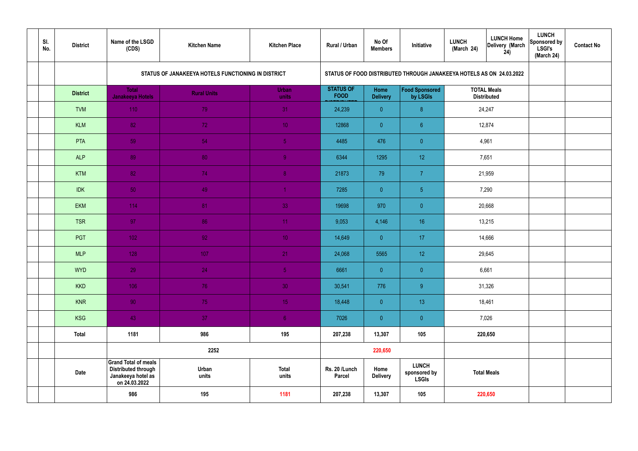| SI.<br>No. | <b>District</b> | Name of the LSGD<br>(CDS)                                                                        | <b>Kitchen Name</b>                                | <b>Kitchen Place</b>  | <b>Rural / Urban</b>            | No Of<br><b>Members</b> | Initiative                                                           | <b>LUNCH</b><br>(March 24) | <b>LUNCH Home</b><br>Delivery (March<br>24) | <b>LUNCH</b><br>Sponsored by<br><b>LSGI's</b><br>(March 24) | <b>Contact No</b> |
|------------|-----------------|--------------------------------------------------------------------------------------------------|----------------------------------------------------|-----------------------|---------------------------------|-------------------------|----------------------------------------------------------------------|----------------------------|---------------------------------------------|-------------------------------------------------------------|-------------------|
|            |                 |                                                                                                  | STATUS OF JANAKEEYA HOTELS FUNCTIONING IN DISTRICT |                       |                                 |                         | STATUS OF FOOD DISTRIBUTED THROUGH JANAKEEYA HOTELS AS ON 24.03.2022 |                            |                                             |                                                             |                   |
|            | <b>District</b> | <b>Total</b><br><b>Janakeeya Hotels</b>                                                          | <b>Rural Units</b>                                 | <b>Urban</b><br>units | <b>STATUS OF</b><br><b>FOOD</b> | Home<br><b>Delivery</b> | Food Sponsored<br>by LSGIs                                           |                            | <b>TOTAL Meals</b><br><b>Distributed</b>    |                                                             |                   |
|            | <b>TVM</b>      | 110                                                                                              | 79                                                 | 31                    | 24,239                          | $\overline{0}$          | 8 <sup>°</sup>                                                       |                            | 24,247                                      |                                                             |                   |
|            | <b>KLM</b>      | 82                                                                                               | 72                                                 | 10 <sup>°</sup>       | 12868                           | $\overline{0}$          | $6^{\circ}$                                                          |                            | 12,874                                      |                                                             |                   |
|            | PTA             | 59                                                                                               | 54                                                 | $\sqrt{5}$            | 4485                            | 476                     | $\overline{0}$                                                       |                            | 4,961                                       |                                                             |                   |
|            | <b>ALP</b>      | 89                                                                                               | 80                                                 | $\overline{9}$        | 6344                            | 1295                    | 12 <sup>°</sup>                                                      |                            | 7,651                                       |                                                             |                   |
|            | <b>KTM</b>      | 82                                                                                               | 74                                                 | 8 <sup>°</sup>        | 21873                           | 79                      | $\overline{7}$                                                       |                            | 21,959                                      |                                                             |                   |
|            | <b>IDK</b>      | 50                                                                                               | 49                                                 | $\blacktriangleleft$  | 7285                            | $\overline{0}$          | 5 <sub>5</sub>                                                       |                            | 7,290                                       |                                                             |                   |
|            | <b>EKM</b>      | 114                                                                                              | 81                                                 | 33                    | 19698                           | 970                     | $\overline{0}$                                                       |                            | 20,668                                      |                                                             |                   |
|            | <b>TSR</b>      | 97                                                                                               | 86                                                 | 11                    | 9,053                           | 4,146                   | 16                                                                   |                            | 13,215                                      |                                                             |                   |
|            | <b>PGT</b>      | $102$                                                                                            | 92                                                 | 10 <sup>°</sup>       | 14,649                          | $\overline{0}$          | 17                                                                   |                            | 14,666                                      |                                                             |                   |
|            | <b>MLP</b>      | 128                                                                                              | 107                                                | 21                    | 24,068                          | 5565                    | 12 <sup>°</sup>                                                      |                            | 29,645                                      |                                                             |                   |
|            | <b>WYD</b>      | 29                                                                                               | 24                                                 | 5 <sub>5</sub>        | 6661                            | $\overline{0}$          | $\overline{0}$                                                       |                            | 6,661                                       |                                                             |                   |
|            | <b>KKD</b>      | 106                                                                                              | 76                                                 | 30 <sup>°</sup>       | 30,541                          | 776                     | $9\,$                                                                |                            | 31,326                                      |                                                             |                   |
|            | <b>KNR</b>      | 90                                                                                               | 75                                                 | 15 <sub>1</sub>       | 18,448                          | $\overline{0}$          | 13 <sup>°</sup>                                                      |                            | 18,461                                      |                                                             |                   |
|            | <b>KSG</b>      | 43                                                                                               | 37                                                 | 6 <sup>1</sup>        | 7026                            | $\overline{0}$          | $\pmb{0}$                                                            |                            | 7,026                                       |                                                             |                   |
|            | <b>Total</b>    | 1181                                                                                             | 986                                                | 195                   | 207,238                         | 13,307                  | 105                                                                  |                            | 220,650                                     |                                                             |                   |
|            |                 |                                                                                                  | 2252                                               |                       |                                 | 220,650                 |                                                                      |                            |                                             |                                                             |                   |
|            | <b>Date</b>     | <b>Grand Total of meals</b><br><b>Distributed through</b><br>Janakeeya hotel as<br>on 24.03.2022 | Urban<br>units                                     | <b>Total</b><br>units | Rs. 20 /Lunch<br><b>Parcel</b>  | Home<br><b>Delivery</b> | <b>LUNCH</b><br>sponsored by<br><b>LSGIs</b>                         |                            | <b>Total Meals</b>                          |                                                             |                   |
|            |                 | 986                                                                                              | 195                                                | 1181                  | 207,238                         | 13,307                  | 105                                                                  |                            | 220,650                                     |                                                             |                   |